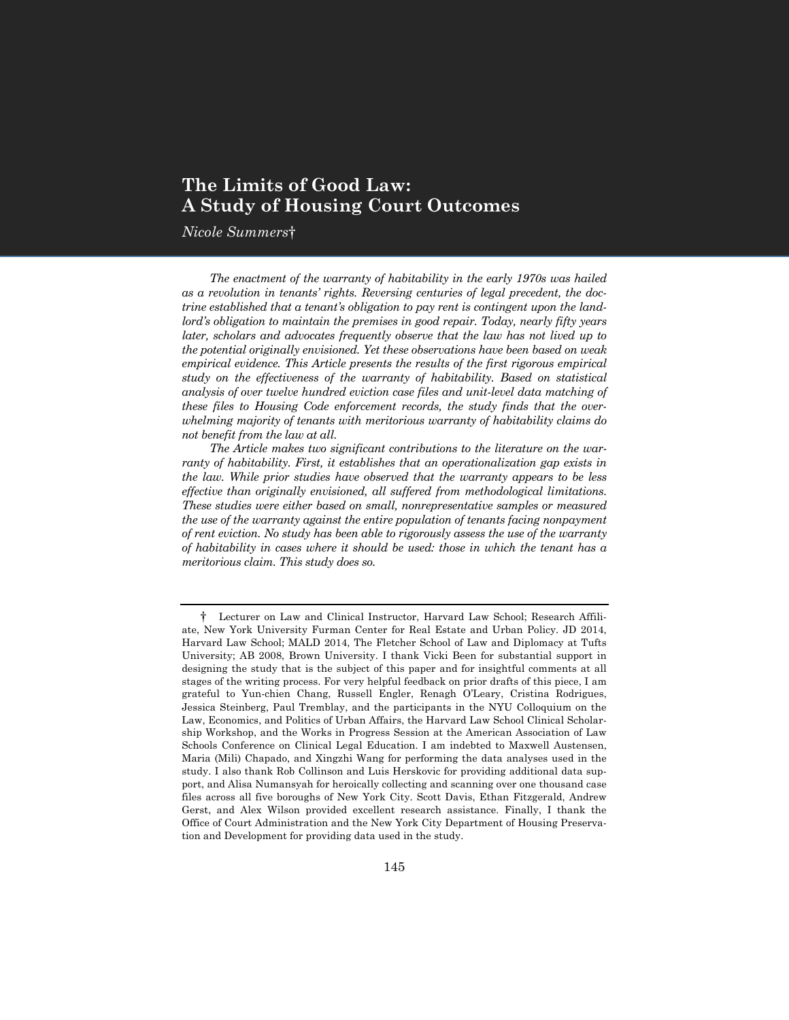# **The Limits of Good Law: A Study of Housing Court Outcomes**

*Nicole Summers*†

*The enactment of the warranty of habitability in the early 1970s was hailed as a revolution in tenants' rights. Reversing centuries of legal precedent, the doctrine established that a tenant's obligation to pay rent is contingent upon the landlord's obligation to maintain the premises in good repair. Today, nearly fifty years later, scholars and advocates frequently observe that the law has not lived up to the potential originally envisioned. Yet these observations have been based on weak empirical evidence. This Article presents the results of the first rigorous empirical study on the effectiveness of the warranty of habitability. Based on statistical analysis of over twelve hundred eviction case files and unit-level data matching of these files to Housing Code enforcement records, the study finds that the overwhelming majority of tenants with meritorious warranty of habitability claims do not benefit from the law at all.*

*The Article makes two significant contributions to the literature on the warranty of habitability. First, it establishes that an operationalization gap exists in the law. While prior studies have observed that the warranty appears to be less effective than originally envisioned, all suffered from methodological limitations. These studies were either based on small, nonrepresentative samples or measured the use of the warranty against the entire population of tenants facing nonpayment of rent eviction. No study has been able to rigorously assess the use of the warranty of habitability in cases where it should be used: those in which the tenant has a meritorious claim. This study does so.*

<sup>†</sup> Lecturer on Law and Clinical Instructor, Harvard Law School; Research Affiliate, New York University Furman Center for Real Estate and Urban Policy. JD 2014, Harvard Law School; MALD 2014, The Fletcher School of Law and Diplomacy at Tufts University; AB 2008, Brown University. I thank Vicki Been for substantial support in designing the study that is the subject of this paper and for insightful comments at all stages of the writing process. For very helpful feedback on prior drafts of this piece, I am grateful to Yun-chien Chang, Russell Engler, Renagh O'Leary, Cristina Rodrigues, Jessica Steinberg, Paul Tremblay, and the participants in the NYU Colloquium on the Law, Economics, and Politics of Urban Affairs, the Harvard Law School Clinical Scholarship Workshop, and the Works in Progress Session at the American Association of Law Schools Conference on Clinical Legal Education. I am indebted to Maxwell Austensen, Maria (Mili) Chapado, and Xingzhi Wang for performing the data analyses used in the study. I also thank Rob Collinson and Luis Herskovic for providing additional data support, and Alisa Numansyah for heroically collecting and scanning over one thousand case files across all five boroughs of New York City. Scott Davis, Ethan Fitzgerald, Andrew Gerst, and Alex Wilson provided excellent research assistance. Finally, I thank the Office of Court Administration and the New York City Department of Housing Preservation and Development for providing data used in the study.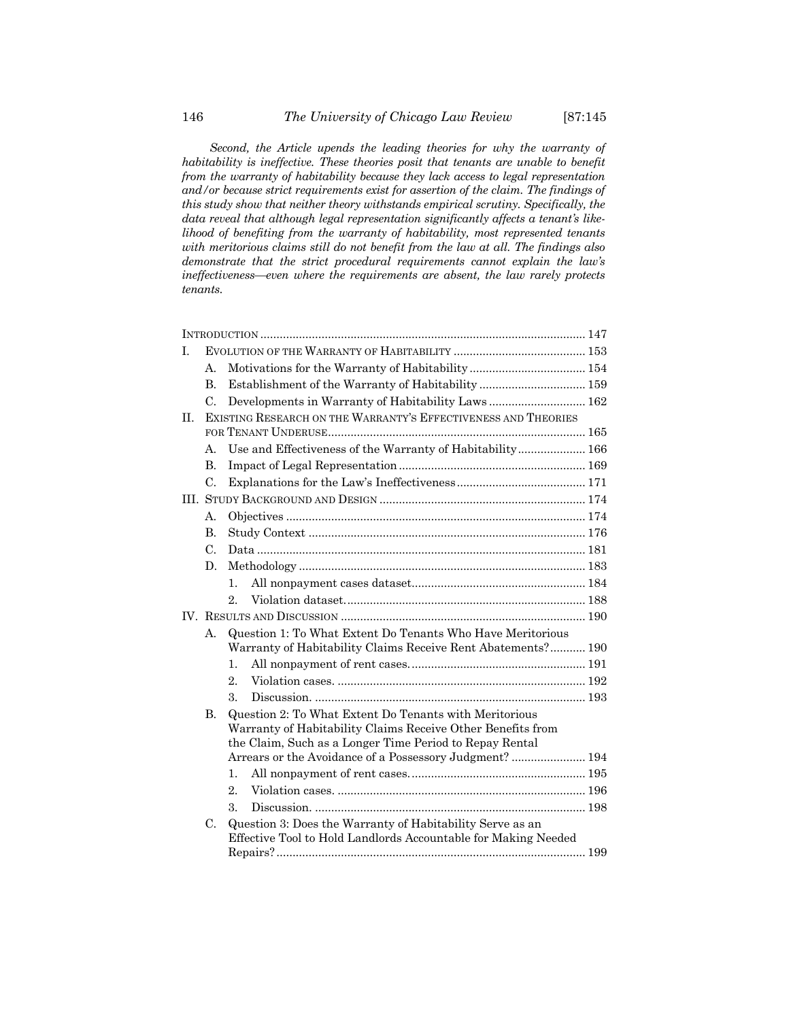*Second, the Article upends the leading theories for why the warranty of habitability is ineffective. These theories posit that tenants are unable to benefit from the warranty of habitability because they lack access to legal representation and/or because strict requirements exist for assertion of the claim. The findings of this study show that neither theory withstands empirical scrutiny. Specifically, the data reveal that although legal representation significantly affects a tenant's likelihood of benefiting from the warranty of habitability, most represented tenants with meritorious claims still do not benefit from the law at all. The findings also demonstrate that the strict procedural requirements cannot explain the law's ineffectiveness—even where the requirements are absent, the law rarely protects tenants.*

| Ī. |                                                                |                                                                                                                             |  |  |  |
|----|----------------------------------------------------------------|-----------------------------------------------------------------------------------------------------------------------------|--|--|--|
|    | А.                                                             |                                                                                                                             |  |  |  |
|    | $\mathbf{B}$                                                   |                                                                                                                             |  |  |  |
|    | C.                                                             | Developments in Warranty of Habitability Laws 162                                                                           |  |  |  |
| H. | EXISTING RESEARCH ON THE WARRANTY'S EFFECTIVENESS AND THEORIES |                                                                                                                             |  |  |  |
|    |                                                                |                                                                                                                             |  |  |  |
|    | А.                                                             | Use and Effectiveness of the Warranty of Habitability 166                                                                   |  |  |  |
|    | B.                                                             |                                                                                                                             |  |  |  |
|    | $\mathcal{C}$ .                                                |                                                                                                                             |  |  |  |
|    |                                                                |                                                                                                                             |  |  |  |
|    | А.                                                             |                                                                                                                             |  |  |  |
|    | $\mathbf{B}$                                                   |                                                                                                                             |  |  |  |
|    | $\mathcal{C}$ .                                                |                                                                                                                             |  |  |  |
|    | D.                                                             |                                                                                                                             |  |  |  |
|    |                                                                | $1_{-}$                                                                                                                     |  |  |  |
|    |                                                                | $2_{-}$                                                                                                                     |  |  |  |
|    |                                                                |                                                                                                                             |  |  |  |
|    | $\mathsf{A}_{\cdot}$                                           | Question 1: To What Extent Do Tenants Who Have Meritorious<br>Warranty of Habitability Claims Receive Rent Abatements? 190  |  |  |  |
|    |                                                                | 1.                                                                                                                          |  |  |  |
|    |                                                                | $\overline{2}$ .                                                                                                            |  |  |  |
|    |                                                                | 3.                                                                                                                          |  |  |  |
|    | <b>B.</b>                                                      | Question 2: To What Extent Do Tenants with Meritorious                                                                      |  |  |  |
|    |                                                                | Warranty of Habitability Claims Receive Other Benefits from                                                                 |  |  |  |
|    |                                                                | the Claim, Such as a Longer Time Period to Repay Rental                                                                     |  |  |  |
|    |                                                                | Arrears or the Avoidance of a Possessory Judgment?  194                                                                     |  |  |  |
|    |                                                                | $\mathbf{1}$ .                                                                                                              |  |  |  |
|    |                                                                | $\overline{2}$ .                                                                                                            |  |  |  |
|    |                                                                | 3.                                                                                                                          |  |  |  |
|    | C.                                                             | Question 3: Does the Warranty of Habitability Serve as an<br>Effective Tool to Hold Landlords Accountable for Making Needed |  |  |  |
|    |                                                                |                                                                                                                             |  |  |  |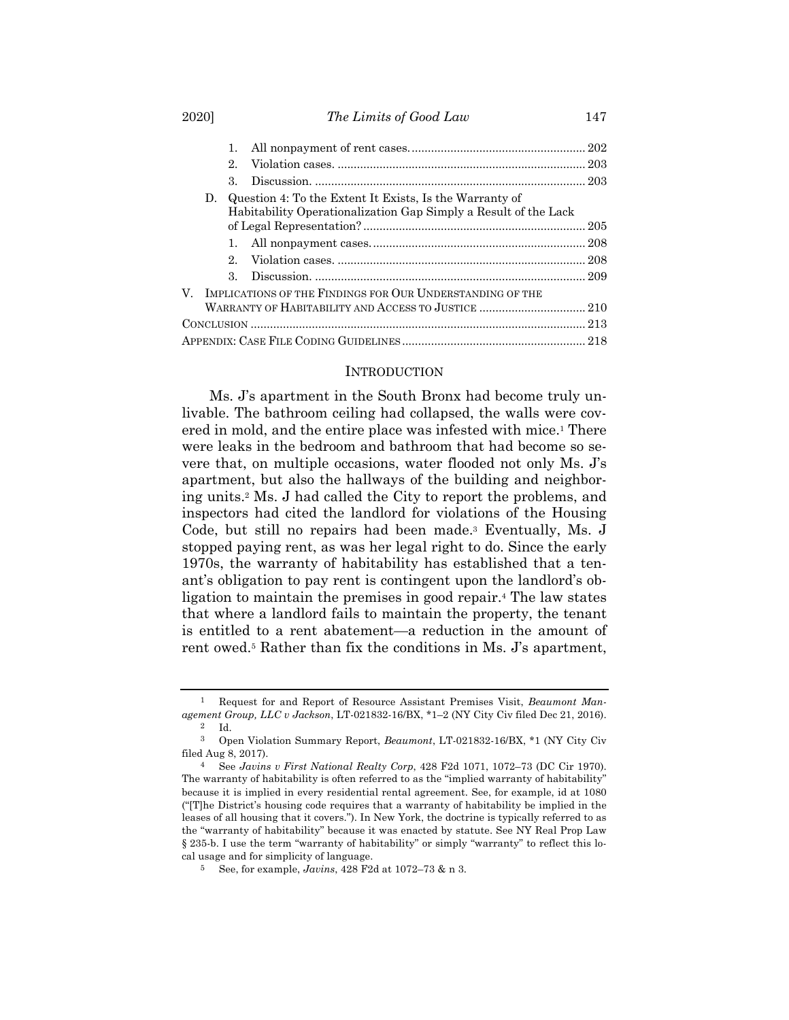#### 2020] *The Limits of Good Law* 147

|    | 1.                    |  |                                                                                                                                                                                            |  |  |
|----|-----------------------|--|--------------------------------------------------------------------------------------------------------------------------------------------------------------------------------------------|--|--|
|    | $2_{-}$               |  |                                                                                                                                                                                            |  |  |
|    | $\mathcal{R}_{\cdot}$ |  |                                                                                                                                                                                            |  |  |
| D. |                       |  |                                                                                                                                                                                            |  |  |
|    |                       |  |                                                                                                                                                                                            |  |  |
|    |                       |  |                                                                                                                                                                                            |  |  |
|    | 2                     |  |                                                                                                                                                                                            |  |  |
|    | $3_{-}$               |  |                                                                                                                                                                                            |  |  |
|    |                       |  |                                                                                                                                                                                            |  |  |
|    |                       |  |                                                                                                                                                                                            |  |  |
|    |                       |  |                                                                                                                                                                                            |  |  |
|    |                       |  |                                                                                                                                                                                            |  |  |
|    |                       |  | Question 4: To the Extent It Exists. Is the Warranty of<br>Habitability Operationalization Gap Simply a Result of the Lack<br>V. IMPLICATIONS OF THE FINDINGS FOR OUR UNDERSTANDING OF THE |  |  |

#### **INTRODUCTION**

Ms. J's apartment in the South Bronx had become truly unlivable. The bathroom ceiling had collapsed, the walls were covered in mold, and the entire place was infested with mice.1 There were leaks in the bedroom and bathroom that had become so severe that, on multiple occasions, water flooded not only Ms. J's apartment, but also the hallways of the building and neighboring units.2 Ms. J had called the City to report the problems, and inspectors had cited the landlord for violations of the Housing Code, but still no repairs had been made.3 Eventually, Ms. J stopped paying rent, as was her legal right to do. Since the early 1970s, the warranty of habitability has established that a tenant's obligation to pay rent is contingent upon the landlord's obligation to maintain the premises in good repair.4 The law states that where a landlord fails to maintain the property, the tenant is entitled to a rent abatement—a reduction in the amount of rent owed.5 Rather than fix the conditions in Ms. J's apartment,

<sup>1</sup> Request for and Report of Resource Assistant Premises Visit, *Beaumont Management Group, LLC v Jackson*, LT-021832-16/BX, \*1–2 (NY City Civ filed Dec 21, 2016). 2 Id.

<sup>3</sup> Open Violation Summary Report, *Beaumont*, LT-021832-16/BX, \*1 (NY City Civ filed Aug 8, 2017).

<sup>4</sup> See *Javins v First National Realty Corp*, 428 F2d 1071, 1072–73 (DC Cir 1970). The warranty of habitability is often referred to as the "implied warranty of habitability" because it is implied in every residential rental agreement. See, for example, id at 1080 ("[T]he District's housing code requires that a warranty of habitability be implied in the leases of all housing that it covers."). In New York, the doctrine is typically referred to as the "warranty of habitability" because it was enacted by statute. See NY Real Prop Law § 235-b. I use the term "warranty of habitability" or simply "warranty" to reflect this local usage and for simplicity of language.

<sup>5</sup> See, for example, *Javins*, 428 F2d at 1072–73 & n 3.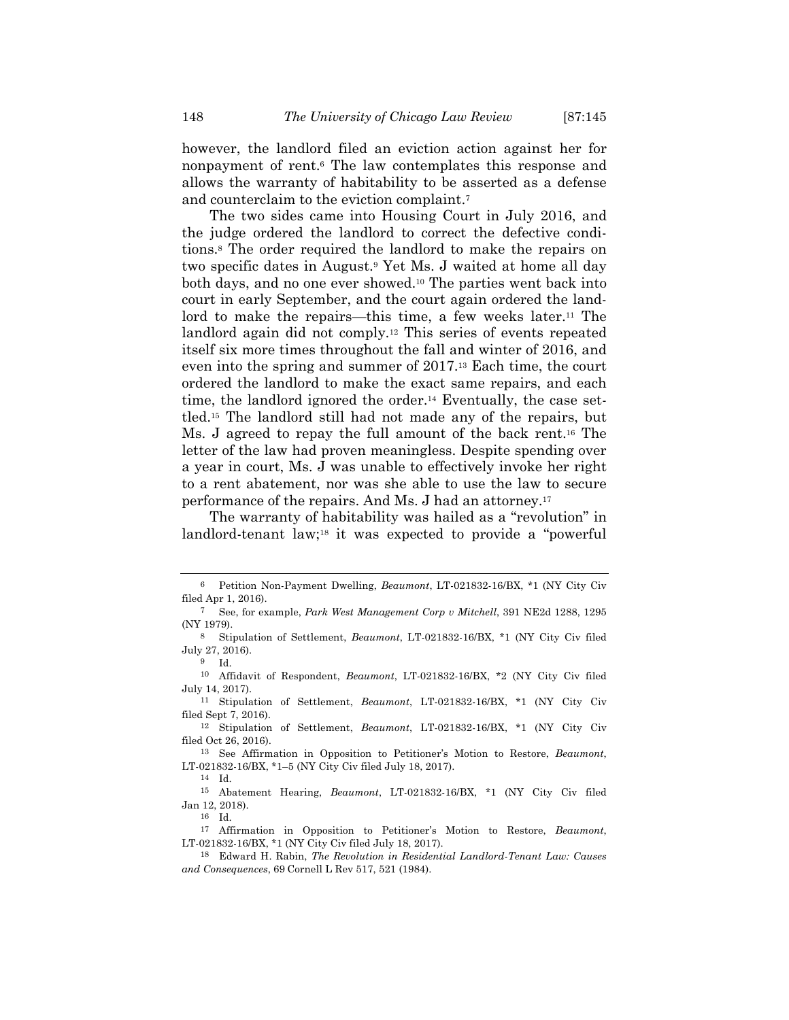however, the landlord filed an eviction action against her for nonpayment of rent.6 The law contemplates this response and allows the warranty of habitability to be asserted as a defense and counterclaim to the eviction complaint.7

The two sides came into Housing Court in July 2016, and the judge ordered the landlord to correct the defective conditions.8 The order required the landlord to make the repairs on two specific dates in August.9 Yet Ms. J waited at home all day both days, and no one ever showed.10 The parties went back into court in early September, and the court again ordered the landlord to make the repairs—this time, a few weeks later.11 The landlord again did not comply.<sup>12</sup> This series of events repeated itself six more times throughout the fall and winter of 2016, and even into the spring and summer of 2017.13 Each time, the court ordered the landlord to make the exact same repairs, and each time, the landlord ignored the order.14 Eventually, the case settled.15 The landlord still had not made any of the repairs, but Ms. J agreed to repay the full amount of the back rent.16 The letter of the law had proven meaningless. Despite spending over a year in court, Ms. J was unable to effectively invoke her right to a rent abatement, nor was she able to use the law to secure performance of the repairs. And Ms. J had an attorney.17

The warranty of habitability was hailed as a "revolution" in landlord-tenant law;18 it was expected to provide a "powerful

16 Id.

<sup>6</sup> Petition Non-Payment Dwelling, *Beaumont*, LT-021832-16/BX, \*1 (NY City Civ filed Apr 1, 2016).

<sup>7</sup> See, for example, *Park West Management Corp v Mitchell*, 391 NE2d 1288, 1295 (NY 1979).

<sup>8</sup> Stipulation of Settlement, *Beaumont*, LT-021832-16/BX, \*1 (NY City Civ filed July 27, 2016).

<sup>9</sup> Id.

<sup>10</sup> Affidavit of Respondent, *Beaumont*, LT-021832-16/BX, \*2 (NY City Civ filed July 14, 2017).

<sup>11</sup> Stipulation of Settlement, *Beaumont*, LT-021832-16/BX, \*1 (NY City Civ filed Sept 7, 2016).

<sup>12</sup> Stipulation of Settlement, *Beaumont*, LT-021832-16/BX, \*1 (NY City Civ filed Oct 26, 2016).

<sup>13</sup> See Affirmation in Opposition to Petitioner's Motion to Restore, *Beaumont*, LT-021832-16/BX, \*1–5 (NY City Civ filed July 18, 2017).

<sup>14</sup> Id.

<sup>15</sup> Abatement Hearing, *Beaumont*, LT-021832-16/BX, \*1 (NY City Civ filed Jan 12, 2018).

<sup>17</sup> Affirmation in Opposition to Petitioner's Motion to Restore, *Beaumont*, LT-021832-16/BX, \*1 (NY City Civ filed July 18, 2017).

<sup>18</sup> Edward H. Rabin, *The Revolution in Residential Landlord-Tenant Law: Causes and Consequences*, 69 Cornell L Rev 517, 521 (1984).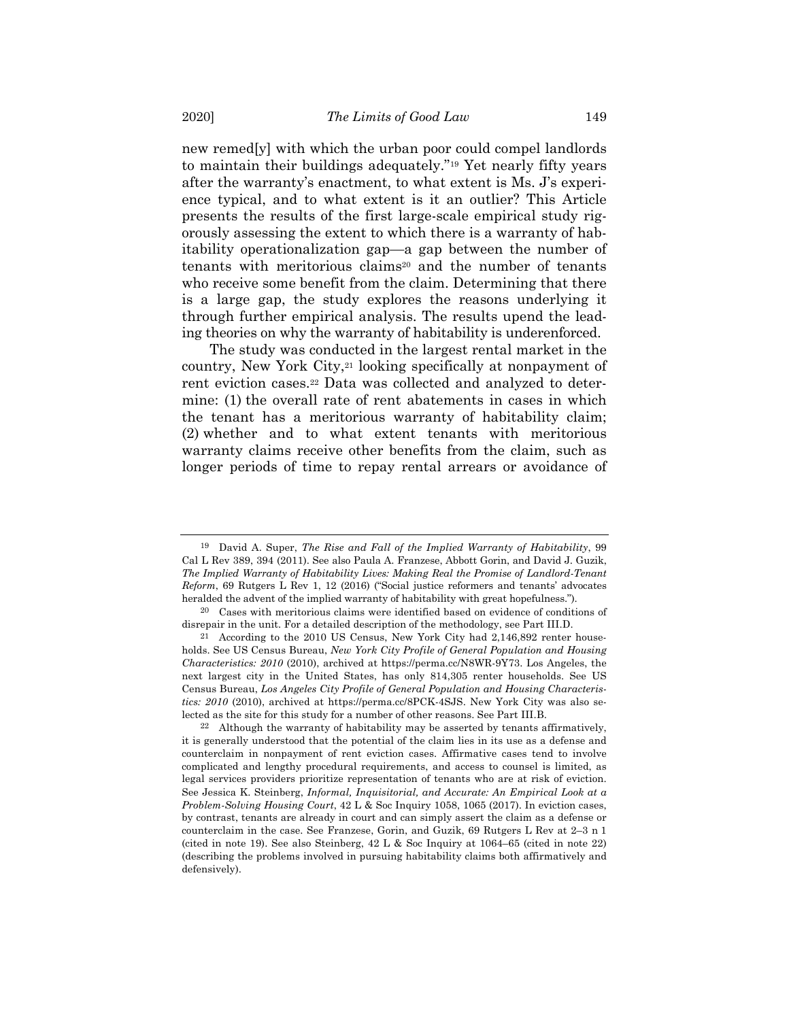new remed[y] with which the urban poor could compel landlords to maintain their buildings adequately."19 Yet nearly fifty years after the warranty's enactment, to what extent is Ms. J's experience typical, and to what extent is it an outlier? This Article presents the results of the first large-scale empirical study rigorously assessing the extent to which there is a warranty of habitability operationalization gap—a gap between the number of tenants with meritorious claims<sup>20</sup> and the number of tenants who receive some benefit from the claim. Determining that there is a large gap, the study explores the reasons underlying it through further empirical analysis. The results upend the leading theories on why the warranty of habitability is underenforced.

The study was conducted in the largest rental market in the country, New York City,<sup>21</sup> looking specifically at nonpayment of rent eviction cases.<sup>22</sup> Data was collected and analyzed to determine: (1) the overall rate of rent abatements in cases in which the tenant has a meritorious warranty of habitability claim; (2) whether and to what extent tenants with meritorious warranty claims receive other benefits from the claim, such as longer periods of time to repay rental arrears or avoidance of

<sup>19</sup> David A. Super, *The Rise and Fall of the Implied Warranty of Habitability*, 99 Cal L Rev 389, 394 (2011). See also Paula A. Franzese, Abbott Gorin, and David J. Guzik, *The Implied Warranty of Habitability Lives: Making Real the Promise of Landlord-Tenant Reform*, 69 Rutgers L Rev 1, 12 (2016) ("Social justice reformers and tenants' advocates heralded the advent of the implied warranty of habitability with great hopefulness.").

<sup>20</sup> Cases with meritorious claims were identified based on evidence of conditions of disrepair in the unit. For a detailed description of the methodology, see Part III.D.

<sup>21</sup> According to the 2010 US Census, New York City had 2,146,892 renter households. See US Census Bureau, *New York City Profile of General Population and Housing Characteristics: 2010* (2010), archived at https://perma.cc/N8WR-9Y73. Los Angeles, the next largest city in the United States, has only 814,305 renter households. See US Census Bureau, *Los Angeles City Profile of General Population and Housing Characteristics: 2010* (2010), archived at https://perma.cc/8PCK-4SJS. New York City was also selected as the site for this study for a number of other reasons. See Part III.B.

<sup>22</sup> Although the warranty of habitability may be asserted by tenants affirmatively, it is generally understood that the potential of the claim lies in its use as a defense and counterclaim in nonpayment of rent eviction cases. Affirmative cases tend to involve complicated and lengthy procedural requirements, and access to counsel is limited, as legal services providers prioritize representation of tenants who are at risk of eviction. See Jessica K. Steinberg, *Informal, Inquisitorial, and Accurate: An Empirical Look at a Problem-Solving Housing Court*, 42 L & Soc Inquiry 1058, 1065 (2017). In eviction cases, by contrast, tenants are already in court and can simply assert the claim as a defense or counterclaim in the case. See Franzese, Gorin, and Guzik, 69 Rutgers L Rev at 2–3 n 1 (cited in note 19). See also Steinberg, 42 L & Soc Inquiry at 1064–65 (cited in note 22) (describing the problems involved in pursuing habitability claims both affirmatively and defensively).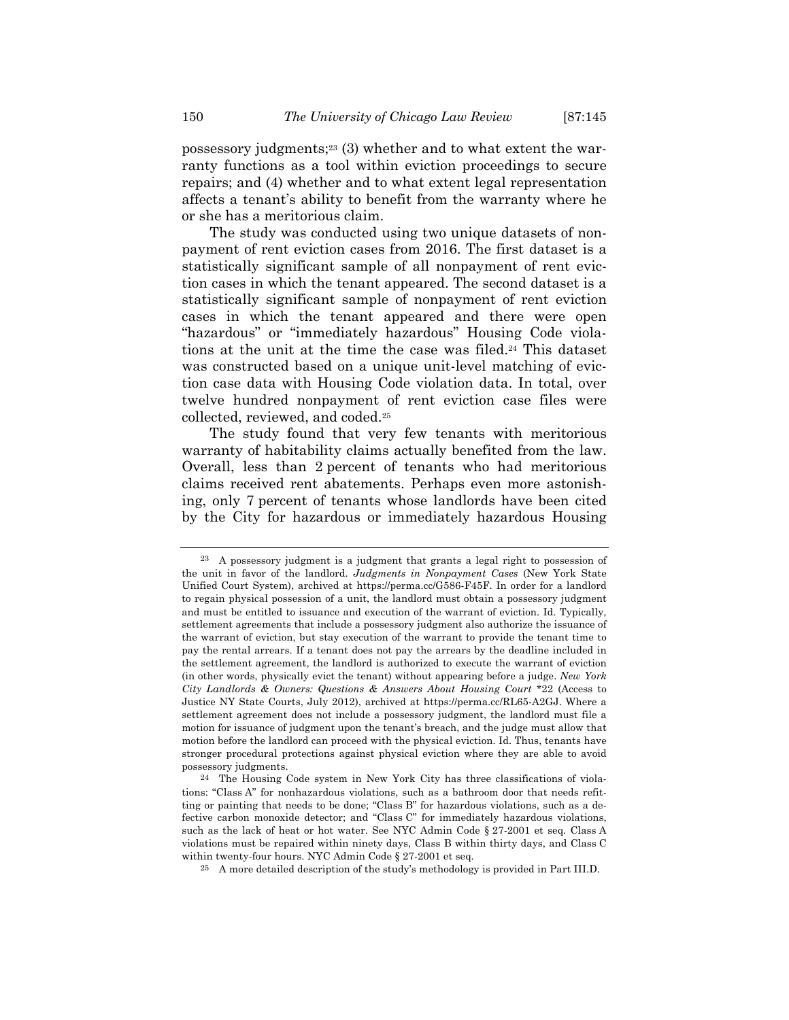possessory judgments;23 (3) whether and to what extent the warranty functions as a tool within eviction proceedings to secure repairs; and (4) whether and to what extent legal representation affects a tenant's ability to benefit from the warranty where he or she has a meritorious claim.

The study was conducted using two unique datasets of nonpayment of rent eviction cases from 2016. The first dataset is a statistically significant sample of all nonpayment of rent eviction cases in which the tenant appeared. The second dataset is a statistically significant sample of nonpayment of rent eviction cases in which the tenant appeared and there were open "hazardous" or "immediately hazardous" Housing Code violations at the unit at the time the case was filed.24 This dataset was constructed based on a unique unit-level matching of eviction case data with Housing Code violation data. In total, over twelve hundred nonpayment of rent eviction case files were collected, reviewed, and coded.25

The study found that very few tenants with meritorious warranty of habitability claims actually benefited from the law. Overall, less than 2 percent of tenants who had meritorious claims received rent abatements. Perhaps even more astonishing, only 7 percent of tenants whose landlords have been cited by the City for hazardous or immediately hazardous Housing

<sup>23</sup> A possessory judgment is a judgment that grants a legal right to possession of the unit in favor of the landlord. *Judgments in Nonpayment Cases* (New York State Unified Court System), archived at https://perma.cc/G586-F45F. In order for a landlord to regain physical possession of a unit, the landlord must obtain a possessory judgment and must be entitled to issuance and execution of the warrant of eviction. Id. Typically, settlement agreements that include a possessory judgment also authorize the issuance of the warrant of eviction, but stay execution of the warrant to provide the tenant time to pay the rental arrears. If a tenant does not pay the arrears by the deadline included in the settlement agreement, the landlord is authorized to execute the warrant of eviction (in other words, physically evict the tenant) without appearing before a judge. *New York City Landlords & Owners: Questions & Answers About Housing Court* \*22 (Access to Justice NY State Courts, July 2012), archived at https://perma.cc/RL65-A2GJ. Where a settlement agreement does not include a possessory judgment, the landlord must file a motion for issuance of judgment upon the tenant's breach, and the judge must allow that motion before the landlord can proceed with the physical eviction. Id. Thus, tenants have stronger procedural protections against physical eviction where they are able to avoid possessory judgments.

<sup>24</sup> The Housing Code system in New York City has three classifications of violations: "Class A" for nonhazardous violations, such as a bathroom door that needs refitting or painting that needs to be done; "Class B" for hazardous violations, such as a defective carbon monoxide detector; and "Class C" for immediately hazardous violations, such as the lack of heat or hot water. See NYC Admin Code § 27-2001 et seq. Class A violations must be repaired within ninety days, Class B within thirty days, and Class C within twenty-four hours. NYC Admin Code § 27-2001 et seq.

<sup>25</sup> A more detailed description of the study's methodology is provided in Part III.D.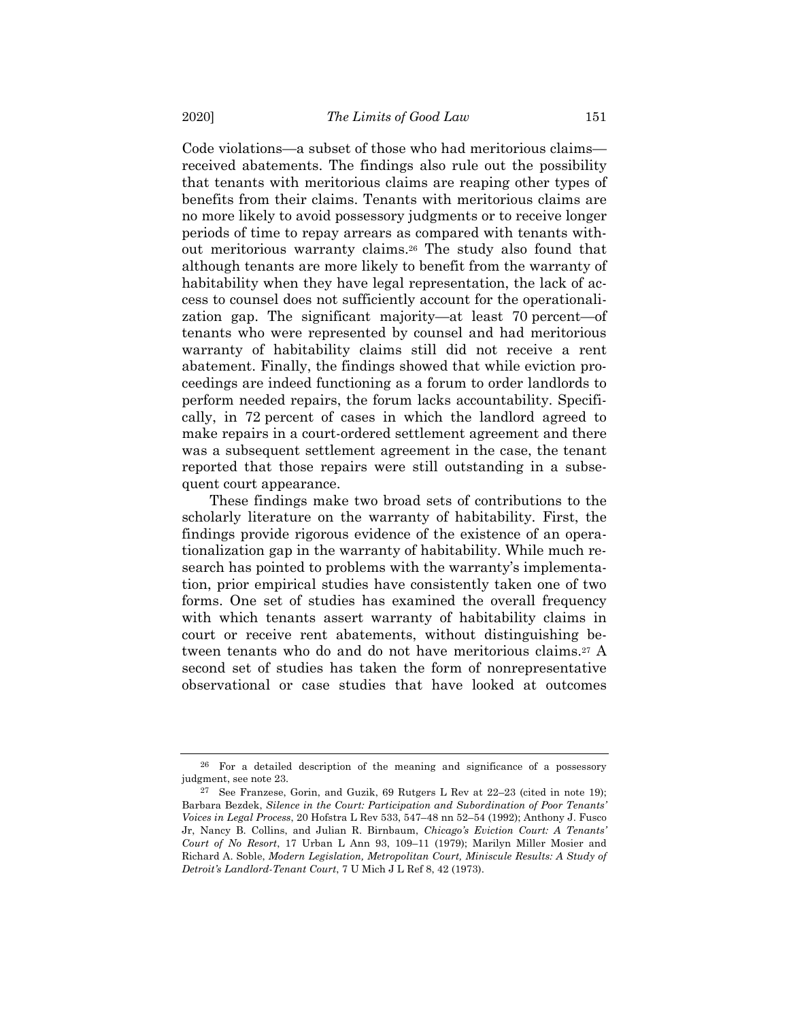Code violations—a subset of those who had meritorious claims received abatements. The findings also rule out the possibility that tenants with meritorious claims are reaping other types of benefits from their claims. Tenants with meritorious claims are no more likely to avoid possessory judgments or to receive longer periods of time to repay arrears as compared with tenants without meritorious warranty claims.26 The study also found that although tenants are more likely to benefit from the warranty of habitability when they have legal representation, the lack of access to counsel does not sufficiently account for the operationalization gap. The significant majority—at least 70 percent—of tenants who were represented by counsel and had meritorious warranty of habitability claims still did not receive a rent abatement. Finally, the findings showed that while eviction proceedings are indeed functioning as a forum to order landlords to perform needed repairs, the forum lacks accountability. Specifically, in 72 percent of cases in which the landlord agreed to make repairs in a court-ordered settlement agreement and there was a subsequent settlement agreement in the case, the tenant reported that those repairs were still outstanding in a subsequent court appearance.

These findings make two broad sets of contributions to the scholarly literature on the warranty of habitability. First, the findings provide rigorous evidence of the existence of an operationalization gap in the warranty of habitability. While much research has pointed to problems with the warranty's implementation, prior empirical studies have consistently taken one of two forms. One set of studies has examined the overall frequency with which tenants assert warranty of habitability claims in court or receive rent abatements, without distinguishing between tenants who do and do not have meritorious claims.27 A second set of studies has taken the form of nonrepresentative observational or case studies that have looked at outcomes

<sup>26</sup> For a detailed description of the meaning and significance of a possessory judgment, see note 23.

<sup>27</sup> See Franzese, Gorin, and Guzik, 69 Rutgers L Rev at 22–23 (cited in note 19); Barbara Bezdek, *Silence in the Court: Participation and Subordination of Poor Tenants' Voices in Legal Process*, 20 Hofstra L Rev 533, 547–48 nn 52–54 (1992); Anthony J. Fusco Jr, Nancy B. Collins, and Julian R. Birnbaum, *Chicago's Eviction Court: A Tenants' Court of No Resort*, 17 Urban L Ann 93, 109–11 (1979); Marilyn Miller Mosier and Richard A. Soble, *Modern Legislation, Metropolitan Court, Miniscule Results: A Study of Detroit's Landlord-Tenant Court*, 7 U Mich J L Ref 8, 42 (1973).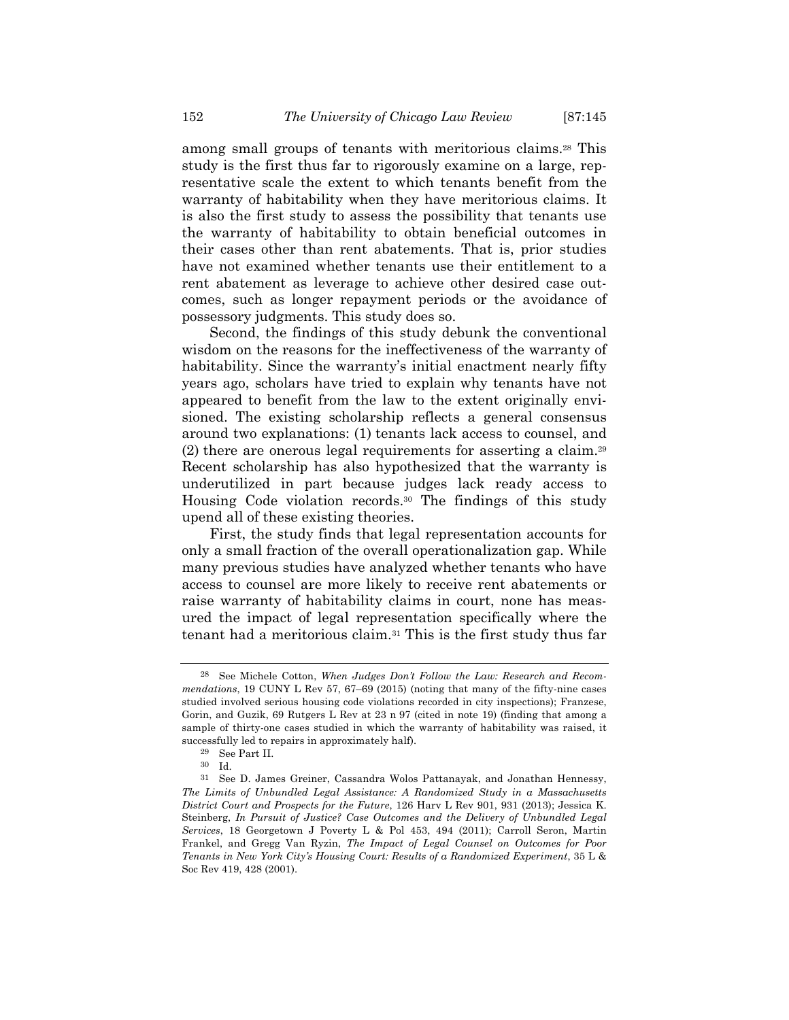among small groups of tenants with meritorious claims.28 This study is the first thus far to rigorously examine on a large, representative scale the extent to which tenants benefit from the warranty of habitability when they have meritorious claims. It is also the first study to assess the possibility that tenants use the warranty of habitability to obtain beneficial outcomes in their cases other than rent abatements. That is, prior studies have not examined whether tenants use their entitlement to a rent abatement as leverage to achieve other desired case outcomes, such as longer repayment periods or the avoidance of possessory judgments. This study does so.

Second, the findings of this study debunk the conventional wisdom on the reasons for the ineffectiveness of the warranty of habitability. Since the warranty's initial enactment nearly fifty years ago, scholars have tried to explain why tenants have not appeared to benefit from the law to the extent originally envisioned. The existing scholarship reflects a general consensus around two explanations: (1) tenants lack access to counsel, and (2) there are onerous legal requirements for asserting a claim.29 Recent scholarship has also hypothesized that the warranty is underutilized in part because judges lack ready access to Housing Code violation records.30 The findings of this study upend all of these existing theories.

First, the study finds that legal representation accounts for only a small fraction of the overall operationalization gap. While many previous studies have analyzed whether tenants who have access to counsel are more likely to receive rent abatements or raise warranty of habitability claims in court, none has measured the impact of legal representation specifically where the tenant had a meritorious claim.31 This is the first study thus far

<sup>28</sup> See Michele Cotton, *When Judges Don't Follow the Law: Research and Recommendations*, 19 CUNY L Rev 57, 67–69 (2015) (noting that many of the fifty-nine cases studied involved serious housing code violations recorded in city inspections); Franzese, Gorin, and Guzik, 69 Rutgers L Rev at 23 n 97 (cited in note 19) (finding that among a sample of thirty-one cases studied in which the warranty of habitability was raised, it successfully led to repairs in approximately half).

<sup>29</sup> See Part II.

<sup>30</sup> Id.

<sup>31</sup> See D. James Greiner, Cassandra Wolos Pattanayak, and Jonathan Hennessy, *The Limits of Unbundled Legal Assistance: A Randomized Study in a Massachusetts District Court and Prospects for the Future*, 126 Harv L Rev 901, 931 (2013); Jessica K. Steinberg, *In Pursuit of Justice? Case Outcomes and the Delivery of Unbundled Legal Services*, 18 Georgetown J Poverty L & Pol 453, 494 (2011); Carroll Seron, Martin Frankel, and Gregg Van Ryzin, *The Impact of Legal Counsel on Outcomes for Poor Tenants in New York City's Housing Court: Results of a Randomized Experiment*, 35 L & Soc Rev 419, 428 (2001).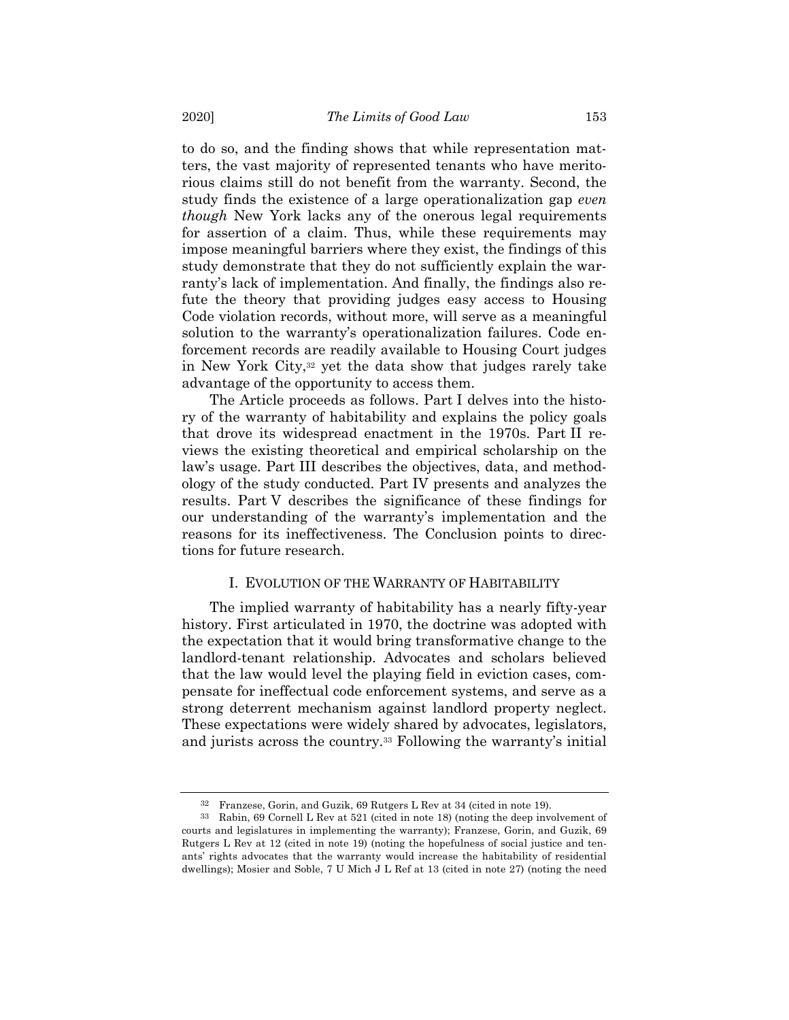to do so, and the finding shows that while representation matters, the vast majority of represented tenants who have meritorious claims still do not benefit from the warranty. Second, the study finds the existence of a large operationalization gap *even though* New York lacks any of the onerous legal requirements for assertion of a claim. Thus, while these requirements may impose meaningful barriers where they exist, the findings of this study demonstrate that they do not sufficiently explain the warranty's lack of implementation. And finally, the findings also refute the theory that providing judges easy access to Housing Code violation records, without more, will serve as a meaningful solution to the warranty's operationalization failures. Code enforcement records are readily available to Housing Court judges in New York City,32 yet the data show that judges rarely take advantage of the opportunity to access them.

The Article proceeds as follows. Part I delves into the history of the warranty of habitability and explains the policy goals that drove its widespread enactment in the 1970s. Part II reviews the existing theoretical and empirical scholarship on the law's usage. Part III describes the objectives, data, and methodology of the study conducted. Part IV presents and analyzes the results. Part V describes the significance of these findings for our understanding of the warranty's implementation and the reasons for its ineffectiveness. The Conclusion points to directions for future research.

## I. EVOLUTION OF THE WARRANTY OF HABITABILITY

The implied warranty of habitability has a nearly fifty-year history. First articulated in 1970, the doctrine was adopted with the expectation that it would bring transformative change to the landlord-tenant relationship. Advocates and scholars believed that the law would level the playing field in eviction cases, compensate for ineffectual code enforcement systems, and serve as a strong deterrent mechanism against landlord property neglect. These expectations were widely shared by advocates, legislators, and jurists across the country.33 Following the warranty's initial

<sup>32</sup> Franzese, Gorin, and Guzik, 69 Rutgers L Rev at 34 (cited in note 19).

<sup>33</sup> Rabin, 69 Cornell L Rev at 521 (cited in note 18) (noting the deep involvement of courts and legislatures in implementing the warranty); Franzese, Gorin, and Guzik, 69 Rutgers L Rev at 12 (cited in note 19) (noting the hopefulness of social justice and tenants' rights advocates that the warranty would increase the habitability of residential dwellings); Mosier and Soble, 7 U Mich J L Ref at 13 (cited in note 27) (noting the need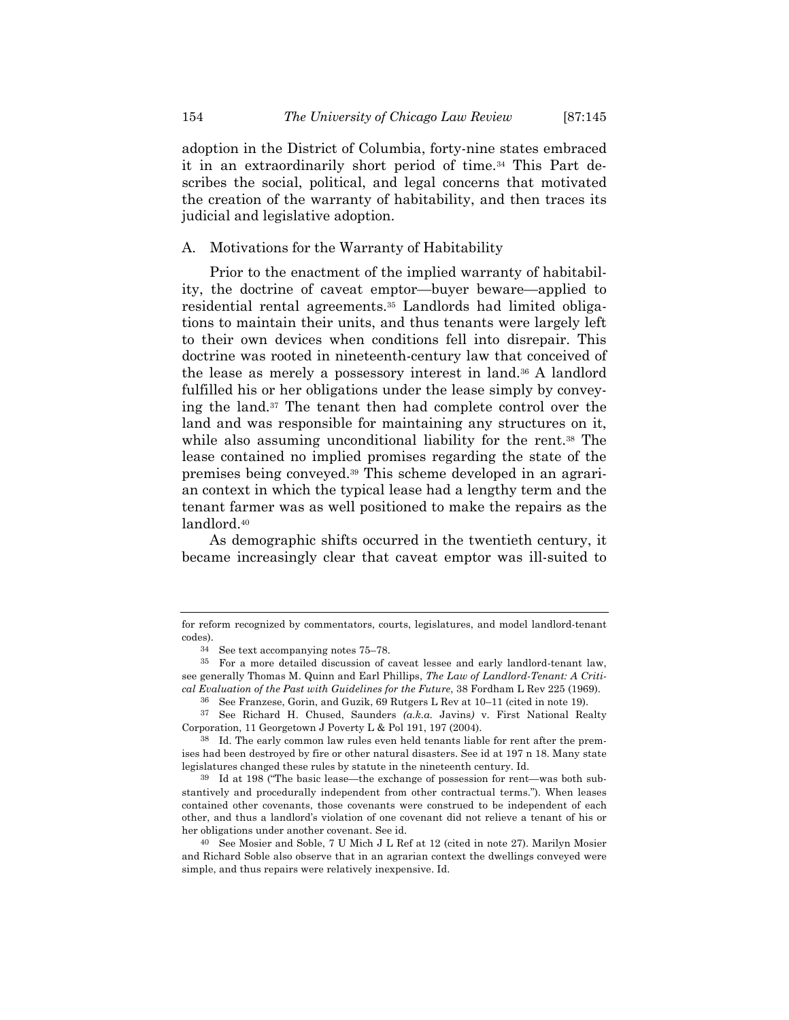adoption in the District of Columbia, forty-nine states embraced it in an extraordinarily short period of time.34 This Part describes the social, political, and legal concerns that motivated the creation of the warranty of habitability, and then traces its judicial and legislative adoption.

A. Motivations for the Warranty of Habitability

Prior to the enactment of the implied warranty of habitability, the doctrine of caveat emptor—buyer beware—applied to residential rental agreements.35 Landlords had limited obligations to maintain their units, and thus tenants were largely left to their own devices when conditions fell into disrepair. This doctrine was rooted in nineteenth-century law that conceived of the lease as merely a possessory interest in land.36 A landlord fulfilled his or her obligations under the lease simply by conveying the land.37 The tenant then had complete control over the land and was responsible for maintaining any structures on it, while also assuming unconditional liability for the rent.<sup>38</sup> The lease contained no implied promises regarding the state of the premises being conveyed.39 This scheme developed in an agrarian context in which the typical lease had a lengthy term and the tenant farmer was as well positioned to make the repairs as the landlord.40

As demographic shifts occurred in the twentieth century, it became increasingly clear that caveat emptor was ill-suited to

for reform recognized by commentators, courts, legislatures, and model landlord-tenant codes).

<sup>34</sup> See text accompanying notes 75–78.

<sup>35</sup> For a more detailed discussion of caveat lessee and early landlord-tenant law, see generally Thomas M. Quinn and Earl Phillips, *The Law of Landlord-Tenant: A Critical Evaluation of the Past with Guidelines for the Future*, 38 Fordham L Rev 225 (1969).

<sup>36</sup> See Franzese, Gorin, and Guzik, 69 Rutgers L Rev at 10–11 (cited in note 19).

<sup>37</sup> See Richard H. Chused, Saunders *(a.k.a.* Javins*)* v. First National Realty Corporation, 11 Georgetown J Poverty L & Pol 191, 197 (2004).

<sup>38</sup> Id. The early common law rules even held tenants liable for rent after the premises had been destroyed by fire or other natural disasters. See id at 197 n 18. Many state legislatures changed these rules by statute in the nineteenth century. Id.

<sup>39</sup> Id at 198 ("The basic lease—the exchange of possession for rent—was both substantively and procedurally independent from other contractual terms."). When leases contained other covenants, those covenants were construed to be independent of each other, and thus a landlord's violation of one covenant did not relieve a tenant of his or her obligations under another covenant. See id.

<sup>40</sup> See Mosier and Soble, 7 U Mich J L Ref at 12 (cited in note 27). Marilyn Mosier and Richard Soble also observe that in an agrarian context the dwellings conveyed were simple, and thus repairs were relatively inexpensive. Id.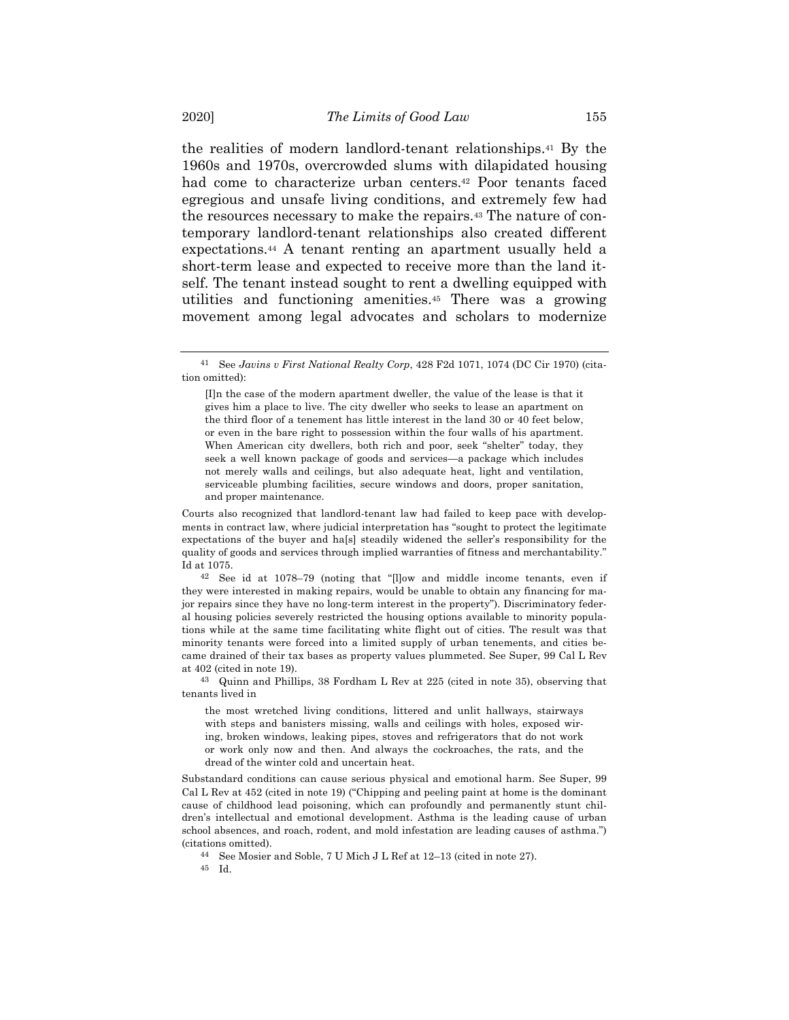the realities of modern landlord-tenant relationships.41 By the 1960s and 1970s, overcrowded slums with dilapidated housing had come to characterize urban centers.<sup>42</sup> Poor tenants faced egregious and unsafe living conditions, and extremely few had the resources necessary to make the repairs.43 The nature of contemporary landlord-tenant relationships also created different expectations.44 A tenant renting an apartment usually held a short-term lease and expected to receive more than the land itself. The tenant instead sought to rent a dwelling equipped with utilities and functioning amenities.45 There was a growing movement among legal advocates and scholars to modernize

Courts also recognized that landlord-tenant law had failed to keep pace with developments in contract law, where judicial interpretation has "sought to protect the legitimate expectations of the buyer and ha[s] steadily widened the seller's responsibility for the quality of goods and services through implied warranties of fitness and merchantability." Id at 1075.

42 See id at 1078–79 (noting that "[l]ow and middle income tenants, even if they were interested in making repairs, would be unable to obtain any financing for major repairs since they have no long-term interest in the property"). Discriminatory federal housing policies severely restricted the housing options available to minority populations while at the same time facilitating white flight out of cities. The result was that minority tenants were forced into a limited supply of urban tenements, and cities became drained of their tax bases as property values plummeted. See Super, 99 Cal L Rev at 402 (cited in note 19).

43 Quinn and Phillips, 38 Fordham L Rev at 225 (cited in note 35), observing that tenants lived in

the most wretched living conditions, littered and unlit hallways, stairways with steps and banisters missing, walls and ceilings with holes, exposed wiring, broken windows, leaking pipes, stoves and refrigerators that do not work or work only now and then. And always the cockroaches, the rats, and the dread of the winter cold and uncertain heat.

Substandard conditions can cause serious physical and emotional harm. See Super, 99 Cal L Rev at 452 (cited in note 19) ("Chipping and peeling paint at home is the dominant cause of childhood lead poisoning, which can profoundly and permanently stunt children's intellectual and emotional development. Asthma is the leading cause of urban school absences, and roach, rodent, and mold infestation are leading causes of asthma.") (citations omitted).

44 See Mosier and Soble, 7 U Mich J L Ref at 12–13 (cited in note 27).

45 Id.

<sup>41</sup> See *Javins v First National Realty Corp*, 428 F2d 1071, 1074 (DC Cir 1970) (citation omitted):

<sup>[</sup>I]n the case of the modern apartment dweller, the value of the lease is that it gives him a place to live. The city dweller who seeks to lease an apartment on the third floor of a tenement has little interest in the land 30 or 40 feet below, or even in the bare right to possession within the four walls of his apartment. When American city dwellers, both rich and poor, seek "shelter" today, they seek a well known package of goods and services—a package which includes not merely walls and ceilings, but also adequate heat, light and ventilation, serviceable plumbing facilities, secure windows and doors, proper sanitation, and proper maintenance.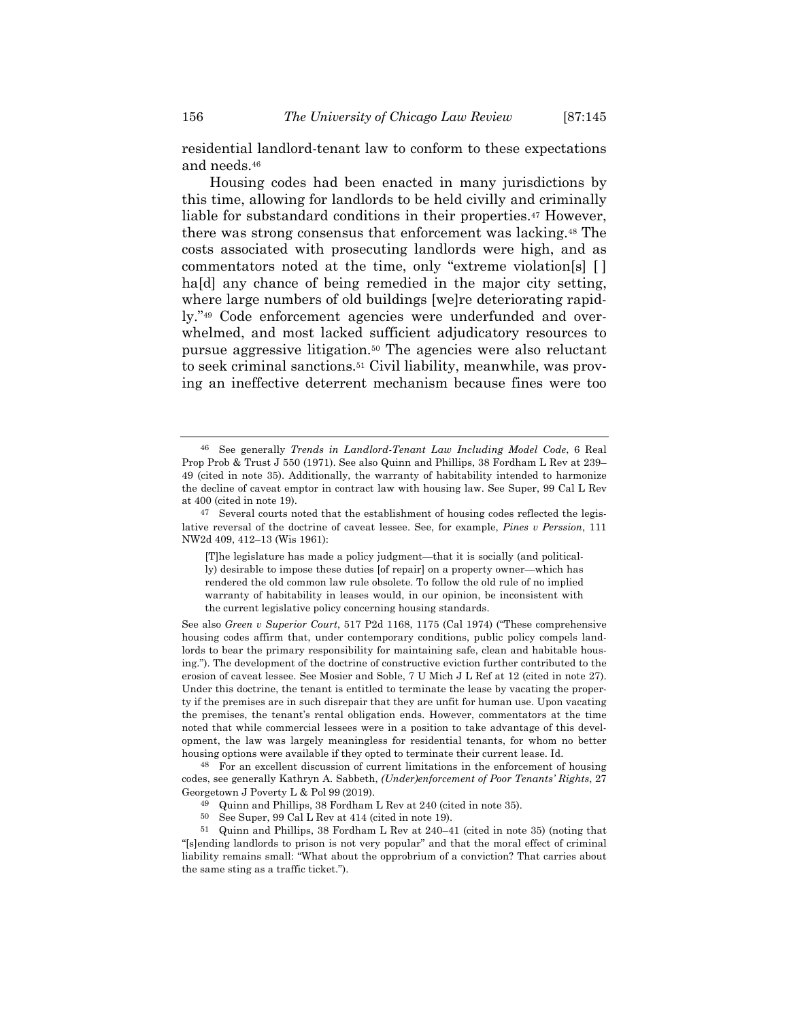residential landlord-tenant law to conform to these expectations and needs.46

Housing codes had been enacted in many jurisdictions by this time, allowing for landlords to be held civilly and criminally liable for substandard conditions in their properties.<sup>47</sup> However, there was strong consensus that enforcement was lacking.48 The costs associated with prosecuting landlords were high, and as commentators noted at the time, only "extreme violation[s] [ ] ha<sup>[d]</sup> any chance of being remedied in the major city setting, where large numbers of old buildings [we]re deteriorating rapidly."49 Code enforcement agencies were underfunded and overwhelmed, and most lacked sufficient adjudicatory resources to pursue aggressive litigation.50 The agencies were also reluctant to seek criminal sanctions.51 Civil liability, meanwhile, was proving an ineffective deterrent mechanism because fines were too

See also *Green v Superior Court*, 517 P2d 1168, 1175 (Cal 1974) ("These comprehensive housing codes affirm that, under contemporary conditions, public policy compels landlords to bear the primary responsibility for maintaining safe, clean and habitable housing."). The development of the doctrine of constructive eviction further contributed to the erosion of caveat lessee. See Mosier and Soble, 7 U Mich J L Ref at 12 (cited in note 27). Under this doctrine, the tenant is entitled to terminate the lease by vacating the property if the premises are in such disrepair that they are unfit for human use. Upon vacating the premises, the tenant's rental obligation ends. However, commentators at the time noted that while commercial lessees were in a position to take advantage of this development, the law was largely meaningless for residential tenants, for whom no better housing options were available if they opted to terminate their current lease. Id.

48 For an excellent discussion of current limitations in the enforcement of housing codes, see generally Kathryn A. Sabbeth, *(Under)enforcement of Poor Tenants' Rights*, 27 Georgetown J Poverty L & Pol 99 (2019).

- 49 Quinn and Phillips, 38 Fordham L Rev at 240 (cited in note 35).
- 50 See Super, 99 Cal L Rev at 414 (cited in note 19).

51 Quinn and Phillips, 38 Fordham L Rev at 240–41 (cited in note 35) (noting that "[s]ending landlords to prison is not very popular" and that the moral effect of criminal liability remains small: "What about the opprobrium of a conviction? That carries about the same sting as a traffic ticket.").

<sup>46</sup> See generally *Trends in Landlord-Tenant Law Including Model Code*, 6 Real Prop Prob & Trust J 550 (1971). See also Quinn and Phillips, 38 Fordham L Rev at 239– 49 (cited in note 35). Additionally, the warranty of habitability intended to harmonize the decline of caveat emptor in contract law with housing law. See Super, 99 Cal L Rev at 400 (cited in note 19).

<sup>47</sup> Several courts noted that the establishment of housing codes reflected the legislative reversal of the doctrine of caveat lessee. See, for example, *Pines v Perssion*, 111 NW2d 409, 412–13 (Wis 1961):

<sup>[</sup>T]he legislature has made a policy judgment—that it is socially (and politically) desirable to impose these duties [of repair] on a property owner—which has rendered the old common law rule obsolete. To follow the old rule of no implied warranty of habitability in leases would, in our opinion, be inconsistent with the current legislative policy concerning housing standards.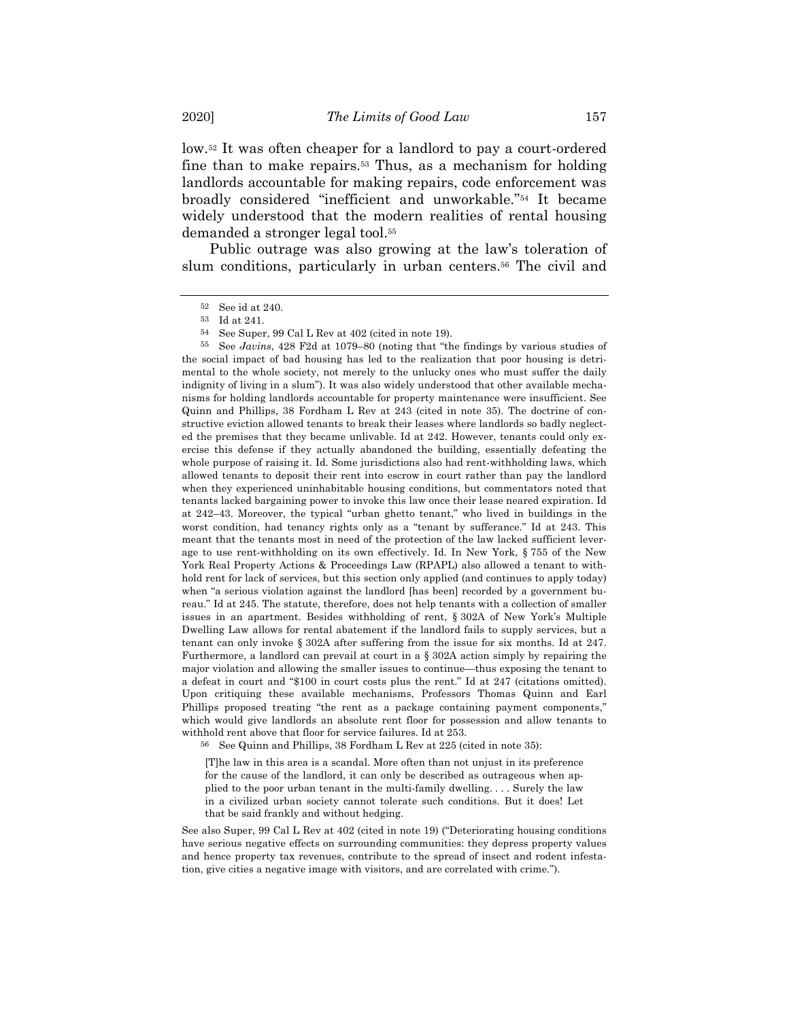low.52 It was often cheaper for a landlord to pay a court-ordered fine than to make repairs.53 Thus, as a mechanism for holding landlords accountable for making repairs, code enforcement was broadly considered "inefficient and unworkable."54 It became widely understood that the modern realities of rental housing demanded a stronger legal tool.55

Public outrage was also growing at the law's toleration of slum conditions, particularly in urban centers.<sup>56</sup> The civil and

55 See *Javins*, 428 F2d at 1079–80 (noting that "the findings by various studies of the social impact of bad housing has led to the realization that poor housing is detrimental to the whole society, not merely to the unlucky ones who must suffer the daily indignity of living in a slum"). It was also widely understood that other available mechanisms for holding landlords accountable for property maintenance were insufficient. See Quinn and Phillips, 38 Fordham L Rev at 243 (cited in note 35). The doctrine of constructive eviction allowed tenants to break their leases where landlords so badly neglected the premises that they became unlivable. Id at 242. However, tenants could only exercise this defense if they actually abandoned the building, essentially defeating the whole purpose of raising it. Id. Some jurisdictions also had rent-withholding laws, which allowed tenants to deposit their rent into escrow in court rather than pay the landlord when they experienced uninhabitable housing conditions, but commentators noted that tenants lacked bargaining power to invoke this law once their lease neared expiration. Id at 242–43. Moreover, the typical "urban ghetto tenant," who lived in buildings in the worst condition, had tenancy rights only as a "tenant by sufferance." Id at 243. This meant that the tenants most in need of the protection of the law lacked sufficient leverage to use rent-withholding on its own effectively. Id. In New York, § 755 of the New York Real Property Actions & Proceedings Law (RPAPL) also allowed a tenant to withhold rent for lack of services, but this section only applied (and continues to apply today) when "a serious violation against the landlord [has been] recorded by a government bureau." Id at 245. The statute, therefore, does not help tenants with a collection of smaller issues in an apartment. Besides withholding of rent, § 302A of New York's Multiple Dwelling Law allows for rental abatement if the landlord fails to supply services, but a tenant can only invoke § 302A after suffering from the issue for six months. Id at 247. Furthermore, a landlord can prevail at court in a § 302A action simply by repairing the major violation and allowing the smaller issues to continue—thus exposing the tenant to a defeat in court and "\$100 in court costs plus the rent." Id at 247 (citations omitted). Upon critiquing these available mechanisms, Professors Thomas Quinn and Earl Phillips proposed treating "the rent as a package containing payment components," which would give landlords an absolute rent floor for possession and allow tenants to withhold rent above that floor for service failures. Id at 253.

56 See Quinn and Phillips, 38 Fordham L Rev at 225 (cited in note 35):

[T]he law in this area is a scandal. More often than not unjust in its preference for the cause of the landlord, it can only be described as outrageous when applied to the poor urban tenant in the multi-family dwelling. . . . Surely the law in a civilized urban society cannot tolerate such conditions. But it does! Let that be said frankly and without hedging.

See also Super, 99 Cal L Rev at 402 (cited in note 19) ("Deteriorating housing conditions have serious negative effects on surrounding communities: they depress property values and hence property tax revenues, contribute to the spread of insect and rodent infestation, give cities a negative image with visitors, and are correlated with crime.").

<sup>52</sup> See id at 240.

<sup>53</sup> Id at 241.

<sup>54</sup> See Super, 99 Cal L Rev at 402 (cited in note 19).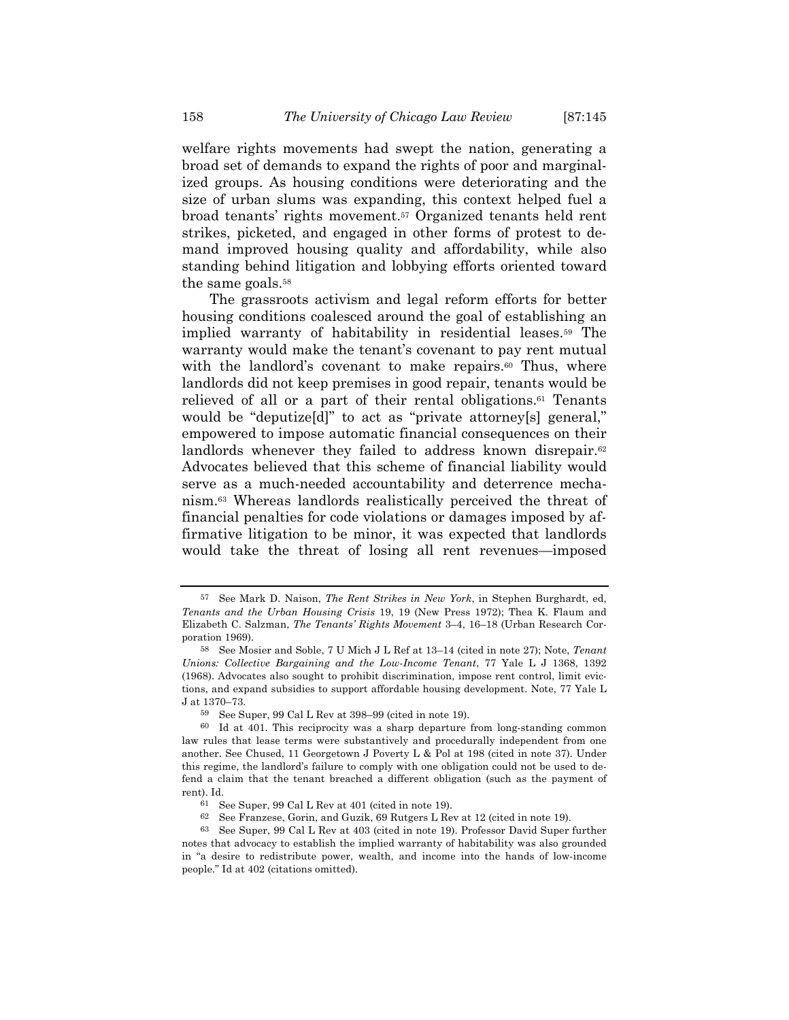welfare rights movements had swept the nation, generating a broad set of demands to expand the rights of poor and marginalized groups. As housing conditions were deteriorating and the size of urban slums was expanding, this context helped fuel a broad tenants' rights movement.57 Organized tenants held rent strikes, picketed, and engaged in other forms of protest to demand improved housing quality and affordability, while also standing behind litigation and lobbying efforts oriented toward the same goals.<sup>58</sup>

The grassroots activism and legal reform efforts for better housing conditions coalesced around the goal of establishing an implied warranty of habitability in residential leases.59 The warranty would make the tenant's covenant to pay rent mutual with the landlord's covenant to make repairs.<sup>60</sup> Thus, where landlords did not keep premises in good repair, tenants would be relieved of all or a part of their rental obligations.61 Tenants would be "deputize[d]" to act as "private attorney[s] general," empowered to impose automatic financial consequences on their landlords whenever they failed to address known disrepair.<sup>62</sup> Advocates believed that this scheme of financial liability would serve as a much-needed accountability and deterrence mechanism.63 Whereas landlords realistically perceived the threat of financial penalties for code violations or damages imposed by affirmative litigation to be minor, it was expected that landlords would take the threat of losing all rent revenues—imposed

<sup>57</sup> See Mark D. Naison, *The Rent Strikes in New York*, in Stephen Burghardt, ed, *Tenants and the Urban Housing Crisis* 19, 19 (New Press 1972); Thea K. Flaum and Elizabeth C. Salzman, *The Tenants' Rights Movement* 3–4, 16–18 (Urban Research Corporation 1969).

<sup>58</sup> See Mosier and Soble, 7 U Mich J L Ref at 13–14 (cited in note 27); Note, *Tenant Unions: Collective Bargaining and the Low-Income Tenant*, 77 Yale L J 1368, 1392 (1968). Advocates also sought to prohibit discrimination, impose rent control, limit evictions, and expand subsidies to support affordable housing development. Note, 77 Yale L J at 1370–73.

<sup>59</sup> See Super, 99 Cal L Rev at 398–99 (cited in note 19).

<sup>60</sup> Id at 401. This reciprocity was a sharp departure from long-standing common law rules that lease terms were substantively and procedurally independent from one another. See Chused, 11 Georgetown J Poverty L & Pol at 198 (cited in note 37). Under this regime, the landlord's failure to comply with one obligation could not be used to defend a claim that the tenant breached a different obligation (such as the payment of rent). Id.

<sup>61</sup> See Super, 99 Cal L Rev at 401 (cited in note 19).

<sup>62</sup> See Franzese, Gorin, and Guzik, 69 Rutgers L Rev at 12 (cited in note 19).

<sup>63</sup> See Super, 99 Cal L Rev at 403 (cited in note 19). Professor David Super further notes that advocacy to establish the implied warranty of habitability was also grounded in "a desire to redistribute power, wealth, and income into the hands of low-income people." Id at 402 (citations omitted).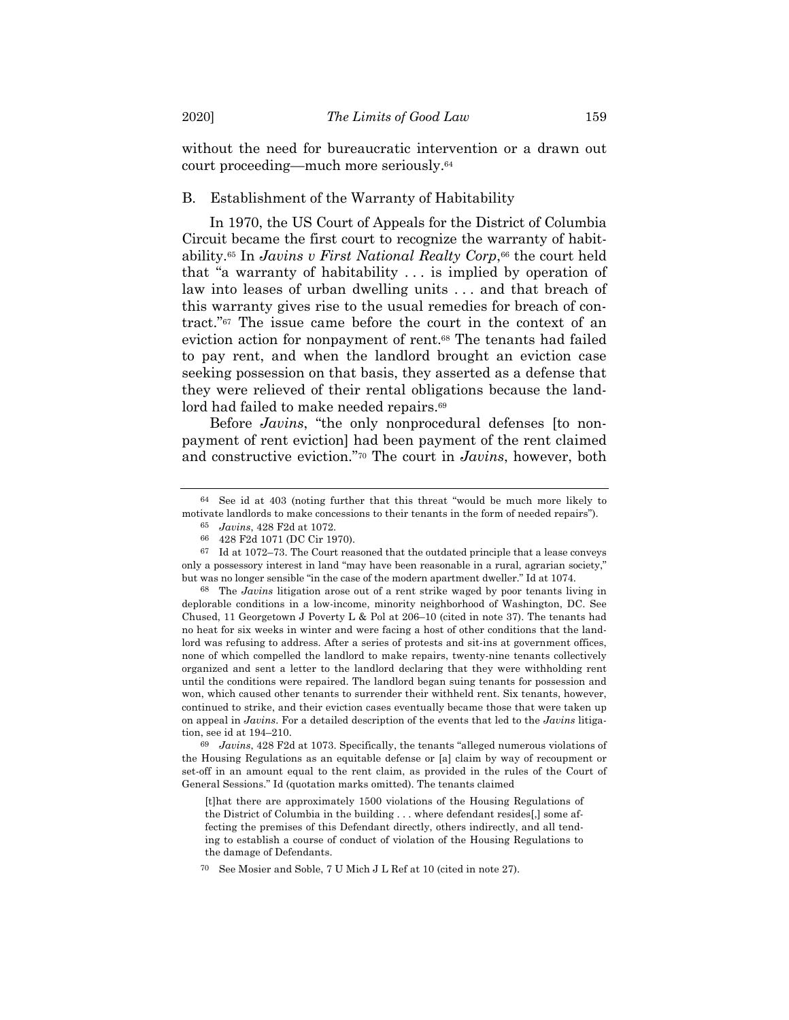without the need for bureaucratic intervention or a drawn out court proceeding—much more seriously.64

## B. Establishment of the Warranty of Habitability

In 1970, the US Court of Appeals for the District of Columbia Circuit became the first court to recognize the warranty of habitability.65 In *Javins v First National Realty Corp*,66 the court held that "a warranty of habitability . . . is implied by operation of law into leases of urban dwelling units . . . and that breach of this warranty gives rise to the usual remedies for breach of contract."67 The issue came before the court in the context of an eviction action for nonpayment of rent.68 The tenants had failed to pay rent, and when the landlord brought an eviction case seeking possession on that basis, they asserted as a defense that they were relieved of their rental obligations because the landlord had failed to make needed repairs.<sup>69</sup>

Before *Javins*, "the only nonprocedural defenses [to nonpayment of rent eviction] had been payment of the rent claimed and constructive eviction."70 The court in *Javins*, however, both

68 The *Javins* litigation arose out of a rent strike waged by poor tenants living in deplorable conditions in a low-income, minority neighborhood of Washington, DC. See Chused, 11 Georgetown J Poverty L & Pol at 206–10 (cited in note 37). The tenants had no heat for six weeks in winter and were facing a host of other conditions that the landlord was refusing to address. After a series of protests and sit-ins at government offices, none of which compelled the landlord to make repairs, twenty-nine tenants collectively organized and sent a letter to the landlord declaring that they were withholding rent until the conditions were repaired. The landlord began suing tenants for possession and won, which caused other tenants to surrender their withheld rent. Six tenants, however, continued to strike, and their eviction cases eventually became those that were taken up on appeal in *Javins*. For a detailed description of the events that led to the *Javins* litigation, see id at 194–210.

69 *Javins*, 428 F2d at 1073. Specifically, the tenants "alleged numerous violations of the Housing Regulations as an equitable defense or [a] claim by way of recoupment or set-off in an amount equal to the rent claim, as provided in the rules of the Court of General Sessions." Id (quotation marks omitted). The tenants claimed

[t]hat there are approximately 1500 violations of the Housing Regulations of the District of Columbia in the building . . . where defendant resides[,] some affecting the premises of this Defendant directly, others indirectly, and all tending to establish a course of conduct of violation of the Housing Regulations to the damage of Defendants.

<sup>64</sup> See id at 403 (noting further that this threat "would be much more likely to motivate landlords to make concessions to their tenants in the form of needed repairs").

<sup>65</sup> *Javins*, 428 F2d at 1072.

<sup>66</sup> 428 F2d 1071 (DC Cir 1970).

 $^{67}\;$  Id at 1072–73. The Court reasoned that the outdated principle that a lease conveys only a possessory interest in land "may have been reasonable in a rural, agrarian society," but was no longer sensible "in the case of the modern apartment dweller." Id at 1074.

<sup>70</sup> See Mosier and Soble, 7 U Mich J L Ref at 10 (cited in note 27).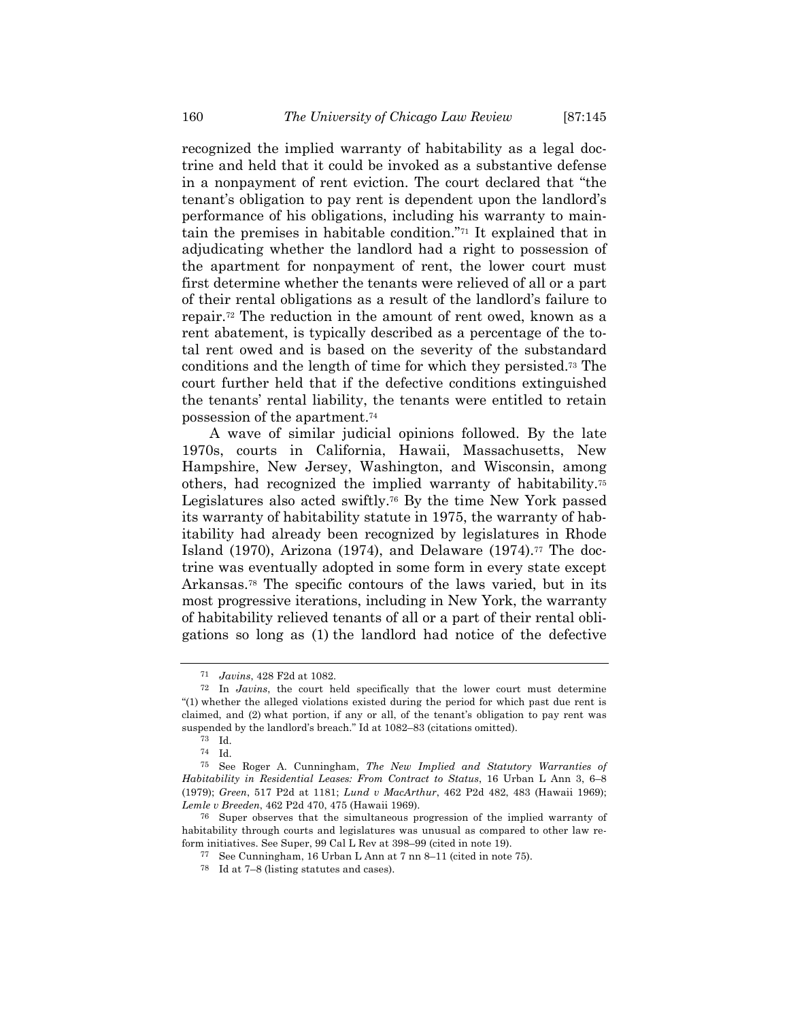recognized the implied warranty of habitability as a legal doctrine and held that it could be invoked as a substantive defense in a nonpayment of rent eviction. The court declared that "the tenant's obligation to pay rent is dependent upon the landlord's performance of his obligations, including his warranty to maintain the premises in habitable condition."71 It explained that in adjudicating whether the landlord had a right to possession of the apartment for nonpayment of rent, the lower court must first determine whether the tenants were relieved of all or a part of their rental obligations as a result of the landlord's failure to repair.72 The reduction in the amount of rent owed, known as a rent abatement, is typically described as a percentage of the total rent owed and is based on the severity of the substandard conditions and the length of time for which they persisted.73 The court further held that if the defective conditions extinguished the tenants' rental liability, the tenants were entitled to retain possession of the apartment.74

A wave of similar judicial opinions followed. By the late 1970s, courts in California, Hawaii, Massachusetts, New Hampshire, New Jersey, Washington, and Wisconsin, among others, had recognized the implied warranty of habitability.75 Legislatures also acted swiftly.76 By the time New York passed its warranty of habitability statute in 1975, the warranty of habitability had already been recognized by legislatures in Rhode Island (1970), Arizona (1974), and Delaware (1974).<sup>77</sup> The doctrine was eventually adopted in some form in every state except Arkansas.78 The specific contours of the laws varied, but in its most progressive iterations, including in New York, the warranty of habitability relieved tenants of all or a part of their rental obligations so long as (1) the landlord had notice of the defective

<sup>71</sup> *Javins*, 428 F2d at 1082.

<sup>72</sup> In *Javins*, the court held specifically that the lower court must determine "(1) whether the alleged violations existed during the period for which past due rent is claimed, and (2) what portion, if any or all, of the tenant's obligation to pay rent was suspended by the landlord's breach." Id at 1082–83 (citations omitted).

<sup>73</sup> Id.

<sup>74</sup> Id.

<sup>75</sup> See Roger A. Cunningham, *The New Implied and Statutory Warranties of Habitability in Residential Leases: From Contract to Status*, 16 Urban L Ann 3, 6–8 (1979); *Green*, 517 P2d at 1181; *Lund v MacArthur*, 462 P2d 482, 483 (Hawaii 1969); *Lemle v Breeden*, 462 P2d 470, 475 (Hawaii 1969).

<sup>76</sup> Super observes that the simultaneous progression of the implied warranty of habitability through courts and legislatures was unusual as compared to other law reform initiatives. See Super, 99 Cal L Rev at 398–99 (cited in note 19).

<sup>77</sup> See Cunningham, 16 Urban L Ann at 7 nn 8–11 (cited in note 75).

<sup>78</sup> Id at 7–8 (listing statutes and cases).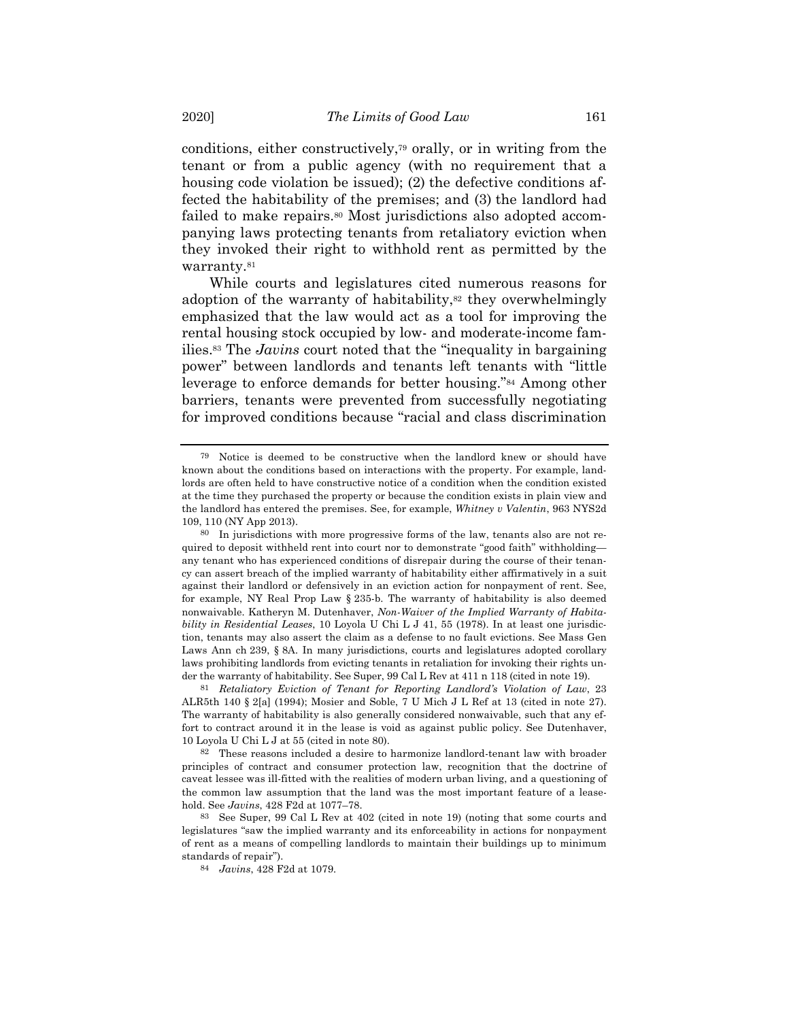conditions, either constructively,79 orally, or in writing from the tenant or from a public agency (with no requirement that a housing code violation be issued); (2) the defective conditions affected the habitability of the premises; and (3) the landlord had failed to make repairs.<sup>80</sup> Most jurisdictions also adopted accompanying laws protecting tenants from retaliatory eviction when they invoked their right to withhold rent as permitted by the warranty.<sup>81</sup>

While courts and legislatures cited numerous reasons for adoption of the warranty of habitability,<sup>82</sup> they overwhelmingly emphasized that the law would act as a tool for improving the rental housing stock occupied by low- and moderate-income families.83 The *Javins* court noted that the "inequality in bargaining power" between landlords and tenants left tenants with "little leverage to enforce demands for better housing."84 Among other barriers, tenants were prevented from successfully negotiating for improved conditions because "racial and class discrimination

81 *Retaliatory Eviction of Tenant for Reporting Landlord's Violation of Law*, 23 ALR5th 140 § 2[a] (1994); Mosier and Soble, 7 U Mich J L Ref at 13 (cited in note 27). The warranty of habitability is also generally considered nonwaivable, such that any effort to contract around it in the lease is void as against public policy. See Dutenhaver, 10 Loyola U Chi L J at 55 (cited in note 80).

82 These reasons included a desire to harmonize landlord-tenant law with broader principles of contract and consumer protection law, recognition that the doctrine of caveat lessee was ill-fitted with the realities of modern urban living, and a questioning of the common law assumption that the land was the most important feature of a leasehold. See *Javins*, 428 F2d at 1077–78.

<sup>79</sup> Notice is deemed to be constructive when the landlord knew or should have known about the conditions based on interactions with the property. For example, landlords are often held to have constructive notice of a condition when the condition existed at the time they purchased the property or because the condition exists in plain view and the landlord has entered the premises. See, for example, *Whitney v Valentin*, 963 NYS2d 109, 110 (NY App 2013).

<sup>80</sup> In jurisdictions with more progressive forms of the law, tenants also are not required to deposit withheld rent into court nor to demonstrate "good faith" withholding any tenant who has experienced conditions of disrepair during the course of their tenancy can assert breach of the implied warranty of habitability either affirmatively in a suit against their landlord or defensively in an eviction action for nonpayment of rent. See, for example, NY Real Prop Law § 235-b. The warranty of habitability is also deemed nonwaivable. Katheryn M. Dutenhaver, *Non-Waiver of the Implied Warranty of Habitability in Residential Leases*, 10 Loyola U Chi L J 41, 55 (1978). In at least one jurisdiction, tenants may also assert the claim as a defense to no fault evictions. See Mass Gen Laws Ann ch 239, § 8A. In many jurisdictions, courts and legislatures adopted corollary laws prohibiting landlords from evicting tenants in retaliation for invoking their rights under the warranty of habitability. See Super, 99 Cal L Rev at 411 n 118 (cited in note 19).

<sup>83</sup> See Super, 99 Cal L Rev at 402 (cited in note 19) (noting that some courts and legislatures "saw the implied warranty and its enforceability in actions for nonpayment of rent as a means of compelling landlords to maintain their buildings up to minimum standards of repair").

<sup>84</sup> *Javins*, 428 F2d at 1079.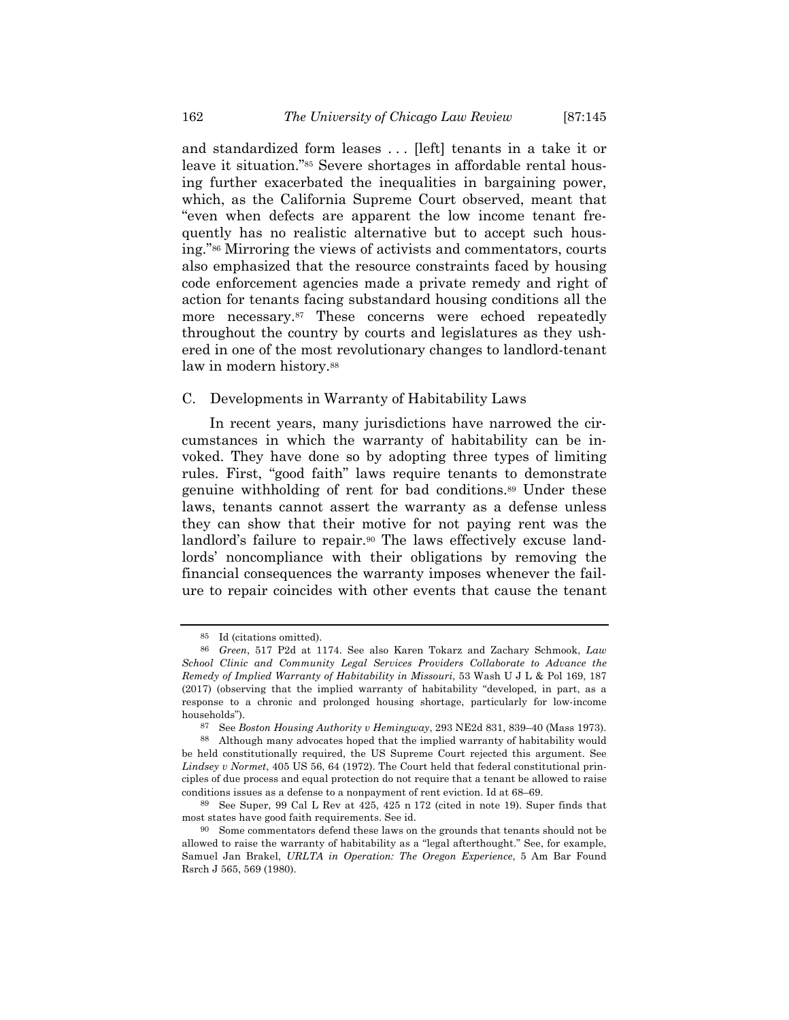and standardized form leases . . . [left] tenants in a take it or leave it situation."85 Severe shortages in affordable rental housing further exacerbated the inequalities in bargaining power, which, as the California Supreme Court observed, meant that "even when defects are apparent the low income tenant frequently has no realistic alternative but to accept such housing."86 Mirroring the views of activists and commentators, courts also emphasized that the resource constraints faced by housing code enforcement agencies made a private remedy and right of action for tenants facing substandard housing conditions all the more necessary.87 These concerns were echoed repeatedly throughout the country by courts and legislatures as they ushered in one of the most revolutionary changes to landlord-tenant law in modern history.<sup>88</sup>

## C. Developments in Warranty of Habitability Laws

In recent years, many jurisdictions have narrowed the circumstances in which the warranty of habitability can be invoked. They have done so by adopting three types of limiting rules. First, "good faith" laws require tenants to demonstrate genuine withholding of rent for bad conditions.89 Under these laws, tenants cannot assert the warranty as a defense unless they can show that their motive for not paying rent was the landlord's failure to repair.90 The laws effectively excuse landlords' noncompliance with their obligations by removing the financial consequences the warranty imposes whenever the failure to repair coincides with other events that cause the tenant

<sup>85</sup> Id (citations omitted).

<sup>86</sup> *Green*, 517 P2d at 1174. See also Karen Tokarz and Zachary Schmook, *Law School Clinic and Community Legal Services Providers Collaborate to Advance the Remedy of Implied Warranty of Habitability in Missouri*, 53 Wash U J L & Pol 169, 187 (2017) (observing that the implied warranty of habitability "developed, in part, as a response to a chronic and prolonged housing shortage, particularly for low-income households").

<sup>87</sup> See *Boston Housing Authority v Hemingway*, 293 NE2d 831, 839–40 (Mass 1973).

<sup>88</sup> Although many advocates hoped that the implied warranty of habitability would be held constitutionally required, the US Supreme Court rejected this argument. See *Lindsey v Normet*, 405 US 56, 64 (1972). The Court held that federal constitutional principles of due process and equal protection do not require that a tenant be allowed to raise conditions issues as a defense to a nonpayment of rent eviction. Id at 68–69.

<sup>89</sup> See Super, 99 Cal L Rev at 425, 425 n 172 (cited in note 19). Super finds that most states have good faith requirements. See id.

<sup>90</sup> Some commentators defend these laws on the grounds that tenants should not be allowed to raise the warranty of habitability as a "legal afterthought." See, for example, Samuel Jan Brakel, *URLTA in Operation: The Oregon Experience*, 5 Am Bar Found Rsrch J 565, 569 (1980).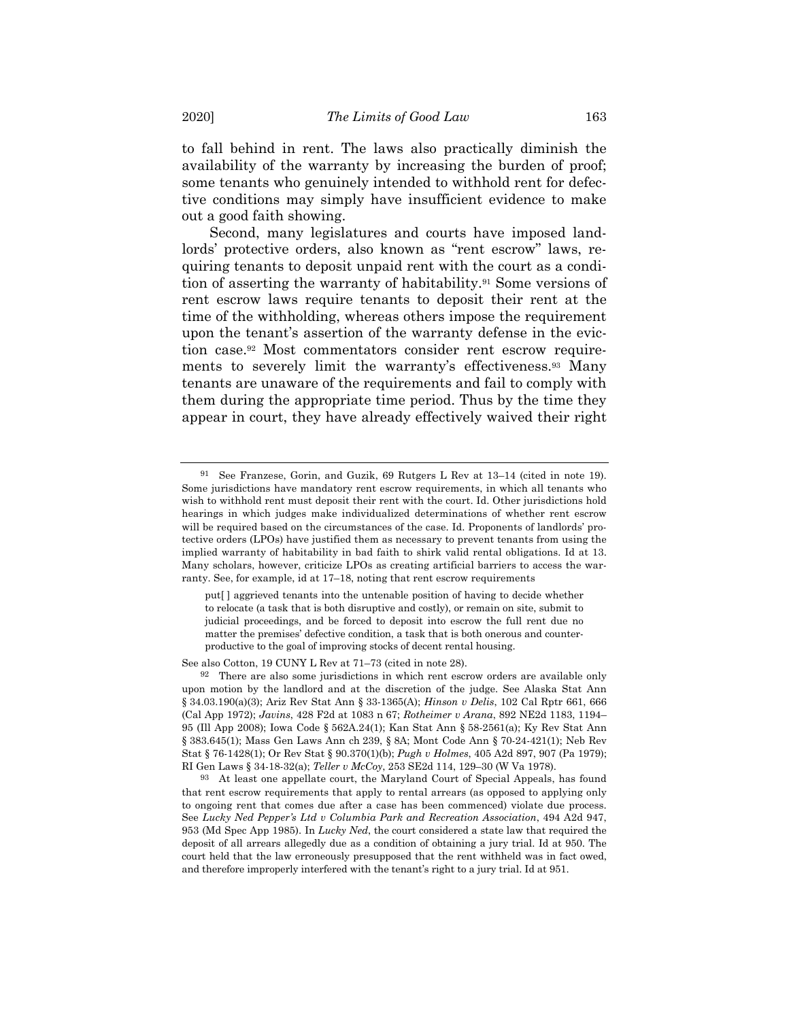to fall behind in rent. The laws also practically diminish the availability of the warranty by increasing the burden of proof; some tenants who genuinely intended to withhold rent for defective conditions may simply have insufficient evidence to make out a good faith showing.

Second, many legislatures and courts have imposed landlords' protective orders, also known as "rent escrow" laws, requiring tenants to deposit unpaid rent with the court as a condition of asserting the warranty of habitability.91 Some versions of rent escrow laws require tenants to deposit their rent at the time of the withholding, whereas others impose the requirement upon the tenant's assertion of the warranty defense in the eviction case.92 Most commentators consider rent escrow requirements to severely limit the warranty's effectiveness.93 Many tenants are unaware of the requirements and fail to comply with them during the appropriate time period. Thus by the time they appear in court, they have already effectively waived their right

See also Cotton, 19 CUNY L Rev at 71–73 (cited in note 28).

<sup>91</sup> See Franzese, Gorin, and Guzik, 69 Rutgers L Rev at 13–14 (cited in note 19). Some jurisdictions have mandatory rent escrow requirements, in which all tenants who wish to withhold rent must deposit their rent with the court. Id. Other jurisdictions hold hearings in which judges make individualized determinations of whether rent escrow will be required based on the circumstances of the case. Id. Proponents of landlords' protective orders (LPOs) have justified them as necessary to prevent tenants from using the implied warranty of habitability in bad faith to shirk valid rental obligations. Id at 13. Many scholars, however, criticize LPOs as creating artificial barriers to access the warranty. See, for example, id at 17–18, noting that rent escrow requirements

put[ ] aggrieved tenants into the untenable position of having to decide whether to relocate (a task that is both disruptive and costly), or remain on site, submit to judicial proceedings, and be forced to deposit into escrow the full rent due no matter the premises' defective condition, a task that is both onerous and counterproductive to the goal of improving stocks of decent rental housing.

<sup>92</sup> There are also some jurisdictions in which rent escrow orders are available only upon motion by the landlord and at the discretion of the judge. See Alaska Stat Ann § 34.03.190(a)(3); Ariz Rev Stat Ann § 33-1365(A); *Hinson v Delis*, 102 Cal Rptr 661, 666 (Cal App 1972); *Javins*, 428 F2d at 1083 n 67; *Rotheimer v Arana*, 892 NE2d 1183, 1194– 95 (Ill App 2008); Iowa Code § 562A.24(1); Kan Stat Ann § 58-2561(a); Ky Rev Stat Ann § 383.645(1); Mass Gen Laws Ann ch 239, § 8A; Mont Code Ann § 70-24-421(1); Neb Rev Stat § 76-1428(1); Or Rev Stat § 90.370(1)(b); *Pugh v Holmes*, 405 A2d 897, 907 (Pa 1979); RI Gen Laws § 34-18-32(a); *Teller v McCoy*, 253 SE2d 114, 129–30 (W Va 1978).

<sup>93</sup> At least one appellate court, the Maryland Court of Special Appeals, has found that rent escrow requirements that apply to rental arrears (as opposed to applying only to ongoing rent that comes due after a case has been commenced) violate due process. See *Lucky Ned Pepper's Ltd v Columbia Park and Recreation Association*, 494 A2d 947, 953 (Md Spec App 1985). In *Lucky Ned*, the court considered a state law that required the deposit of all arrears allegedly due as a condition of obtaining a jury trial. Id at 950. The court held that the law erroneously presupposed that the rent withheld was in fact owed, and therefore improperly interfered with the tenant's right to a jury trial. Id at 951.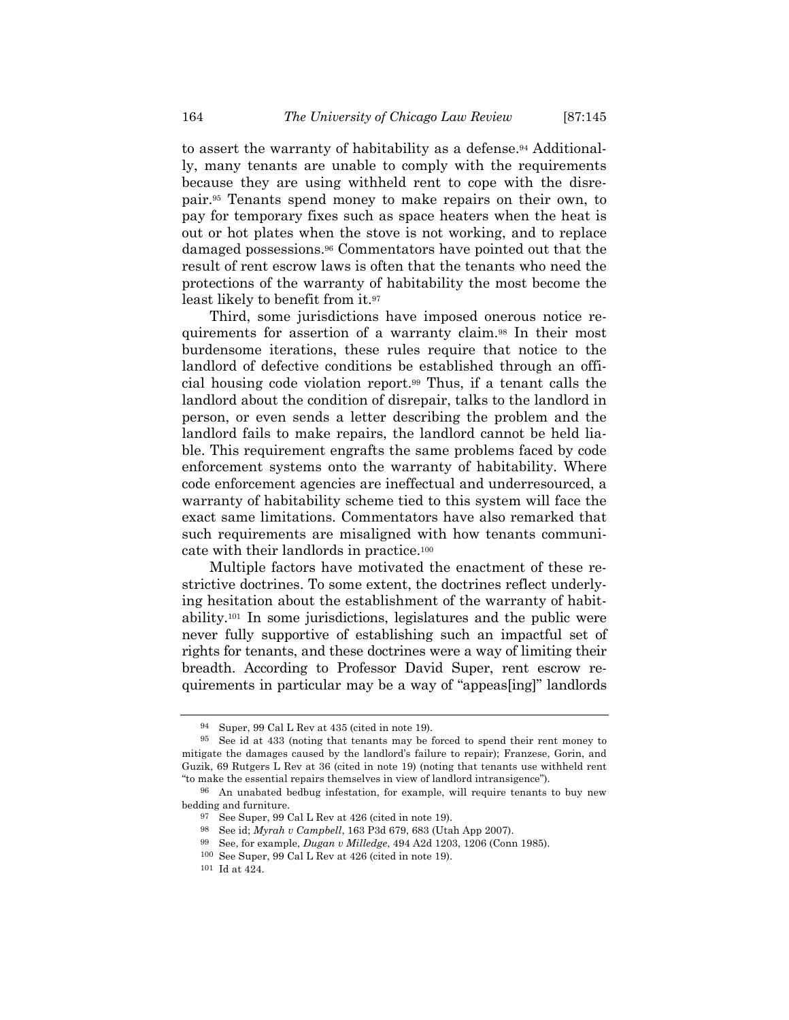to assert the warranty of habitability as a defense.<sup>94</sup> Additionally, many tenants are unable to comply with the requirements because they are using withheld rent to cope with the disrepair.95 Tenants spend money to make repairs on their own, to pay for temporary fixes such as space heaters when the heat is out or hot plates when the stove is not working, and to replace damaged possessions.96 Commentators have pointed out that the result of rent escrow laws is often that the tenants who need the protections of the warranty of habitability the most become the least likely to benefit from it.97

Third, some jurisdictions have imposed onerous notice requirements for assertion of a warranty claim.98 In their most burdensome iterations, these rules require that notice to the landlord of defective conditions be established through an official housing code violation report.99 Thus, if a tenant calls the landlord about the condition of disrepair, talks to the landlord in person, or even sends a letter describing the problem and the landlord fails to make repairs, the landlord cannot be held liable. This requirement engrafts the same problems faced by code enforcement systems onto the warranty of habitability. Where code enforcement agencies are ineffectual and underresourced, a warranty of habitability scheme tied to this system will face the exact same limitations. Commentators have also remarked that such requirements are misaligned with how tenants communicate with their landlords in practice.100

Multiple factors have motivated the enactment of these restrictive doctrines. To some extent, the doctrines reflect underlying hesitation about the establishment of the warranty of habitability.101 In some jurisdictions, legislatures and the public were never fully supportive of establishing such an impactful set of rights for tenants, and these doctrines were a way of limiting their breadth. According to Professor David Super, rent escrow requirements in particular may be a way of "appeas[ing]" landlords

Super, 99 Cal L Rev at 435 (cited in note 19).

<sup>95</sup> See id at 433 (noting that tenants may be forced to spend their rent money to mitigate the damages caused by the landlord's failure to repair); Franzese, Gorin, and Guzik, 69 Rutgers L Rev at 36 (cited in note 19) (noting that tenants use withheld rent "to make the essential repairs themselves in view of landlord intransigence").

<sup>96</sup> An unabated bedbug infestation, for example, will require tenants to buy new bedding and furniture.

<sup>97</sup> See Super, 99 Cal L Rev at 426 (cited in note 19).

<sup>98</sup> See id; *Myrah v Campbell*, 163 P3d 679, 683 (Utah App 2007).

<sup>99</sup> See, for example, *Dugan v Milledge*, 494 A2d 1203, 1206 (Conn 1985).

<sup>100</sup> See Super, 99 Cal L Rev at 426 (cited in note 19).

 $^{\rm 101}$  Id at 424.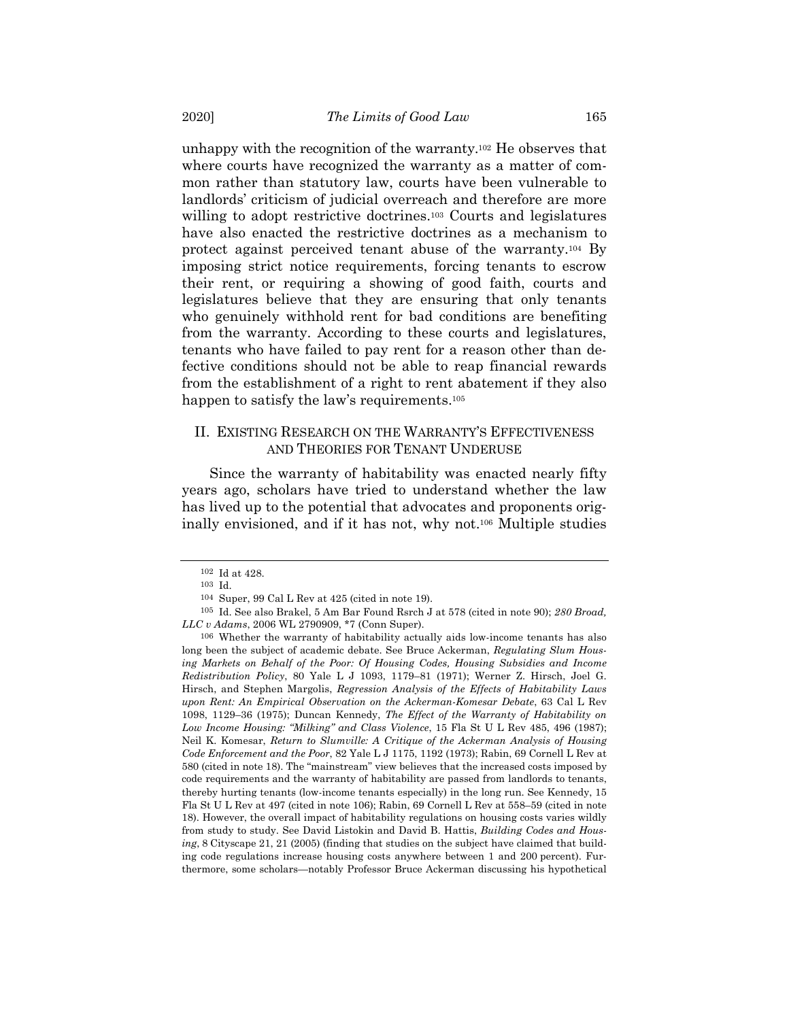unhappy with the recognition of the warranty.102 He observes that where courts have recognized the warranty as a matter of common rather than statutory law, courts have been vulnerable to landlords' criticism of judicial overreach and therefore are more willing to adopt restrictive doctrines.103 Courts and legislatures have also enacted the restrictive doctrines as a mechanism to protect against perceived tenant abuse of the warranty.104 By imposing strict notice requirements, forcing tenants to escrow their rent, or requiring a showing of good faith, courts and legislatures believe that they are ensuring that only tenants who genuinely withhold rent for bad conditions are benefiting from the warranty. According to these courts and legislatures, tenants who have failed to pay rent for a reason other than defective conditions should not be able to reap financial rewards from the establishment of a right to rent abatement if they also happen to satisfy the law's requirements.<sup>105</sup>

# II. EXISTING RESEARCH ON THE WARRANTY'S EFFECTIVENESS AND THEORIES FOR TENANT UNDERUSE

Since the warranty of habitability was enacted nearly fifty years ago, scholars have tried to understand whether the law has lived up to the potential that advocates and proponents originally envisioned, and if it has not, why not.106 Multiple studies

<sup>102</sup> Id at 428.

<sup>103</sup> Id.

<sup>104</sup> Super, 99 Cal L Rev at 425 (cited in note 19).

<sup>105</sup> Id. See also Brakel, 5 Am Bar Found Rsrch J at 578 (cited in note 90); *280 Broad, LLC v Adams*, 2006 WL 2790909, \*7 (Conn Super).

<sup>106</sup> Whether the warranty of habitability actually aids low-income tenants has also long been the subject of academic debate. See Bruce Ackerman, *Regulating Slum Housing Markets on Behalf of the Poor: Of Housing Codes, Housing Subsidies and Income Redistribution Policy*, 80 Yale L J 1093, 1179–81 (1971); Werner Z. Hirsch, Joel G. Hirsch, and Stephen Margolis, *Regression Analysis of the Effects of Habitability Laws upon Rent: An Empirical Observation on the Ackerman-Komesar Debate*, 63 Cal L Rev 1098, 1129–36 (1975); Duncan Kennedy, *The Effect of the Warranty of Habitability on Low Income Housing: "Milking" and Class Violence*, 15 Fla St U L Rev 485, 496 (1987); Neil K. Komesar, *Return to Slumville: A Critique of the Ackerman Analysis of Housing Code Enforcement and the Poor*, 82 Yale L J 1175, 1192 (1973); Rabin, 69 Cornell L Rev at 580 (cited in note 18). The "mainstream" view believes that the increased costs imposed by code requirements and the warranty of habitability are passed from landlords to tenants, thereby hurting tenants (low-income tenants especially) in the long run. See Kennedy, 15 Fla St U L Rev at 497 (cited in note 106); Rabin, 69 Cornell L Rev at 558–59 (cited in note 18). However, the overall impact of habitability regulations on housing costs varies wildly from study to study. See David Listokin and David B. Hattis, *Building Codes and Housing*, 8 Cityscape 21, 21 (2005) (finding that studies on the subject have claimed that building code regulations increase housing costs anywhere between 1 and 200 percent). Furthermore, some scholars—notably Professor Bruce Ackerman discussing his hypothetical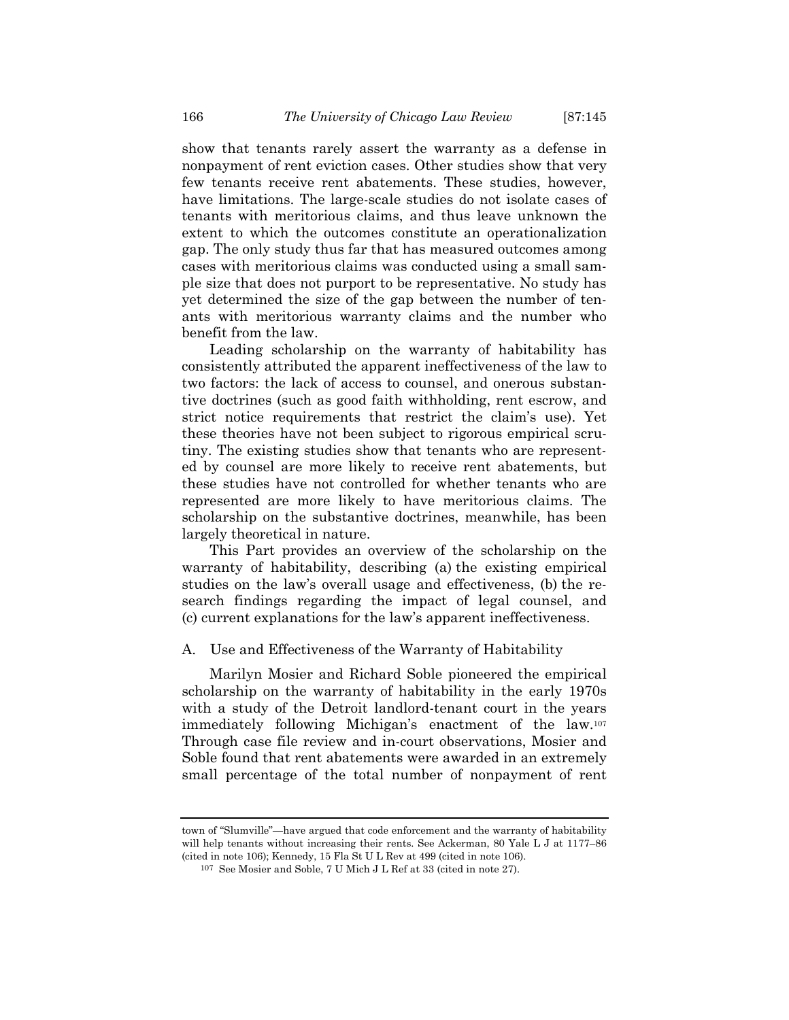show that tenants rarely assert the warranty as a defense in nonpayment of rent eviction cases. Other studies show that very few tenants receive rent abatements. These studies, however, have limitations. The large-scale studies do not isolate cases of tenants with meritorious claims, and thus leave unknown the extent to which the outcomes constitute an operationalization gap. The only study thus far that has measured outcomes among cases with meritorious claims was conducted using a small sample size that does not purport to be representative. No study has yet determined the size of the gap between the number of tenants with meritorious warranty claims and the number who benefit from the law.

Leading scholarship on the warranty of habitability has consistently attributed the apparent ineffectiveness of the law to two factors: the lack of access to counsel, and onerous substantive doctrines (such as good faith withholding, rent escrow, and strict notice requirements that restrict the claim's use). Yet these theories have not been subject to rigorous empirical scrutiny. The existing studies show that tenants who are represented by counsel are more likely to receive rent abatements, but these studies have not controlled for whether tenants who are represented are more likely to have meritorious claims. The scholarship on the substantive doctrines, meanwhile, has been largely theoretical in nature.

This Part provides an overview of the scholarship on the warranty of habitability, describing (a) the existing empirical studies on the law's overall usage and effectiveness, (b) the research findings regarding the impact of legal counsel, and (c) current explanations for the law's apparent ineffectiveness.

## A. Use and Effectiveness of the Warranty of Habitability

Marilyn Mosier and Richard Soble pioneered the empirical scholarship on the warranty of habitability in the early 1970s with a study of the Detroit landlord-tenant court in the years immediately following Michigan's enactment of the law.107 Through case file review and in-court observations, Mosier and Soble found that rent abatements were awarded in an extremely small percentage of the total number of nonpayment of rent

town of "Slumville"—have argued that code enforcement and the warranty of habitability will help tenants without increasing their rents. See Ackerman, 80 Yale L J at 1177–86 (cited in note 106); Kennedy, 15 Fla St U L Rev at 499 (cited in note 106).

<sup>107</sup> See Mosier and Soble, 7 U Mich J L Ref at 33 (cited in note 27).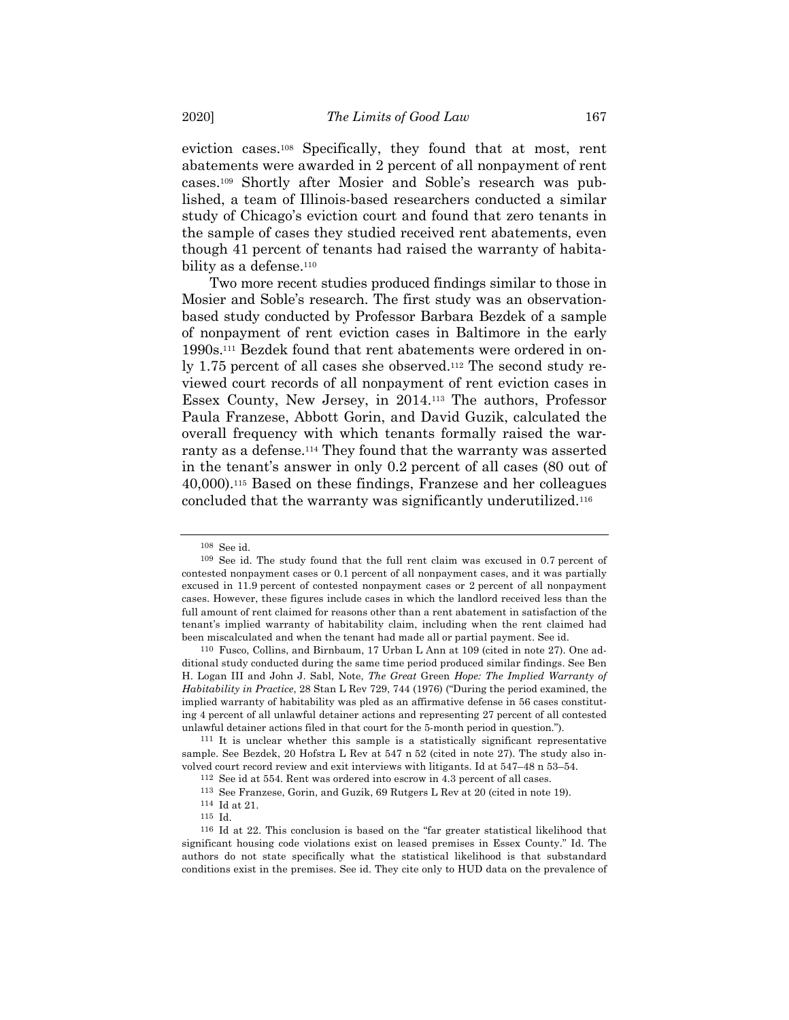eviction cases.108 Specifically, they found that at most, rent abatements were awarded in 2 percent of all nonpayment of rent cases.109 Shortly after Mosier and Soble's research was published, a team of Illinois-based researchers conducted a similar study of Chicago's eviction court and found that zero tenants in the sample of cases they studied received rent abatements, even though 41 percent of tenants had raised the warranty of habitability as a defense.<sup>110</sup>

Two more recent studies produced findings similar to those in Mosier and Soble's research. The first study was an observationbased study conducted by Professor Barbara Bezdek of a sample of nonpayment of rent eviction cases in Baltimore in the early 1990s.111 Bezdek found that rent abatements were ordered in only 1.75 percent of all cases she observed.112 The second study reviewed court records of all nonpayment of rent eviction cases in Essex County, New Jersey, in 2014.113 The authors, Professor Paula Franzese, Abbott Gorin, and David Guzik, calculated the overall frequency with which tenants formally raised the warranty as a defense.114 They found that the warranty was asserted in the tenant's answer in only 0.2 percent of all cases (80 out of 40,000).115 Based on these findings, Franzese and her colleagues concluded that the warranty was significantly underutilized.116

<sup>108</sup> See id.

<sup>109</sup> See id. The study found that the full rent claim was excused in 0.7 percent of contested nonpayment cases or 0.1 percent of all nonpayment cases, and it was partially excused in 11.9 percent of contested nonpayment cases or 2 percent of all nonpayment cases. However, these figures include cases in which the landlord received less than the full amount of rent claimed for reasons other than a rent abatement in satisfaction of the tenant's implied warranty of habitability claim, including when the rent claimed had been miscalculated and when the tenant had made all or partial payment. See id.

<sup>110</sup> Fusco, Collins, and Birnbaum, 17 Urban L Ann at 109 (cited in note 27). One additional study conducted during the same time period produced similar findings. See Ben H. Logan III and John J. Sabl, Note, *The Great* Green *Hope: The Implied Warranty of Habitability in Practice*, 28 Stan L Rev 729, 744 (1976) ("During the period examined, the implied warranty of habitability was pled as an affirmative defense in 56 cases constituting 4 percent of all unlawful detainer actions and representing 27 percent of all contested unlawful detainer actions filed in that court for the 5-month period in question.").

<sup>111</sup> It is unclear whether this sample is a statistically significant representative sample. See Bezdek, 20 Hofstra L Rev at 547 n 52 (cited in note 27). The study also involved court record review and exit interviews with litigants. Id at 547–48 n 53–54.

<sup>112</sup> See id at 554. Rent was ordered into escrow in 4.3 percent of all cases.

<sup>113</sup> See Franzese, Gorin, and Guzik, 69 Rutgers L Rev at 20 (cited in note 19).

<sup>114</sup> Id at 21.

<sup>115</sup> Id.

<sup>116</sup> Id at 22. This conclusion is based on the "far greater statistical likelihood that significant housing code violations exist on leased premises in Essex County." Id. The authors do not state specifically what the statistical likelihood is that substandard conditions exist in the premises. See id. They cite only to HUD data on the prevalence of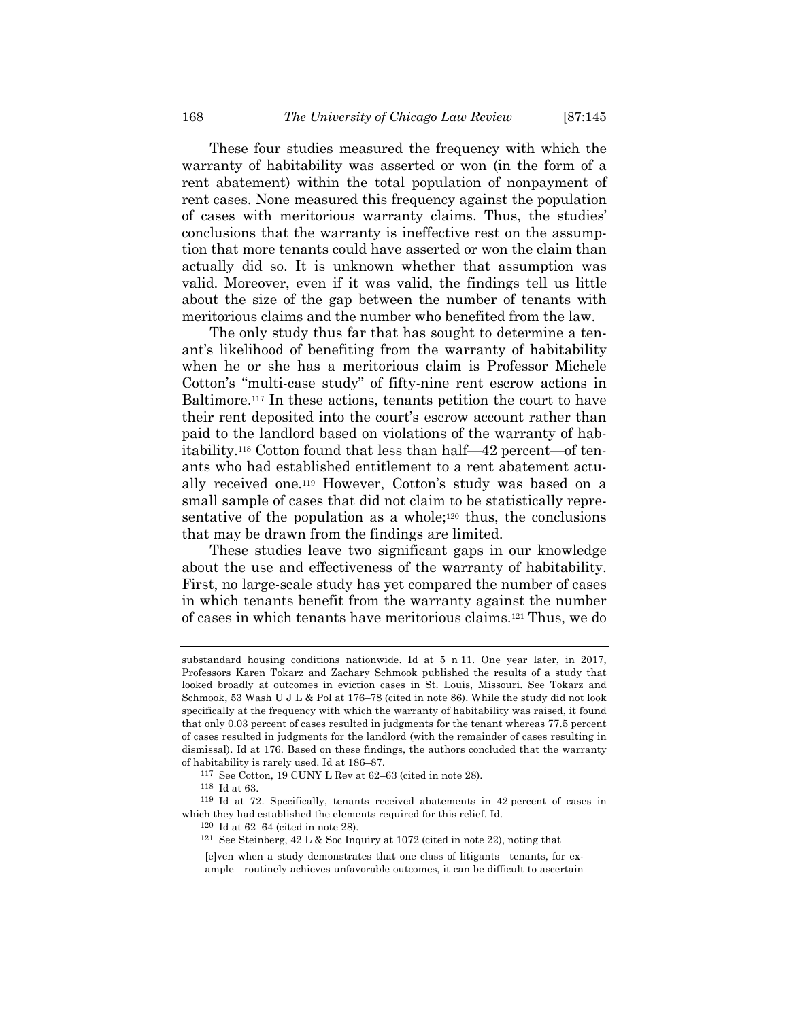These four studies measured the frequency with which the warranty of habitability was asserted or won (in the form of a rent abatement) within the total population of nonpayment of rent cases. None measured this frequency against the population of cases with meritorious warranty claims. Thus, the studies' conclusions that the warranty is ineffective rest on the assumption that more tenants could have asserted or won the claim than actually did so. It is unknown whether that assumption was valid. Moreover, even if it was valid, the findings tell us little about the size of the gap between the number of tenants with meritorious claims and the number who benefited from the law.

The only study thus far that has sought to determine a tenant's likelihood of benefiting from the warranty of habitability when he or she has a meritorious claim is Professor Michele Cotton's "multi-case study" of fifty-nine rent escrow actions in Baltimore.117 In these actions, tenants petition the court to have their rent deposited into the court's escrow account rather than paid to the landlord based on violations of the warranty of habitability.118 Cotton found that less than half—42 percent—of tenants who had established entitlement to a rent abatement actually received one.119 However, Cotton's study was based on a small sample of cases that did not claim to be statistically representative of the population as a whole;<sup>120</sup> thus, the conclusions that may be drawn from the findings are limited.

These studies leave two significant gaps in our knowledge about the use and effectiveness of the warranty of habitability. First, no large-scale study has yet compared the number of cases in which tenants benefit from the warranty against the number of cases in which tenants have meritorious claims.121 Thus, we do

substandard housing conditions nationwide. Id at 5 n 11. One year later, in 2017, Professors Karen Tokarz and Zachary Schmook published the results of a study that looked broadly at outcomes in eviction cases in St. Louis, Missouri. See Tokarz and Schmook, 53 Wash U J L & Pol at 176–78 (cited in note 86). While the study did not look specifically at the frequency with which the warranty of habitability was raised, it found that only 0.03 percent of cases resulted in judgments for the tenant whereas 77.5 percent of cases resulted in judgments for the landlord (with the remainder of cases resulting in dismissal). Id at 176. Based on these findings, the authors concluded that the warranty of habitability is rarely used. Id at 186–87.

<sup>117</sup> See Cotton, 19 CUNY L Rev at 62–63 (cited in note 28).

<sup>118</sup> Id at 63.

<sup>119</sup> Id at 72. Specifically, tenants received abatements in 42 percent of cases in which they had established the elements required for this relief. Id.

<sup>120</sup> Id at 62–64 (cited in note 28).

<sup>121</sup> See Steinberg, 42 L & Soc Inquiry at 1072 (cited in note 22), noting that

<sup>[</sup>e]ven when a study demonstrates that one class of litigants—tenants, for example—routinely achieves unfavorable outcomes, it can be difficult to ascertain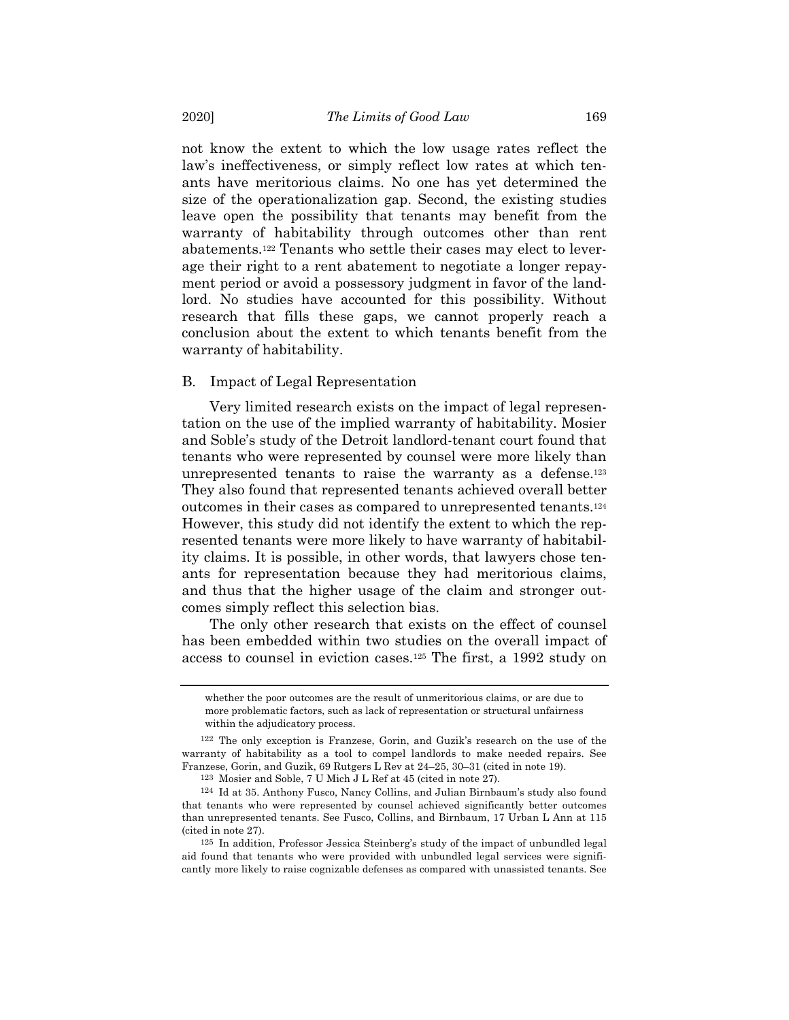not know the extent to which the low usage rates reflect the law's ineffectiveness, or simply reflect low rates at which tenants have meritorious claims. No one has yet determined the size of the operationalization gap. Second, the existing studies leave open the possibility that tenants may benefit from the warranty of habitability through outcomes other than rent abatements.122 Tenants who settle their cases may elect to leverage their right to a rent abatement to negotiate a longer repayment period or avoid a possessory judgment in favor of the landlord. No studies have accounted for this possibility. Without research that fills these gaps, we cannot properly reach a conclusion about the extent to which tenants benefit from the warranty of habitability.

#### B. Impact of Legal Representation

Very limited research exists on the impact of legal representation on the use of the implied warranty of habitability. Mosier and Soble's study of the Detroit landlord-tenant court found that tenants who were represented by counsel were more likely than unrepresented tenants to raise the warranty as a defense.123 They also found that represented tenants achieved overall better outcomes in their cases as compared to unrepresented tenants.124 However, this study did not identify the extent to which the represented tenants were more likely to have warranty of habitability claims. It is possible, in other words, that lawyers chose tenants for representation because they had meritorious claims, and thus that the higher usage of the claim and stronger outcomes simply reflect this selection bias.

The only other research that exists on the effect of counsel has been embedded within two studies on the overall impact of access to counsel in eviction cases.125 The first, a 1992 study on

whether the poor outcomes are the result of unmeritorious claims, or are due to more problematic factors, such as lack of representation or structural unfairness within the adjudicatory process.

<sup>122</sup> The only exception is Franzese, Gorin, and Guzik's research on the use of the warranty of habitability as a tool to compel landlords to make needed repairs. See Franzese, Gorin, and Guzik, 69 Rutgers L Rev at 24–25, 30–31 (cited in note 19).

<sup>123</sup> Mosier and Soble, 7 U Mich J L Ref at 45 (cited in note 27).

<sup>124</sup> Id at 35. Anthony Fusco, Nancy Collins, and Julian Birnbaum's study also found that tenants who were represented by counsel achieved significantly better outcomes than unrepresented tenants. See Fusco, Collins, and Birnbaum, 17 Urban L Ann at 115 (cited in note 27).

<sup>125</sup> In addition, Professor Jessica Steinberg's study of the impact of unbundled legal aid found that tenants who were provided with unbundled legal services were significantly more likely to raise cognizable defenses as compared with unassisted tenants. See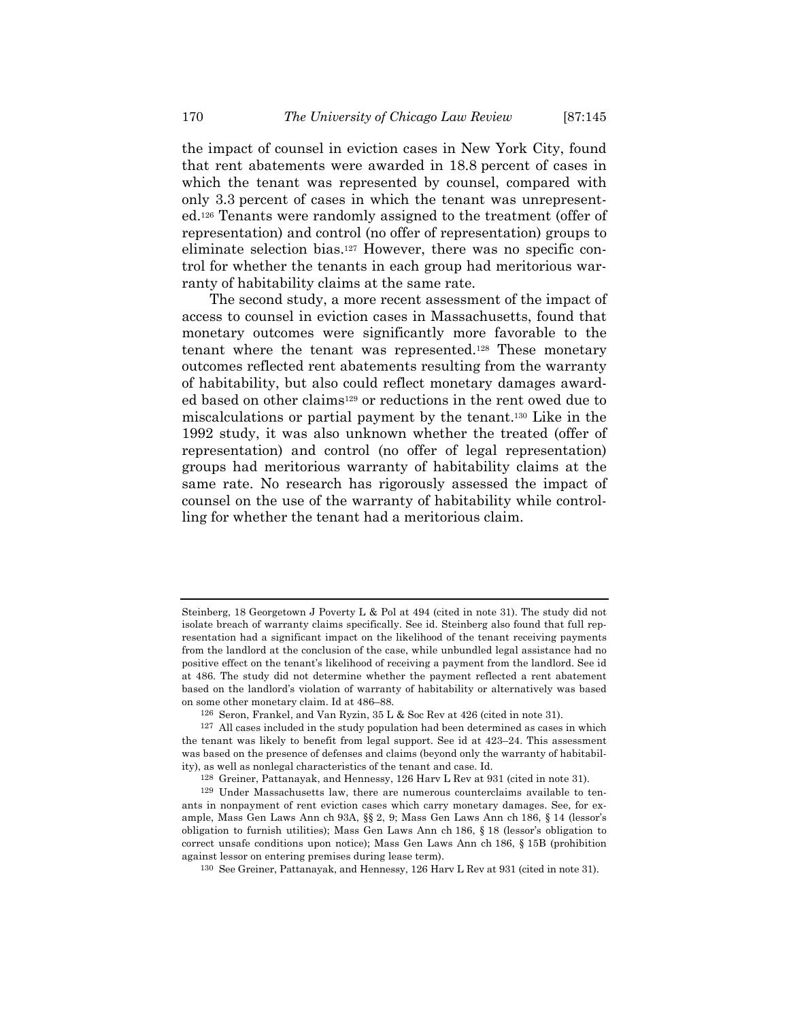the impact of counsel in eviction cases in New York City, found that rent abatements were awarded in 18.8 percent of cases in which the tenant was represented by counsel, compared with only 3.3 percent of cases in which the tenant was unrepresented.126 Tenants were randomly assigned to the treatment (offer of representation) and control (no offer of representation) groups to eliminate selection bias.127 However, there was no specific control for whether the tenants in each group had meritorious warranty of habitability claims at the same rate.

The second study, a more recent assessment of the impact of access to counsel in eviction cases in Massachusetts, found that monetary outcomes were significantly more favorable to the tenant where the tenant was represented.128 These monetary outcomes reflected rent abatements resulting from the warranty of habitability, but also could reflect monetary damages awarded based on other claims129 or reductions in the rent owed due to miscalculations or partial payment by the tenant.130 Like in the 1992 study, it was also unknown whether the treated (offer of representation) and control (no offer of legal representation) groups had meritorious warranty of habitability claims at the same rate. No research has rigorously assessed the impact of counsel on the use of the warranty of habitability while controlling for whether the tenant had a meritorious claim.

Steinberg, 18 Georgetown J Poverty L & Pol at 494 (cited in note 31). The study did not isolate breach of warranty claims specifically. See id. Steinberg also found that full representation had a significant impact on the likelihood of the tenant receiving payments from the landlord at the conclusion of the case, while unbundled legal assistance had no positive effect on the tenant's likelihood of receiving a payment from the landlord. See id at 486. The study did not determine whether the payment reflected a rent abatement based on the landlord's violation of warranty of habitability or alternatively was based on some other monetary claim. Id at 486–88.

<sup>126</sup> Seron, Frankel, and Van Ryzin, 35 L & Soc Rev at 426 (cited in note 31).

<sup>127</sup> All cases included in the study population had been determined as cases in which the tenant was likely to benefit from legal support. See id at 423–24. This assessment was based on the presence of defenses and claims (beyond only the warranty of habitability), as well as nonlegal characteristics of the tenant and case. Id.

<sup>128</sup> Greiner, Pattanayak, and Hennessy, 126 Harv L Rev at 931 (cited in note 31).

<sup>129</sup> Under Massachusetts law, there are numerous counterclaims available to tenants in nonpayment of rent eviction cases which carry monetary damages. See, for example, Mass Gen Laws Ann ch 93A, §§ 2, 9; Mass Gen Laws Ann ch 186, § 14 (lessor's obligation to furnish utilities); Mass Gen Laws Ann ch 186, § 18 (lessor's obligation to correct unsafe conditions upon notice); Mass Gen Laws Ann ch 186, § 15B (prohibition against lessor on entering premises during lease term).

<sup>130</sup> See Greiner, Pattanayak, and Hennessy, 126 Harv L Rev at 931 (cited in note 31).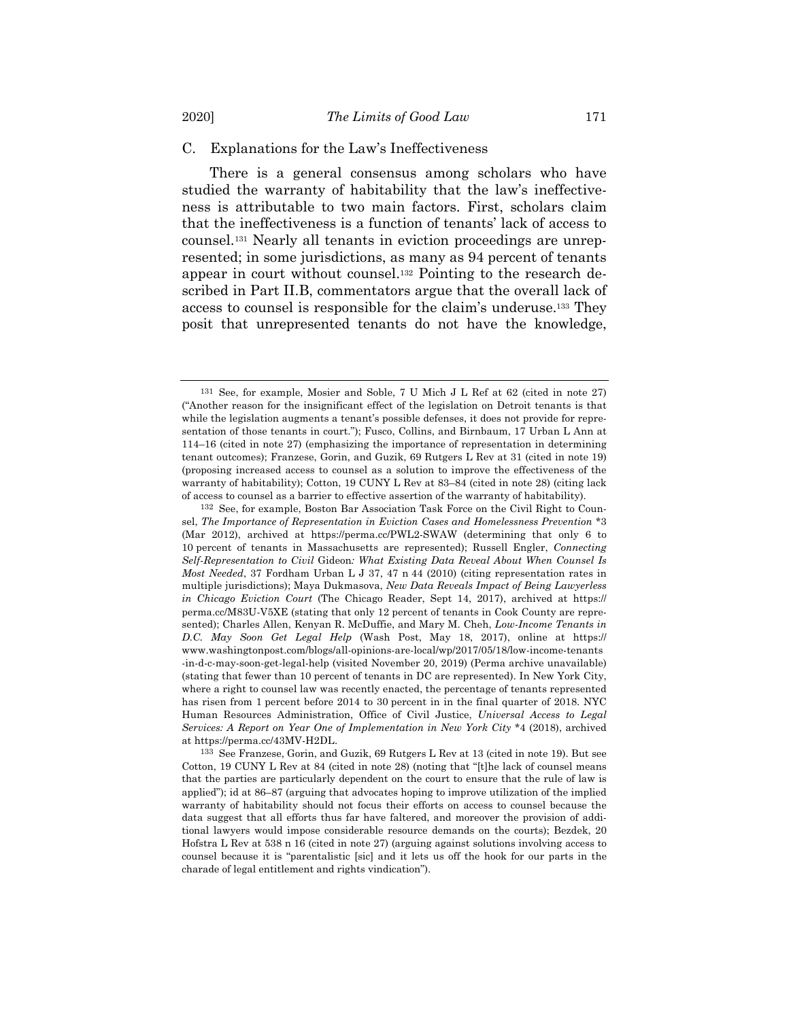## C. Explanations for the Law's Ineffectiveness

There is a general consensus among scholars who have studied the warranty of habitability that the law's ineffectiveness is attributable to two main factors. First, scholars claim that the ineffectiveness is a function of tenants' lack of access to counsel.131 Nearly all tenants in eviction proceedings are unrepresented; in some jurisdictions, as many as 94 percent of tenants appear in court without counsel.132 Pointing to the research described in Part II.B, commentators argue that the overall lack of access to counsel is responsible for the claim's underuse.133 They posit that unrepresented tenants do not have the knowledge,

<sup>131</sup> See, for example, Mosier and Soble, 7 U Mich J L Ref at 62 (cited in note 27) ("Another reason for the insignificant effect of the legislation on Detroit tenants is that while the legislation augments a tenant's possible defenses, it does not provide for representation of those tenants in court."); Fusco, Collins, and Birnbaum, 17 Urban L Ann at 114–16 (cited in note 27) (emphasizing the importance of representation in determining tenant outcomes); Franzese, Gorin, and Guzik, 69 Rutgers L Rev at 31 (cited in note 19) (proposing increased access to counsel as a solution to improve the effectiveness of the warranty of habitability); Cotton, 19 CUNY L Rev at 83–84 (cited in note 28) (citing lack of access to counsel as a barrier to effective assertion of the warranty of habitability).

<sup>132</sup> See, for example, Boston Bar Association Task Force on the Civil Right to Counsel, *The Importance of Representation in Eviction Cases and Homelessness Prevention* \*3 (Mar 2012), archived at https://perma.cc/PWL2-SWAW (determining that only 6 to 10 percent of tenants in Massachusetts are represented); Russell Engler, *Connecting Self-Representation to Civil* Gideon*: What Existing Data Reveal About When Counsel Is Most Needed*, 37 Fordham Urban L J 37, 47 n 44 (2010) (citing representation rates in multiple jurisdictions); Maya Dukmasova, *New Data Reveals Impact of Being Lawyerless in Chicago Eviction Court* (The Chicago Reader, Sept 14, 2017), archived at https:// perma.cc/M83U-V5XE (stating that only 12 percent of tenants in Cook County are represented); Charles Allen, Kenyan R. McDuffie, and Mary M. Cheh, *Low-Income Tenants in D.C. May Soon Get Legal Help* (Wash Post, May 18, 2017), online at https:// www.washingtonpost.com/blogs/all-opinions-are-local/wp/2017/05/18/low-income-tenants -in-d-c-may-soon-get-legal-help (visited November 20, 2019) (Perma archive unavailable) (stating that fewer than 10 percent of tenants in DC are represented). In New York City, where a right to counsel law was recently enacted, the percentage of tenants represented has risen from 1 percent before 2014 to 30 percent in in the final quarter of 2018. NYC Human Resources Administration, Office of Civil Justice, *Universal Access to Legal Services: A Report on Year One of Implementation in New York City* \*4 (2018), archived at https://perma.cc/43MV-H2DL.

<sup>133</sup> See Franzese, Gorin, and Guzik, 69 Rutgers L Rev at 13 (cited in note 19). But see Cotton, 19 CUNY L Rev at 84 (cited in note 28) (noting that "[t]he lack of counsel means that the parties are particularly dependent on the court to ensure that the rule of law is applied"); id at 86–87 (arguing that advocates hoping to improve utilization of the implied warranty of habitability should not focus their efforts on access to counsel because the data suggest that all efforts thus far have faltered, and moreover the provision of additional lawyers would impose considerable resource demands on the courts); Bezdek, 20 Hofstra L Rev at 538 n 16 (cited in note 27) (arguing against solutions involving access to counsel because it is "parentalistic [sic] and it lets us off the hook for our parts in the charade of legal entitlement and rights vindication").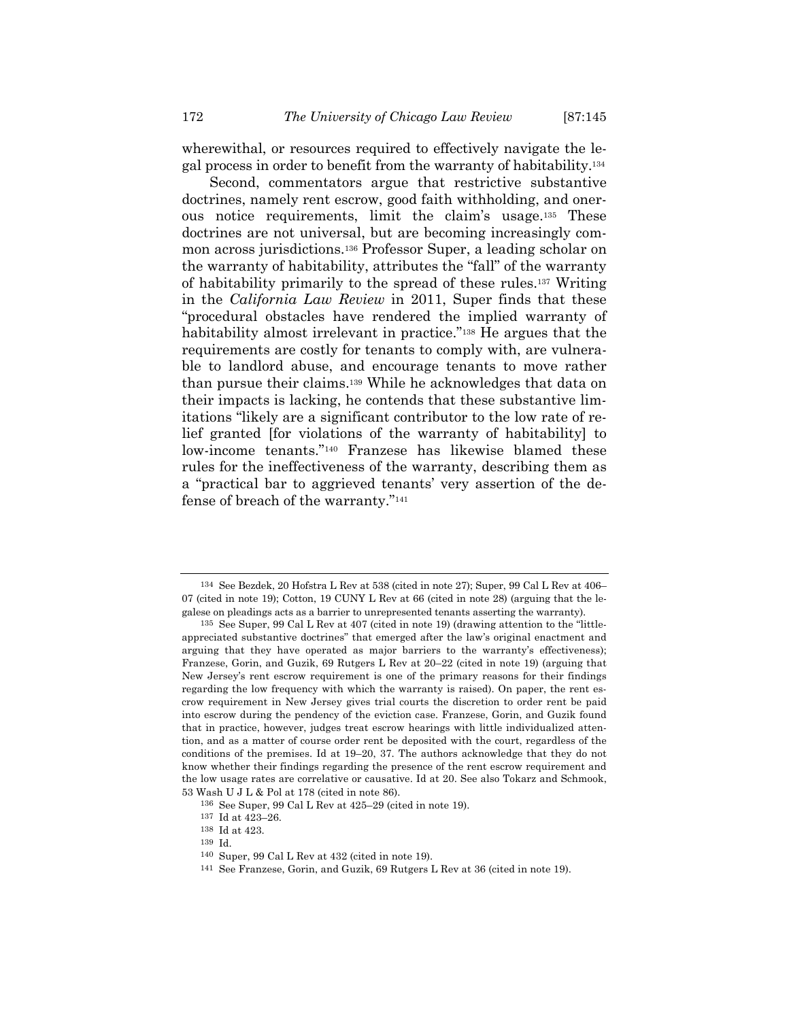wherewithal, or resources required to effectively navigate the legal process in order to benefit from the warranty of habitability.134

Second, commentators argue that restrictive substantive doctrines, namely rent escrow, good faith withholding, and onerous notice requirements, limit the claim's usage.135 These doctrines are not universal, but are becoming increasingly common across jurisdictions.136 Professor Super, a leading scholar on the warranty of habitability, attributes the "fall" of the warranty of habitability primarily to the spread of these rules.137 Writing in the *California Law Review* in 2011, Super finds that these "procedural obstacles have rendered the implied warranty of habitability almost irrelevant in practice."138 He argues that the requirements are costly for tenants to comply with, are vulnerable to landlord abuse, and encourage tenants to move rather than pursue their claims.139 While he acknowledges that data on their impacts is lacking, he contends that these substantive limitations "likely are a significant contributor to the low rate of relief granted [for violations of the warranty of habitability] to low-income tenants."140 Franzese has likewise blamed these rules for the ineffectiveness of the warranty, describing them as a "practical bar to aggrieved tenants' very assertion of the defense of breach of the warranty."141

<sup>134</sup> See Bezdek, 20 Hofstra L Rev at 538 (cited in note 27); Super, 99 Cal L Rev at 406– 07 (cited in note 19); Cotton, 19 CUNY L Rev at 66 (cited in note 28) (arguing that the legalese on pleadings acts as a barrier to unrepresented tenants asserting the warranty).

<sup>135</sup> See Super, 99 Cal L Rev at 407 (cited in note 19) (drawing attention to the "littleappreciated substantive doctrines" that emerged after the law's original enactment and arguing that they have operated as major barriers to the warranty's effectiveness); Franzese, Gorin, and Guzik, 69 Rutgers L Rev at 20–22 (cited in note 19) (arguing that New Jersey's rent escrow requirement is one of the primary reasons for their findings regarding the low frequency with which the warranty is raised). On paper, the rent escrow requirement in New Jersey gives trial courts the discretion to order rent be paid into escrow during the pendency of the eviction case. Franzese, Gorin, and Guzik found that in practice, however, judges treat escrow hearings with little individualized attention, and as a matter of course order rent be deposited with the court, regardless of the conditions of the premises. Id at 19–20, 37. The authors acknowledge that they do not know whether their findings regarding the presence of the rent escrow requirement and the low usage rates are correlative or causative. Id at 20. See also Tokarz and Schmook, 53 Wash U J L & Pol at 178 (cited in note 86).

<sup>136</sup> See Super, 99 Cal L Rev at 425–29 (cited in note 19).

<sup>137</sup> Id at 423–26.

<sup>138</sup> Id at 423.

<sup>139</sup> Id.

<sup>140</sup> Super, 99 Cal L Rev at 432 (cited in note 19).

<sup>141</sup> See Franzese, Gorin, and Guzik, 69 Rutgers L Rev at 36 (cited in note 19).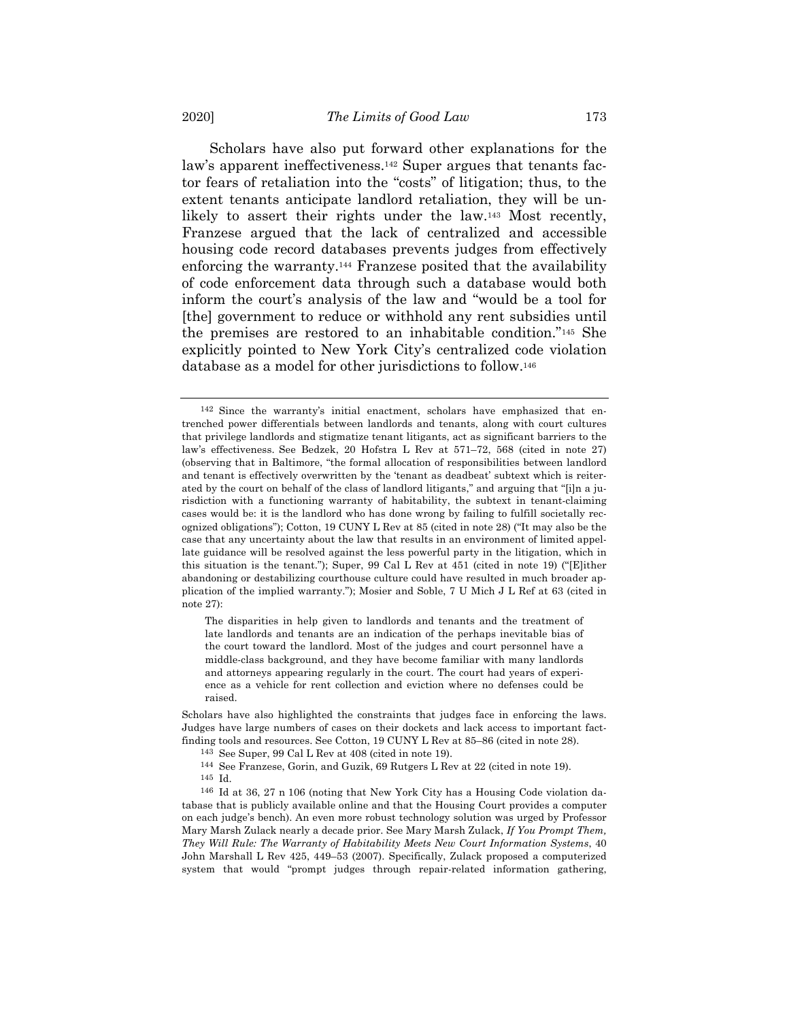Scholars have also put forward other explanations for the law's apparent ineffectiveness.<sup>142</sup> Super argues that tenants factor fears of retaliation into the "costs" of litigation; thus, to the extent tenants anticipate landlord retaliation, they will be unlikely to assert their rights under the law.143 Most recently, Franzese argued that the lack of centralized and accessible housing code record databases prevents judges from effectively enforcing the warranty.144 Franzese posited that the availability of code enforcement data through such a database would both inform the court's analysis of the law and "would be a tool for [the] government to reduce or withhold any rent subsidies until the premises are restored to an inhabitable condition."145 She explicitly pointed to New York City's centralized code violation database as a model for other jurisdictions to follow.146

The disparities in help given to landlords and tenants and the treatment of late landlords and tenants are an indication of the perhaps inevitable bias of the court toward the landlord. Most of the judges and court personnel have a middle-class background, and they have become familiar with many landlords and attorneys appearing regularly in the court. The court had years of experience as a vehicle for rent collection and eviction where no defenses could be raised.

- 144 See Franzese, Gorin, and Guzik, 69 Rutgers L Rev at 22 (cited in note 19).
- 145 Id.

<sup>142</sup> Since the warranty's initial enactment, scholars have emphasized that entrenched power differentials between landlords and tenants, along with court cultures that privilege landlords and stigmatize tenant litigants, act as significant barriers to the law's effectiveness. See Bedzek, 20 Hofstra L Rev at 571–72, 568 (cited in note 27) (observing that in Baltimore, "the formal allocation of responsibilities between landlord and tenant is effectively overwritten by the 'tenant as deadbeat' subtext which is reiterated by the court on behalf of the class of landlord litigants," and arguing that "[i]n a jurisdiction with a functioning warranty of habitability, the subtext in tenant-claiming cases would be: it is the landlord who has done wrong by failing to fulfill societally recognized obligations"); Cotton, 19 CUNY L Rev at 85 (cited in note 28) ("It may also be the case that any uncertainty about the law that results in an environment of limited appellate guidance will be resolved against the less powerful party in the litigation, which in this situation is the tenant."); Super, 99 Cal L Rev at 451 (cited in note 19) ("[E]ither abandoning or destabilizing courthouse culture could have resulted in much broader application of the implied warranty."); Mosier and Soble, 7 U Mich J L Ref at 63 (cited in note 27):

Scholars have also highlighted the constraints that judges face in enforcing the laws. Judges have large numbers of cases on their dockets and lack access to important factfinding tools and resources. See Cotton, 19 CUNY L Rev at 85–86 (cited in note 28).

<sup>143</sup> See Super, 99 Cal L Rev at 408 (cited in note 19).

<sup>146</sup> Id at 36, 27 n 106 (noting that New York City has a Housing Code violation database that is publicly available online and that the Housing Court provides a computer on each judge's bench). An even more robust technology solution was urged by Professor Mary Marsh Zulack nearly a decade prior. See Mary Marsh Zulack, *If You Prompt Them, They Will Rule: The Warranty of Habitability Meets New Court Information Systems*, 40 John Marshall L Rev 425, 449–53 (2007). Specifically, Zulack proposed a computerized system that would "prompt judges through repair-related information gathering,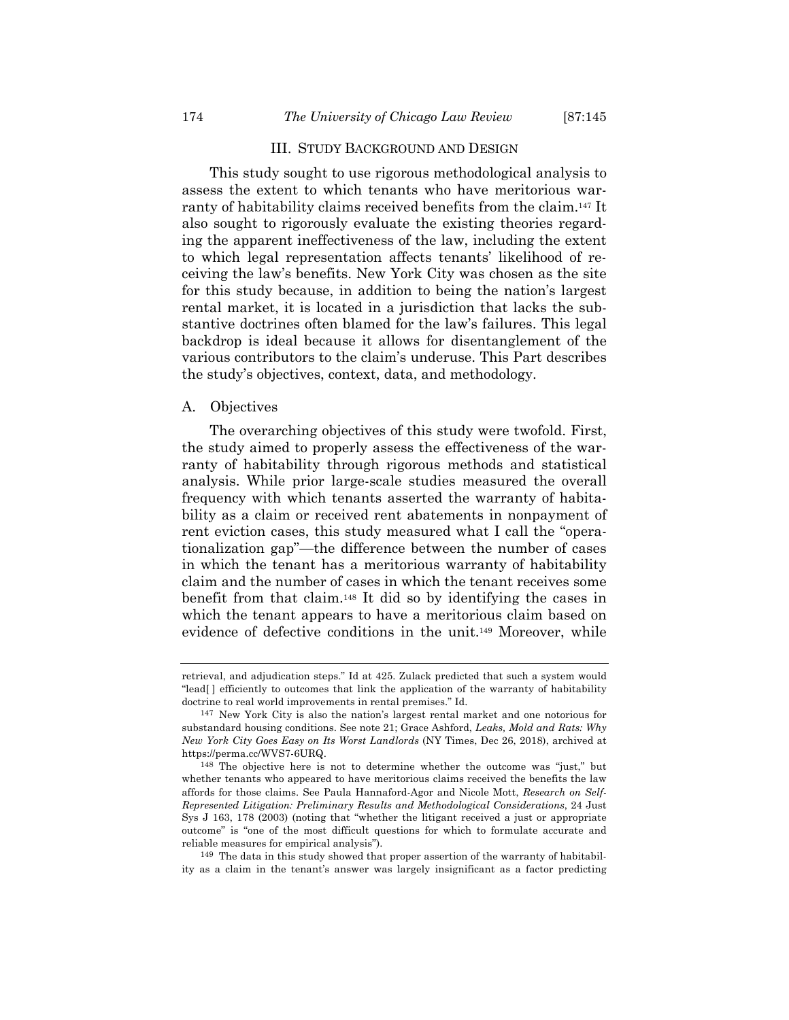## III. STUDY BACKGROUND AND DESIGN

This study sought to use rigorous methodological analysis to assess the extent to which tenants who have meritorious warranty of habitability claims received benefits from the claim.147 It also sought to rigorously evaluate the existing theories regarding the apparent ineffectiveness of the law, including the extent to which legal representation affects tenants' likelihood of receiving the law's benefits. New York City was chosen as the site for this study because, in addition to being the nation's largest rental market, it is located in a jurisdiction that lacks the substantive doctrines often blamed for the law's failures. This legal backdrop is ideal because it allows for disentanglement of the various contributors to the claim's underuse. This Part describes the study's objectives, context, data, and methodology.

#### A. Objectives

The overarching objectives of this study were twofold. First, the study aimed to properly assess the effectiveness of the warranty of habitability through rigorous methods and statistical analysis. While prior large-scale studies measured the overall frequency with which tenants asserted the warranty of habitability as a claim or received rent abatements in nonpayment of rent eviction cases, this study measured what I call the "operationalization gap"—the difference between the number of cases in which the tenant has a meritorious warranty of habitability claim and the number of cases in which the tenant receives some benefit from that claim.148 It did so by identifying the cases in which the tenant appears to have a meritorious claim based on evidence of defective conditions in the unit.149 Moreover, while

149 The data in this study showed that proper assertion of the warranty of habitability as a claim in the tenant's answer was largely insignificant as a factor predicting

retrieval, and adjudication steps." Id at 425. Zulack predicted that such a system would "lead[ ] efficiently to outcomes that link the application of the warranty of habitability doctrine to real world improvements in rental premises." Id.

<sup>147</sup> New York City is also the nation's largest rental market and one notorious for substandard housing conditions. See note 21; Grace Ashford, *Leaks, Mold and Rats: Why New York City Goes Easy on Its Worst Landlords* (NY Times, Dec 26, 2018), archived at https://perma.cc/WVS7-6URQ.

<sup>148</sup> The objective here is not to determine whether the outcome was "just," but whether tenants who appeared to have meritorious claims received the benefits the law affords for those claims. See Paula Hannaford-Agor and Nicole Mott, *Research on Self-Represented Litigation: Preliminary Results and Methodological Considerations*, 24 Just Sys J 163, 178 (2003) (noting that "whether the litigant received a just or appropriate outcome" is "one of the most difficult questions for which to formulate accurate and reliable measures for empirical analysis").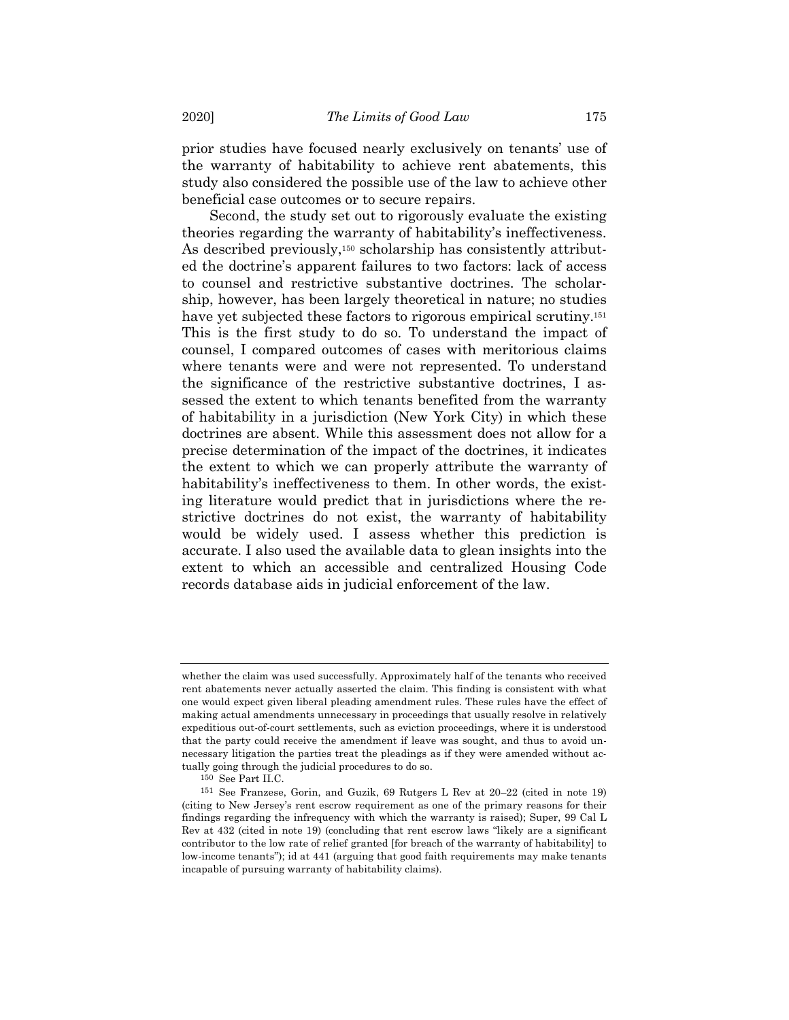prior studies have focused nearly exclusively on tenants' use of the warranty of habitability to achieve rent abatements, this study also considered the possible use of the law to achieve other beneficial case outcomes or to secure repairs.

Second, the study set out to rigorously evaluate the existing theories regarding the warranty of habitability's ineffectiveness. As described previously,<sup>150</sup> scholarship has consistently attributed the doctrine's apparent failures to two factors: lack of access to counsel and restrictive substantive doctrines. The scholarship, however, has been largely theoretical in nature; no studies have yet subjected these factors to rigorous empirical scrutiny.<sup>151</sup> This is the first study to do so. To understand the impact of counsel, I compared outcomes of cases with meritorious claims where tenants were and were not represented. To understand the significance of the restrictive substantive doctrines, I assessed the extent to which tenants benefited from the warranty of habitability in a jurisdiction (New York City) in which these doctrines are absent. While this assessment does not allow for a precise determination of the impact of the doctrines, it indicates the extent to which we can properly attribute the warranty of habitability's ineffectiveness to them. In other words, the existing literature would predict that in jurisdictions where the restrictive doctrines do not exist, the warranty of habitability would be widely used. I assess whether this prediction is accurate. I also used the available data to glean insights into the extent to which an accessible and centralized Housing Code records database aids in judicial enforcement of the law.

whether the claim was used successfully. Approximately half of the tenants who received rent abatements never actually asserted the claim. This finding is consistent with what one would expect given liberal pleading amendment rules. These rules have the effect of making actual amendments unnecessary in proceedings that usually resolve in relatively expeditious out-of-court settlements, such as eviction proceedings, where it is understood that the party could receive the amendment if leave was sought, and thus to avoid unnecessary litigation the parties treat the pleadings as if they were amended without actually going through the judicial procedures to do so.

<sup>150</sup> See Part II.C.

<sup>151</sup> See Franzese, Gorin, and Guzik, 69 Rutgers L Rev at 20–22 (cited in note 19) (citing to New Jersey's rent escrow requirement as one of the primary reasons for their findings regarding the infrequency with which the warranty is raised); Super, 99 Cal L Rev at 432 (cited in note 19) (concluding that rent escrow laws "likely are a significant contributor to the low rate of relief granted [for breach of the warranty of habitability] to low-income tenants"); id at 441 (arguing that good faith requirements may make tenants incapable of pursuing warranty of habitability claims).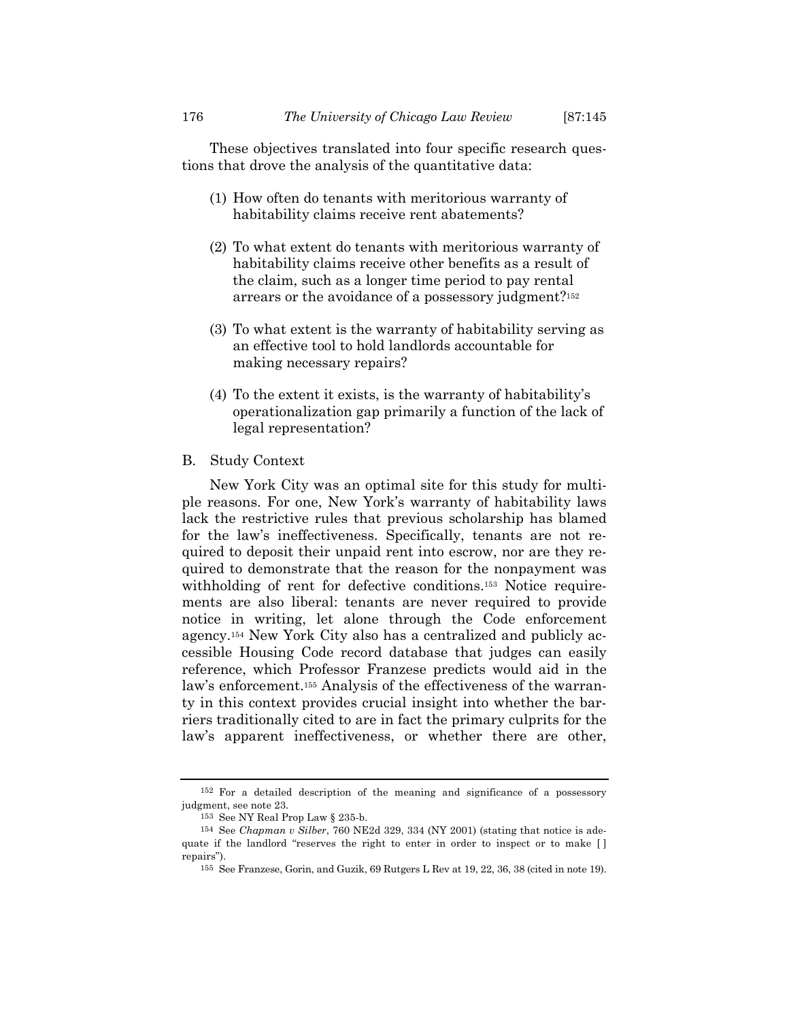These objectives translated into four specific research questions that drove the analysis of the quantitative data:

- (1) How often do tenants with meritorious warranty of habitability claims receive rent abatements?
- (2) To what extent do tenants with meritorious warranty of habitability claims receive other benefits as a result of the claim, such as a longer time period to pay rental arrears or the avoidance of a possessory judgment?152
- (3) To what extent is the warranty of habitability serving as an effective tool to hold landlords accountable for making necessary repairs?
- (4) To the extent it exists, is the warranty of habitability's operationalization gap primarily a function of the lack of legal representation?

## B. Study Context

New York City was an optimal site for this study for multiple reasons. For one, New York's warranty of habitability laws lack the restrictive rules that previous scholarship has blamed for the law's ineffectiveness. Specifically, tenants are not required to deposit their unpaid rent into escrow, nor are they required to demonstrate that the reason for the nonpayment was withholding of rent for defective conditions.<sup>153</sup> Notice requirements are also liberal: tenants are never required to provide notice in writing, let alone through the Code enforcement agency.154 New York City also has a centralized and publicly accessible Housing Code record database that judges can easily reference, which Professor Franzese predicts would aid in the law's enforcement.155 Analysis of the effectiveness of the warranty in this context provides crucial insight into whether the barriers traditionally cited to are in fact the primary culprits for the law's apparent ineffectiveness, or whether there are other,

<sup>152</sup> For a detailed description of the meaning and significance of a possessory judgment, see note 23.

<sup>153</sup> See NY Real Prop Law § 235-b.

<sup>154</sup> See *Chapman v Silber*, 760 NE2d 329, 334 (NY 2001) (stating that notice is adequate if the landlord "reserves the right to enter in order to inspect or to make [] repairs").

<sup>155</sup> See Franzese, Gorin, and Guzik, 69 Rutgers L Rev at 19, 22, 36, 38 (cited in note 19).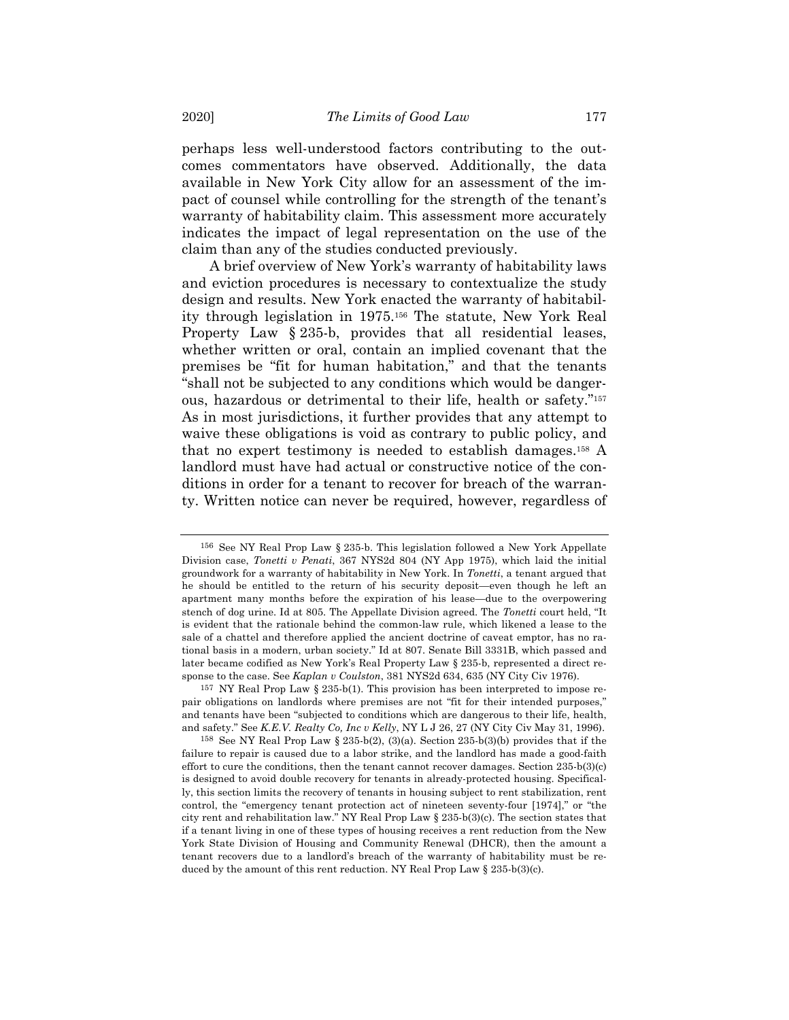perhaps less well-understood factors contributing to the outcomes commentators have observed. Additionally, the data available in New York City allow for an assessment of the impact of counsel while controlling for the strength of the tenant's warranty of habitability claim. This assessment more accurately indicates the impact of legal representation on the use of the claim than any of the studies conducted previously.

A brief overview of New York's warranty of habitability laws and eviction procedures is necessary to contextualize the study design and results. New York enacted the warranty of habitability through legislation in 1975.156 The statute, New York Real Property Law § 235-b, provides that all residential leases, whether written or oral, contain an implied covenant that the premises be "fit for human habitation," and that the tenants "shall not be subjected to any conditions which would be dangerous, hazardous or detrimental to their life, health or safety."157 As in most jurisdictions, it further provides that any attempt to waive these obligations is void as contrary to public policy, and that no expert testimony is needed to establish damages.158 A landlord must have had actual or constructive notice of the conditions in order for a tenant to recover for breach of the warranty. Written notice can never be required, however, regardless of

157 NY Real Prop Law § 235-b(1). This provision has been interpreted to impose repair obligations on landlords where premises are not "fit for their intended purposes," and tenants have been "subjected to conditions which are dangerous to their life, health, and safety." See *K.E.V. Realty Co, Inc v Kelly*, NY L J 26, 27 (NY City Civ May 31, 1996).

158 See NY Real Prop Law § 235-b(2), (3)(a). Section 235-b(3)(b) provides that if the failure to repair is caused due to a labor strike, and the landlord has made a good-faith effort to cure the conditions, then the tenant cannot recover damages. Section  $235-b(3)(c)$ is designed to avoid double recovery for tenants in already-protected housing. Specifically, this section limits the recovery of tenants in housing subject to rent stabilization, rent control, the "emergency tenant protection act of nineteen seventy-four [1974]," or "the city rent and rehabilitation law." NY Real Prop Law § 235-b(3)(c). The section states that if a tenant living in one of these types of housing receives a rent reduction from the New York State Division of Housing and Community Renewal (DHCR), then the amount a tenant recovers due to a landlord's breach of the warranty of habitability must be reduced by the amount of this rent reduction. NY Real Prop Law § 235-b(3)(c).

<sup>156</sup> See NY Real Prop Law § 235-b. This legislation followed a New York Appellate Division case, *Tonetti v Penati*, 367 NYS2d 804 (NY App 1975), which laid the initial groundwork for a warranty of habitability in New York. In *Tonetti*, a tenant argued that he should be entitled to the return of his security deposit—even though he left an apartment many months before the expiration of his lease—due to the overpowering stench of dog urine. Id at 805. The Appellate Division agreed. The *Tonetti* court held, "It is evident that the rationale behind the common-law rule, which likened a lease to the sale of a chattel and therefore applied the ancient doctrine of caveat emptor, has no rational basis in a modern, urban society." Id at 807. Senate Bill 3331B, which passed and later became codified as New York's Real Property Law § 235-b, represented a direct response to the case. See *Kaplan v Coulston*, 381 NYS2d 634, 635 (NY City Civ 1976).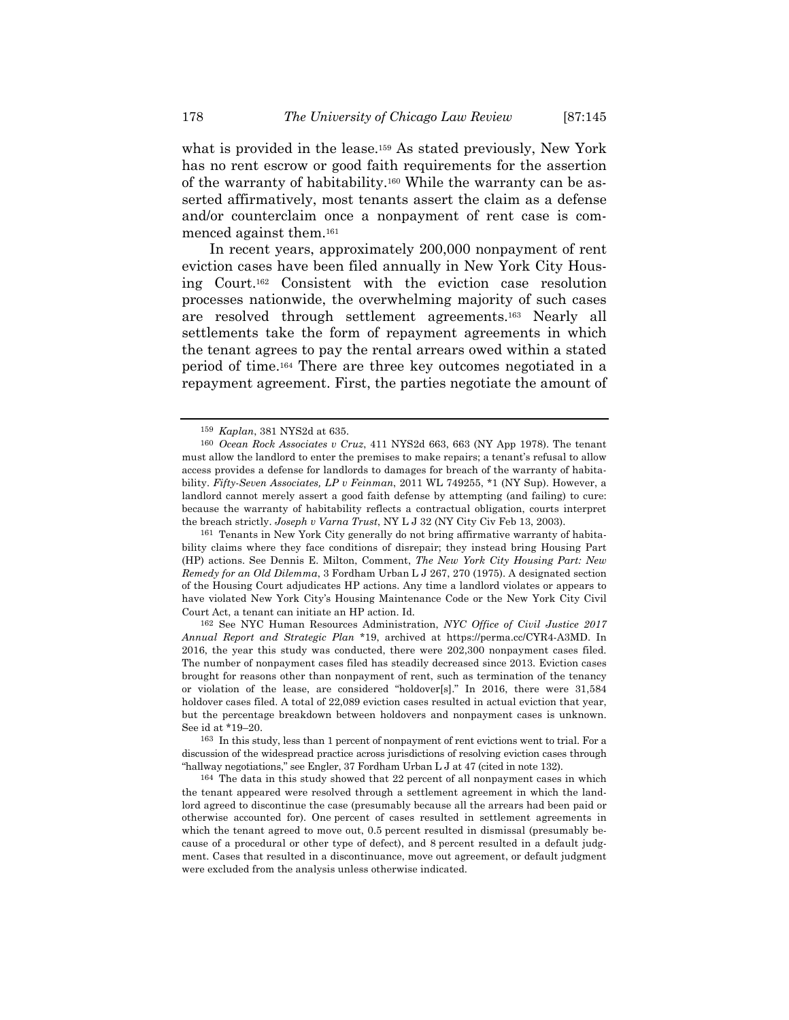what is provided in the lease.<sup>159</sup> As stated previously, New York has no rent escrow or good faith requirements for the assertion of the warranty of habitability.160 While the warranty can be asserted affirmatively, most tenants assert the claim as a defense and/or counterclaim once a nonpayment of rent case is commenced against them.161

In recent years, approximately 200,000 nonpayment of rent eviction cases have been filed annually in New York City Housing Court.162 Consistent with the eviction case resolution processes nationwide, the overwhelming majority of such cases are resolved through settlement agreements.163 Nearly all settlements take the form of repayment agreements in which the tenant agrees to pay the rental arrears owed within a stated period of time.164 There are three key outcomes negotiated in a repayment agreement. First, the parties negotiate the amount of

161 Tenants in New York City generally do not bring affirmative warranty of habitability claims where they face conditions of disrepair; they instead bring Housing Part (HP) actions. See Dennis E. Milton, Comment, *The New York City Housing Part: New Remedy for an Old Dilemma*, 3 Fordham Urban L J 267, 270 (1975). A designated section of the Housing Court adjudicates HP actions. Any time a landlord violates or appears to have violated New York City's Housing Maintenance Code or the New York City Civil Court Act, a tenant can initiate an HP action. Id.

162 See NYC Human Resources Administration, *NYC Office of Civil Justice 2017 Annual Report and Strategic Plan* \*19, archived at https://perma.cc/CYR4-A3MD. In 2016, the year this study was conducted, there were 202,300 nonpayment cases filed. The number of nonpayment cases filed has steadily decreased since 2013. Eviction cases brought for reasons other than nonpayment of rent, such as termination of the tenancy or violation of the lease, are considered "holdover[s]." In 2016, there were 31,584 holdover cases filed. A total of 22,089 eviction cases resulted in actual eviction that year, but the percentage breakdown between holdovers and nonpayment cases is unknown. See id at \*19–20.

163 In this study, less than 1 percent of nonpayment of rent evictions went to trial. For a discussion of the widespread practice across jurisdictions of resolving eviction cases through "hallway negotiations," see Engler, 37 Fordham Urban L J at 47 (cited in note 132).

164 The data in this study showed that 22 percent of all nonpayment cases in which the tenant appeared were resolved through a settlement agreement in which the landlord agreed to discontinue the case (presumably because all the arrears had been paid or otherwise accounted for). One percent of cases resulted in settlement agreements in which the tenant agreed to move out, 0.5 percent resulted in dismissal (presumably because of a procedural or other type of defect), and 8 percent resulted in a default judgment. Cases that resulted in a discontinuance, move out agreement, or default judgment were excluded from the analysis unless otherwise indicated.

<sup>159</sup> *Kaplan*, 381 NYS2d at 635.

<sup>160</sup> *Ocean Rock Associates v Cruz*, 411 NYS2d 663, 663 (NY App 1978). The tenant must allow the landlord to enter the premises to make repairs; a tenant's refusal to allow access provides a defense for landlords to damages for breach of the warranty of habitability. *Fifty-Seven Associates, LP v Feinman*, 2011 WL 749255, \*1 (NY Sup). However, a landlord cannot merely assert a good faith defense by attempting (and failing) to cure: because the warranty of habitability reflects a contractual obligation, courts interpret the breach strictly. *Joseph v Varna Trust*, NY L J 32 (NY City Civ Feb 13, 2003).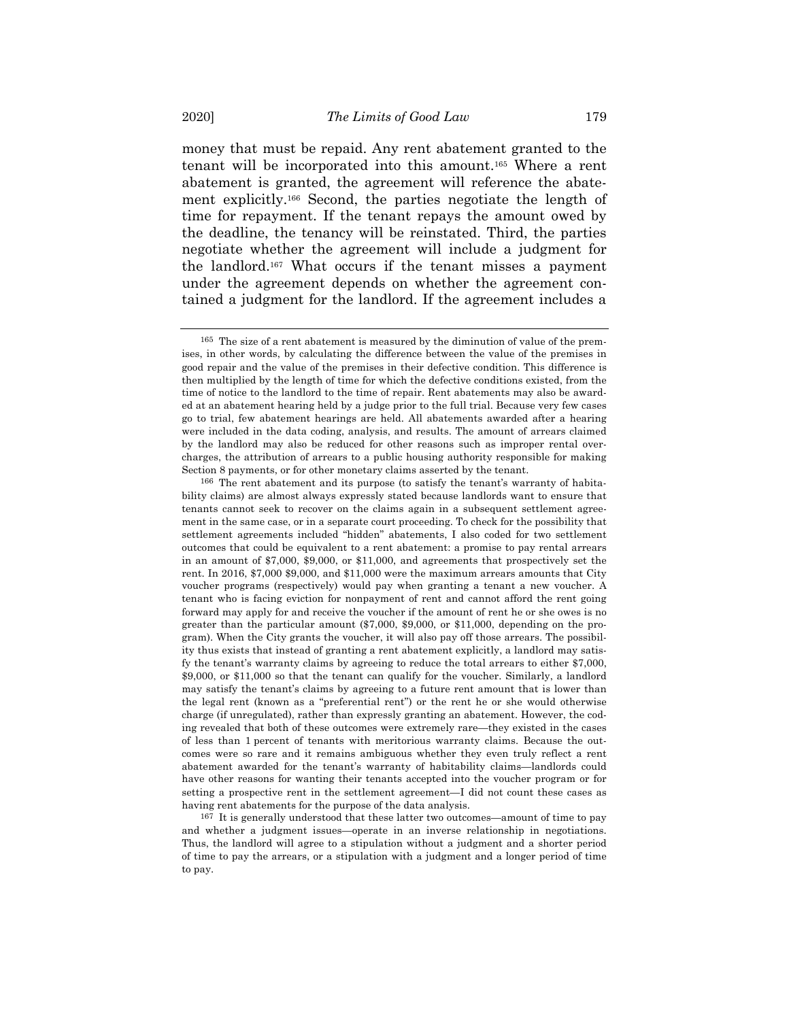money that must be repaid. Any rent abatement granted to the tenant will be incorporated into this amount.165 Where a rent abatement is granted, the agreement will reference the abatement explicitly.166 Second, the parties negotiate the length of time for repayment. If the tenant repays the amount owed by the deadline, the tenancy will be reinstated. Third, the parties negotiate whether the agreement will include a judgment for the landlord.167 What occurs if the tenant misses a payment under the agreement depends on whether the agreement contained a judgment for the landlord. If the agreement includes a

167 It is generally understood that these latter two outcomes—amount of time to pay and whether a judgment issues—operate in an inverse relationship in negotiations. Thus, the landlord will agree to a stipulation without a judgment and a shorter period of time to pay the arrears, or a stipulation with a judgment and a longer period of time to pay.

<sup>165</sup> The size of a rent abatement is measured by the diminution of value of the premises, in other words, by calculating the difference between the value of the premises in good repair and the value of the premises in their defective condition. This difference is then multiplied by the length of time for which the defective conditions existed, from the time of notice to the landlord to the time of repair. Rent abatements may also be awarded at an abatement hearing held by a judge prior to the full trial. Because very few cases go to trial, few abatement hearings are held. All abatements awarded after a hearing were included in the data coding, analysis, and results. The amount of arrears claimed by the landlord may also be reduced for other reasons such as improper rental overcharges, the attribution of arrears to a public housing authority responsible for making Section 8 payments, or for other monetary claims asserted by the tenant.

<sup>166</sup> The rent abatement and its purpose (to satisfy the tenant's warranty of habitability claims) are almost always expressly stated because landlords want to ensure that tenants cannot seek to recover on the claims again in a subsequent settlement agreement in the same case, or in a separate court proceeding. To check for the possibility that settlement agreements included "hidden" abatements, I also coded for two settlement outcomes that could be equivalent to a rent abatement: a promise to pay rental arrears in an amount of \$7,000, \$9,000, or \$11,000, and agreements that prospectively set the rent. In 2016, \$7,000 \$9,000, and \$11,000 were the maximum arrears amounts that City voucher programs (respectively) would pay when granting a tenant a new voucher. A tenant who is facing eviction for nonpayment of rent and cannot afford the rent going forward may apply for and receive the voucher if the amount of rent he or she owes is no greater than the particular amount (\$7,000, \$9,000, or \$11,000, depending on the program). When the City grants the voucher, it will also pay off those arrears. The possibility thus exists that instead of granting a rent abatement explicitly, a landlord may satisfy the tenant's warranty claims by agreeing to reduce the total arrears to either \$7,000, \$9,000, or \$11,000 so that the tenant can qualify for the voucher. Similarly, a landlord may satisfy the tenant's claims by agreeing to a future rent amount that is lower than the legal rent (known as a "preferential rent") or the rent he or she would otherwise charge (if unregulated), rather than expressly granting an abatement. However, the coding revealed that both of these outcomes were extremely rare—they existed in the cases of less than 1 percent of tenants with meritorious warranty claims. Because the outcomes were so rare and it remains ambiguous whether they even truly reflect a rent abatement awarded for the tenant's warranty of habitability claims—landlords could have other reasons for wanting their tenants accepted into the voucher program or for setting a prospective rent in the settlement agreement—I did not count these cases as having rent abatements for the purpose of the data analysis.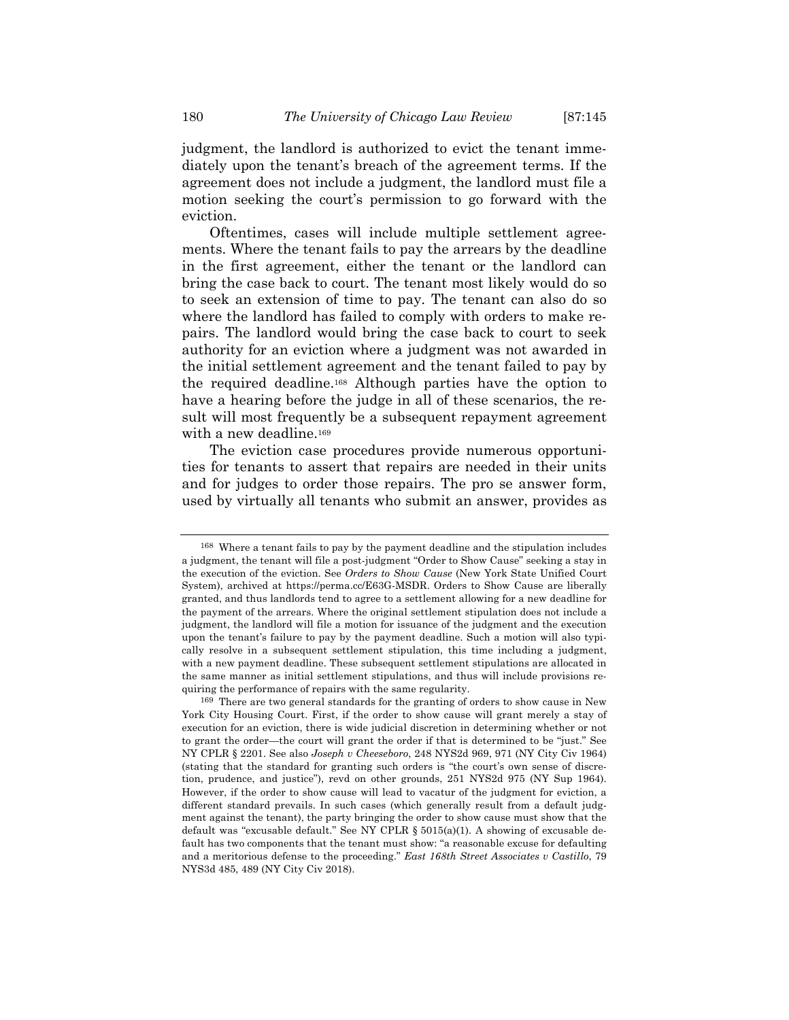judgment, the landlord is authorized to evict the tenant immediately upon the tenant's breach of the agreement terms. If the agreement does not include a judgment, the landlord must file a motion seeking the court's permission to go forward with the eviction.

Oftentimes, cases will include multiple settlement agreements. Where the tenant fails to pay the arrears by the deadline in the first agreement, either the tenant or the landlord can bring the case back to court. The tenant most likely would do so to seek an extension of time to pay. The tenant can also do so where the landlord has failed to comply with orders to make repairs. The landlord would bring the case back to court to seek authority for an eviction where a judgment was not awarded in the initial settlement agreement and the tenant failed to pay by the required deadline.168 Although parties have the option to have a hearing before the judge in all of these scenarios, the result will most frequently be a subsequent repayment agreement with a new deadline.<sup>169</sup>

The eviction case procedures provide numerous opportunities for tenants to assert that repairs are needed in their units and for judges to order those repairs. The pro se answer form, used by virtually all tenants who submit an answer, provides as

<sup>168</sup> Where a tenant fails to pay by the payment deadline and the stipulation includes a judgment, the tenant will file a post-judgment "Order to Show Cause" seeking a stay in the execution of the eviction. See *Orders to Show Cause* (New York State Unified Court System), archived at https://perma.cc/E63G-MSDR. Orders to Show Cause are liberally granted, and thus landlords tend to agree to a settlement allowing for a new deadline for the payment of the arrears. Where the original settlement stipulation does not include a judgment, the landlord will file a motion for issuance of the judgment and the execution upon the tenant's failure to pay by the payment deadline. Such a motion will also typically resolve in a subsequent settlement stipulation, this time including a judgment, with a new payment deadline. These subsequent settlement stipulations are allocated in the same manner as initial settlement stipulations, and thus will include provisions requiring the performance of repairs with the same regularity.

<sup>169</sup> There are two general standards for the granting of orders to show cause in New York City Housing Court. First, if the order to show cause will grant merely a stay of execution for an eviction, there is wide judicial discretion in determining whether or not to grant the order—the court will grant the order if that is determined to be "just." See NY CPLR § 2201. See also *Joseph v Cheeseboro*, 248 NYS2d 969, 971 (NY City Civ 1964) (stating that the standard for granting such orders is "the court's own sense of discretion, prudence, and justice"), revd on other grounds, 251 NYS2d 975 (NY Sup 1964). However, if the order to show cause will lead to vacatur of the judgment for eviction, a different standard prevails. In such cases (which generally result from a default judgment against the tenant), the party bringing the order to show cause must show that the default was "excusable default." See NY CPLR  $\S 5015(a)(1)$ . A showing of excusable default has two components that the tenant must show: "a reasonable excuse for defaulting and a meritorious defense to the proceeding." *East 168th Street Associates v Castillo*, 79 NYS3d 485, 489 (NY City Civ 2018).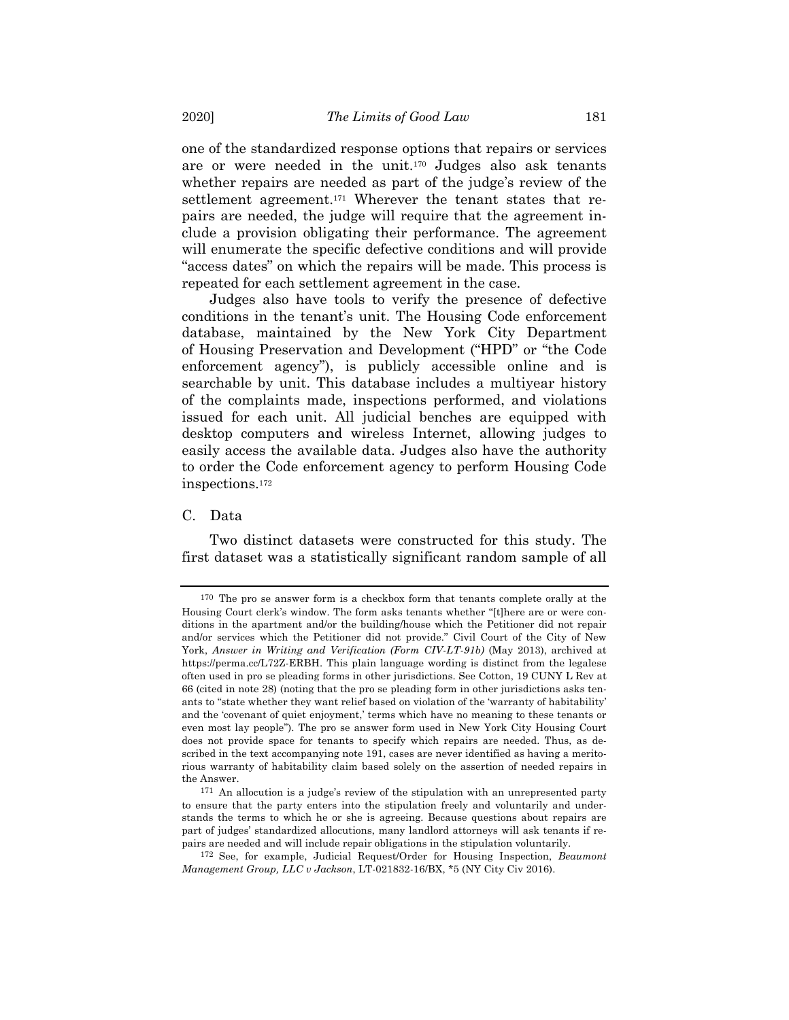one of the standardized response options that repairs or services are or were needed in the unit.170 Judges also ask tenants whether repairs are needed as part of the judge's review of the settlement agreement.<sup>171</sup> Wherever the tenant states that repairs are needed, the judge will require that the agreement include a provision obligating their performance. The agreement will enumerate the specific defective conditions and will provide "access dates" on which the repairs will be made. This process is repeated for each settlement agreement in the case.

Judges also have tools to verify the presence of defective conditions in the tenant's unit. The Housing Code enforcement database, maintained by the New York City Department of Housing Preservation and Development ("HPD" or "the Code enforcement agency"), is publicly accessible online and is searchable by unit. This database includes a multiyear history of the complaints made, inspections performed, and violations issued for each unit. All judicial benches are equipped with desktop computers and wireless Internet, allowing judges to easily access the available data. Judges also have the authority to order the Code enforcement agency to perform Housing Code inspections.172

## C. Data

Two distinct datasets were constructed for this study. The first dataset was a statistically significant random sample of all

<sup>170</sup> The pro se answer form is a checkbox form that tenants complete orally at the Housing Court clerk's window. The form asks tenants whether "[t]here are or were conditions in the apartment and/or the building/house which the Petitioner did not repair and/or services which the Petitioner did not provide." Civil Court of the City of New York, *Answer in Writing and Verification (Form CIV-LT-91b)* (May 2013), archived at https://perma.cc/L72Z-ERBH. This plain language wording is distinct from the legalese often used in pro se pleading forms in other jurisdictions. See Cotton, 19 CUNY L Rev at 66 (cited in note 28) (noting that the pro se pleading form in other jurisdictions asks tenants to "state whether they want relief based on violation of the 'warranty of habitability' and the 'covenant of quiet enjoyment,' terms which have no meaning to these tenants or even most lay people"). The pro se answer form used in New York City Housing Court does not provide space for tenants to specify which repairs are needed. Thus, as described in the text accompanying note 191, cases are never identified as having a meritorious warranty of habitability claim based solely on the assertion of needed repairs in the Answer.

<sup>171</sup> An allocution is a judge's review of the stipulation with an unrepresented party to ensure that the party enters into the stipulation freely and voluntarily and understands the terms to which he or she is agreeing. Because questions about repairs are part of judges' standardized allocutions, many landlord attorneys will ask tenants if repairs are needed and will include repair obligations in the stipulation voluntarily.

<sup>172</sup> See, for example, Judicial Request/Order for Housing Inspection, *Beaumont Management Group, LLC v Jackson*, LT-021832-16/BX, \*5 (NY City Civ 2016).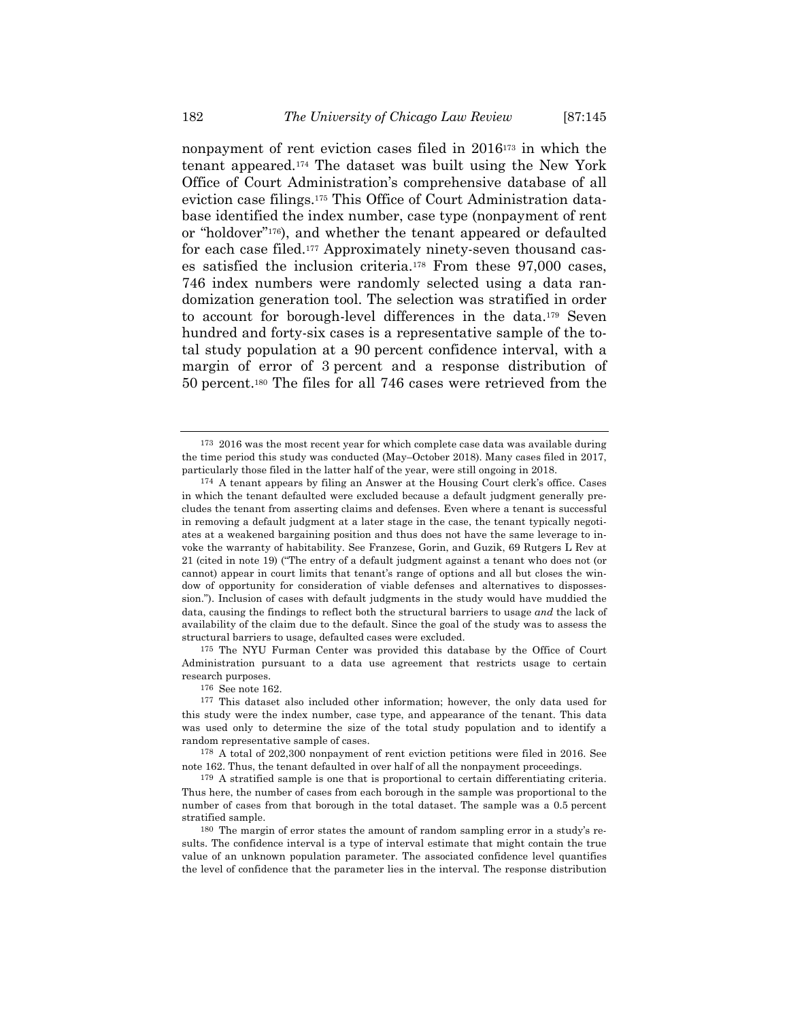nonpayment of rent eviction cases filed in 2016173 in which the tenant appeared.174 The dataset was built using the New York Office of Court Administration's comprehensive database of all eviction case filings.175 This Office of Court Administration database identified the index number, case type (nonpayment of rent or "holdover"176), and whether the tenant appeared or defaulted for each case filed.177 Approximately ninety-seven thousand cases satisfied the inclusion criteria.178 From these 97,000 cases, 746 index numbers were randomly selected using a data randomization generation tool. The selection was stratified in order to account for borough-level differences in the data.179 Seven hundred and forty-six cases is a representative sample of the total study population at a 90 percent confidence interval, with a margin of error of 3 percent and a response distribution of 50 percent.180 The files for all 746 cases were retrieved from the

175 The NYU Furman Center was provided this database by the Office of Court Administration pursuant to a data use agreement that restricts usage to certain research purposes.

<sup>173</sup> 2016 was the most recent year for which complete case data was available during the time period this study was conducted (May–October 2018). Many cases filed in 2017, particularly those filed in the latter half of the year, were still ongoing in 2018.

<sup>174</sup> A tenant appears by filing an Answer at the Housing Court clerk's office. Cases in which the tenant defaulted were excluded because a default judgment generally precludes the tenant from asserting claims and defenses. Even where a tenant is successful in removing a default judgment at a later stage in the case, the tenant typically negotiates at a weakened bargaining position and thus does not have the same leverage to invoke the warranty of habitability. See Franzese, Gorin, and Guzik, 69 Rutgers L Rev at 21 (cited in note 19) ("The entry of a default judgment against a tenant who does not (or cannot) appear in court limits that tenant's range of options and all but closes the window of opportunity for consideration of viable defenses and alternatives to dispossession."). Inclusion of cases with default judgments in the study would have muddied the data, causing the findings to reflect both the structural barriers to usage *and* the lack of availability of the claim due to the default. Since the goal of the study was to assess the structural barriers to usage, defaulted cases were excluded.

<sup>176</sup> See note 162.

<sup>177</sup> This dataset also included other information; however, the only data used for this study were the index number, case type, and appearance of the tenant. This data was used only to determine the size of the total study population and to identify a random representative sample of cases.

<sup>178</sup> A total of 202,300 nonpayment of rent eviction petitions were filed in 2016. See note 162. Thus, the tenant defaulted in over half of all the nonpayment proceedings.

<sup>179</sup> A stratified sample is one that is proportional to certain differentiating criteria. Thus here, the number of cases from each borough in the sample was proportional to the number of cases from that borough in the total dataset. The sample was a 0.5 percent stratified sample.

<sup>180</sup> The margin of error states the amount of random sampling error in a study's results. The confidence interval is a type of interval estimate that might contain the true value of an unknown population parameter. The associated confidence level quantifies the level of confidence that the parameter lies in the interval. The response distribution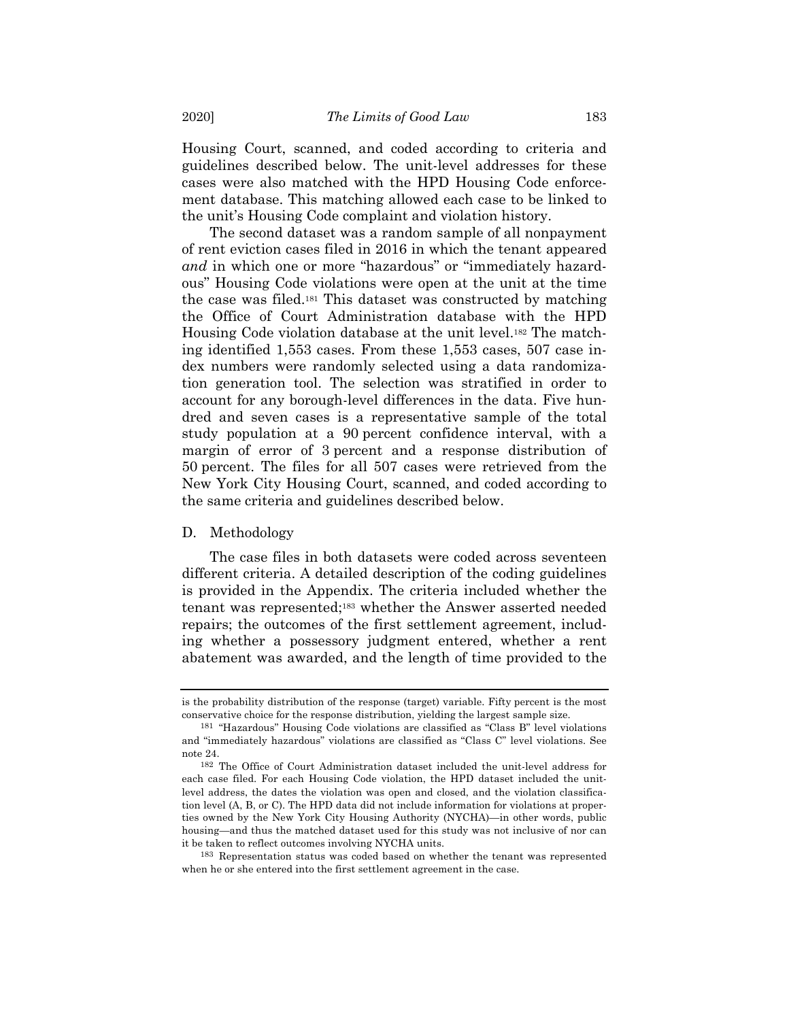Housing Court, scanned, and coded according to criteria and guidelines described below. The unit-level addresses for these cases were also matched with the HPD Housing Code enforcement database. This matching allowed each case to be linked to the unit's Housing Code complaint and violation history.

The second dataset was a random sample of all nonpayment of rent eviction cases filed in 2016 in which the tenant appeared *and* in which one or more "hazardous" or "immediately hazardous" Housing Code violations were open at the unit at the time the case was filed.181 This dataset was constructed by matching the Office of Court Administration database with the HPD Housing Code violation database at the unit level.182 The matching identified 1,553 cases. From these 1,553 cases, 507 case index numbers were randomly selected using a data randomization generation tool. The selection was stratified in order to account for any borough-level differences in the data. Five hundred and seven cases is a representative sample of the total study population at a 90 percent confidence interval, with a margin of error of 3 percent and a response distribution of 50 percent. The files for all 507 cases were retrieved from the New York City Housing Court, scanned, and coded according to the same criteria and guidelines described below.

## D. Methodology

The case files in both datasets were coded across seventeen different criteria. A detailed description of the coding guidelines is provided in the Appendix. The criteria included whether the tenant was represented;183 whether the Answer asserted needed repairs; the outcomes of the first settlement agreement, including whether a possessory judgment entered, whether a rent abatement was awarded, and the length of time provided to the

is the probability distribution of the response (target) variable. Fifty percent is the most conservative choice for the response distribution, yielding the largest sample size.

<sup>181</sup> "Hazardous" Housing Code violations are classified as "Class B" level violations and "immediately hazardous" violations are classified as "Class C" level violations. See note 24.

<sup>182</sup> The Office of Court Administration dataset included the unit-level address for each case filed. For each Housing Code violation, the HPD dataset included the unitlevel address, the dates the violation was open and closed, and the violation classification level (A, B, or C). The HPD data did not include information for violations at properties owned by the New York City Housing Authority (NYCHA)—in other words, public housing—and thus the matched dataset used for this study was not inclusive of nor can it be taken to reflect outcomes involving NYCHA units.

<sup>183</sup> Representation status was coded based on whether the tenant was represented when he or she entered into the first settlement agreement in the case.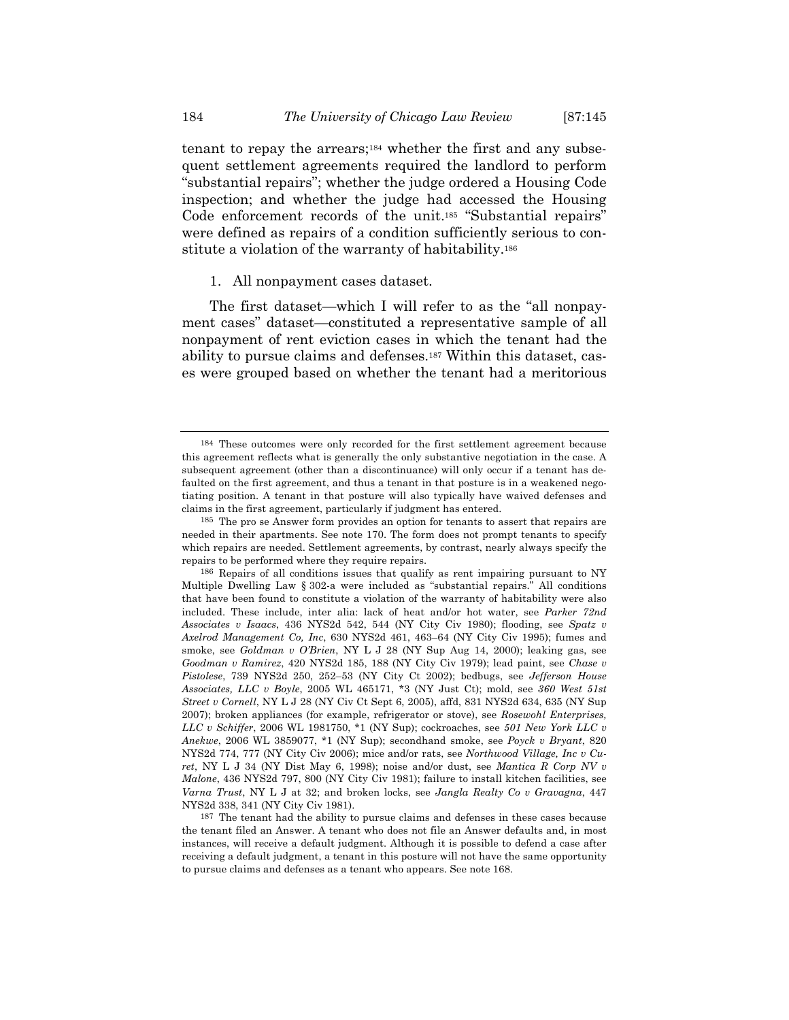tenant to repay the arrears;184 whether the first and any subsequent settlement agreements required the landlord to perform "substantial repairs"; whether the judge ordered a Housing Code inspection; and whether the judge had accessed the Housing Code enforcement records of the unit.185 "Substantial repairs" were defined as repairs of a condition sufficiently serious to constitute a violation of the warranty of habitability.<sup>186</sup>

1. All nonpayment cases dataset.

The first dataset—which I will refer to as the "all nonpayment cases" dataset—constituted a representative sample of all nonpayment of rent eviction cases in which the tenant had the ability to pursue claims and defenses.187 Within this dataset, cases were grouped based on whether the tenant had a meritorious

<sup>184</sup> These outcomes were only recorded for the first settlement agreement because this agreement reflects what is generally the only substantive negotiation in the case. A subsequent agreement (other than a discontinuance) will only occur if a tenant has defaulted on the first agreement, and thus a tenant in that posture is in a weakened negotiating position. A tenant in that posture will also typically have waived defenses and claims in the first agreement, particularly if judgment has entered.

<sup>185</sup> The pro se Answer form provides an option for tenants to assert that repairs are needed in their apartments. See note 170. The form does not prompt tenants to specify which repairs are needed. Settlement agreements, by contrast, nearly always specify the repairs to be performed where they require repairs.

<sup>186</sup> Repairs of all conditions issues that qualify as rent impairing pursuant to NY Multiple Dwelling Law § 302-a were included as "substantial repairs." All conditions that have been found to constitute a violation of the warranty of habitability were also included. These include, inter alia: lack of heat and/or hot water, see *Parker 72nd Associates v Isaacs*, 436 NYS2d 542, 544 (NY City Civ 1980); flooding, see *Spatz v Axelrod Management Co, Inc*, 630 NYS2d 461, 463–64 (NY City Civ 1995); fumes and smoke, see *Goldman v O'Brien*, NY L J 28 (NY Sup Aug 14, 2000); leaking gas, see *Goodman v Ramirez*, 420 NYS2d 185, 188 (NY City Civ 1979); lead paint, see *Chase v Pistolese*, 739 NYS2d 250, 252–53 (NY City Ct 2002); bedbugs, see *Jefferson House Associates, LLC v Boyle*, 2005 WL 465171, \*3 (NY Just Ct); mold, see *360 West 51st Street v Cornell*, NY L J 28 (NY Civ Ct Sept 6, 2005), affd, 831 NYS2d 634, 635 (NY Sup 2007); broken appliances (for example, refrigerator or stove), see *Rosewohl Enterprises, LLC v Schiffer*, 2006 WL 1981750, \*1 (NY Sup); cockroaches, see *501 New York LLC v Anekwe*, 2006 WL 3859077, \*1 (NY Sup); secondhand smoke, see *Poyck v Bryant*, 820 NYS2d 774, 777 (NY City Civ 2006); mice and/or rats, see *Northwood Village, Inc v Curet*, NY L J 34 (NY Dist May 6, 1998); noise and/or dust, see *Mantica R Corp NV v Malone*, 436 NYS2d 797, 800 (NY City Civ 1981); failure to install kitchen facilities, see *Varna Trust*, NY L J at 32; and broken locks, see *Jangla Realty Co v Gravagna*, 447 NYS2d 338, 341 (NY City Civ 1981).

<sup>187</sup> The tenant had the ability to pursue claims and defenses in these cases because the tenant filed an Answer. A tenant who does not file an Answer defaults and, in most instances, will receive a default judgment. Although it is possible to defend a case after receiving a default judgment, a tenant in this posture will not have the same opportunity to pursue claims and defenses as a tenant who appears. See note 168.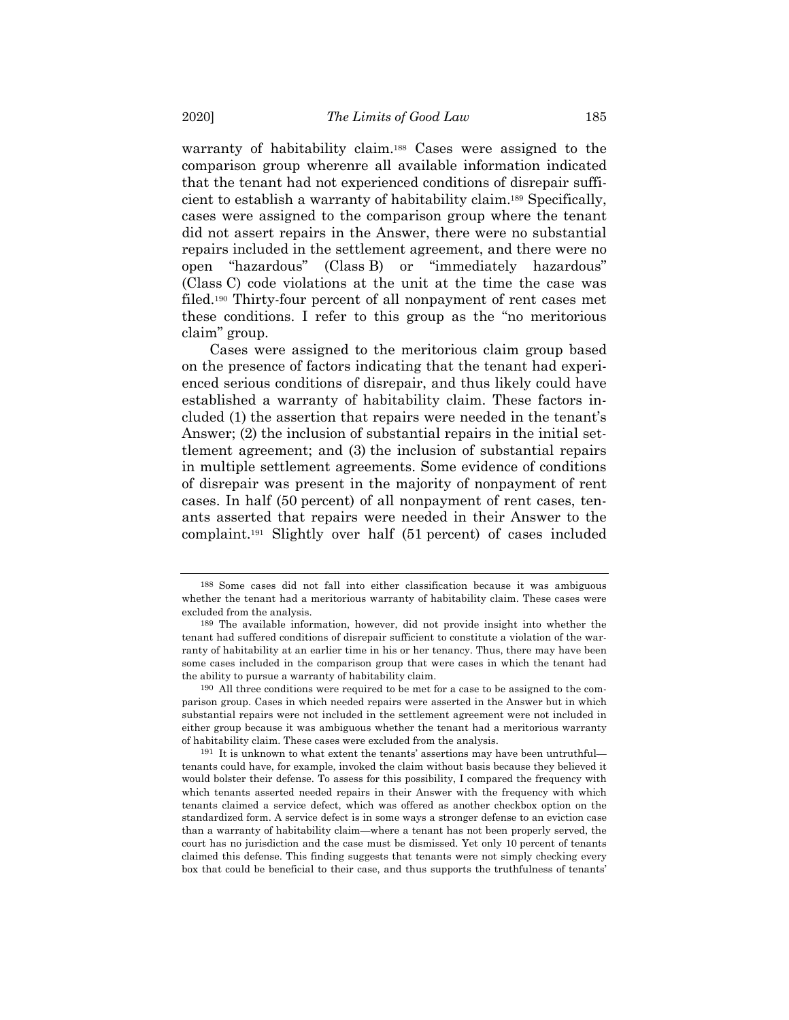warranty of habitability claim.188 Cases were assigned to the comparison group wherenre all available information indicated that the tenant had not experienced conditions of disrepair sufficient to establish a warranty of habitability claim.189 Specifically, cases were assigned to the comparison group where the tenant did not assert repairs in the Answer, there were no substantial repairs included in the settlement agreement, and there were no open "hazardous" (Class B) or "immediately hazardous" (Class C) code violations at the unit at the time the case was filed.190 Thirty-four percent of all nonpayment of rent cases met these conditions. I refer to this group as the "no meritorious claim" group.

Cases were assigned to the meritorious claim group based on the presence of factors indicating that the tenant had experienced serious conditions of disrepair, and thus likely could have established a warranty of habitability claim. These factors included (1) the assertion that repairs were needed in the tenant's Answer; (2) the inclusion of substantial repairs in the initial settlement agreement; and (3) the inclusion of substantial repairs in multiple settlement agreements. Some evidence of conditions of disrepair was present in the majority of nonpayment of rent cases. In half (50 percent) of all nonpayment of rent cases, tenants asserted that repairs were needed in their Answer to the complaint.191 Slightly over half (51 percent) of cases included

<sup>188</sup> Some cases did not fall into either classification because it was ambiguous whether the tenant had a meritorious warranty of habitability claim. These cases were excluded from the analysis.

<sup>189</sup> The available information, however, did not provide insight into whether the tenant had suffered conditions of disrepair sufficient to constitute a violation of the warranty of habitability at an earlier time in his or her tenancy. Thus, there may have been some cases included in the comparison group that were cases in which the tenant had the ability to pursue a warranty of habitability claim.

<sup>190</sup> All three conditions were required to be met for a case to be assigned to the comparison group. Cases in which needed repairs were asserted in the Answer but in which substantial repairs were not included in the settlement agreement were not included in either group because it was ambiguous whether the tenant had a meritorious warranty of habitability claim. These cases were excluded from the analysis.

<sup>191</sup> It is unknown to what extent the tenants' assertions may have been untruthful tenants could have, for example, invoked the claim without basis because they believed it would bolster their defense. To assess for this possibility, I compared the frequency with which tenants asserted needed repairs in their Answer with the frequency with which tenants claimed a service defect, which was offered as another checkbox option on the standardized form. A service defect is in some ways a stronger defense to an eviction case than a warranty of habitability claim—where a tenant has not been properly served, the court has no jurisdiction and the case must be dismissed. Yet only 10 percent of tenants claimed this defense. This finding suggests that tenants were not simply checking every box that could be beneficial to their case, and thus supports the truthfulness of tenants'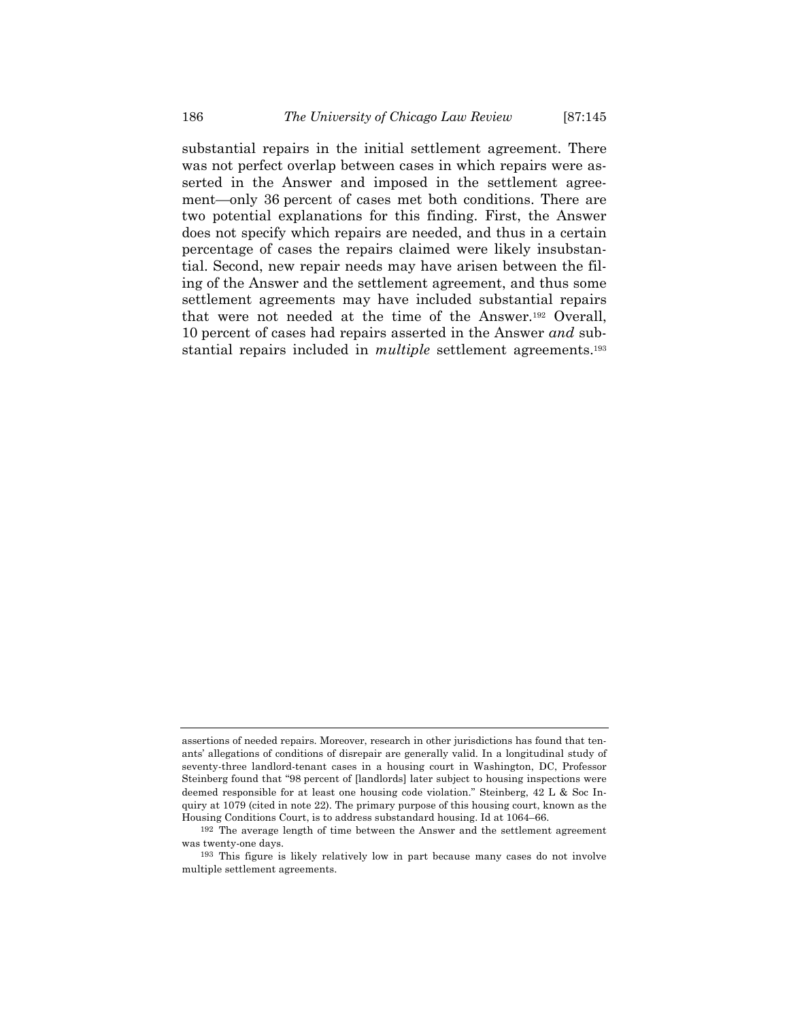substantial repairs in the initial settlement agreement. There was not perfect overlap between cases in which repairs were asserted in the Answer and imposed in the settlement agreement—only 36 percent of cases met both conditions. There are two potential explanations for this finding. First, the Answer does not specify which repairs are needed, and thus in a certain percentage of cases the repairs claimed were likely insubstantial. Second, new repair needs may have arisen between the filing of the Answer and the settlement agreement, and thus some settlement agreements may have included substantial repairs that were not needed at the time of the Answer.192 Overall, 10 percent of cases had repairs asserted in the Answer *and* substantial repairs included in *multiple* settlement agreements.193

assertions of needed repairs. Moreover, research in other jurisdictions has found that tenants' allegations of conditions of disrepair are generally valid. In a longitudinal study of seventy-three landlord-tenant cases in a housing court in Washington, DC, Professor Steinberg found that "98 percent of [landlords] later subject to housing inspections were deemed responsible for at least one housing code violation." Steinberg, 42 L & Soc Inquiry at 1079 (cited in note 22). The primary purpose of this housing court, known as the Housing Conditions Court, is to address substandard housing. Id at 1064–66.

<sup>192</sup> The average length of time between the Answer and the settlement agreement was twenty-one days.

<sup>193</sup> This figure is likely relatively low in part because many cases do not involve multiple settlement agreements.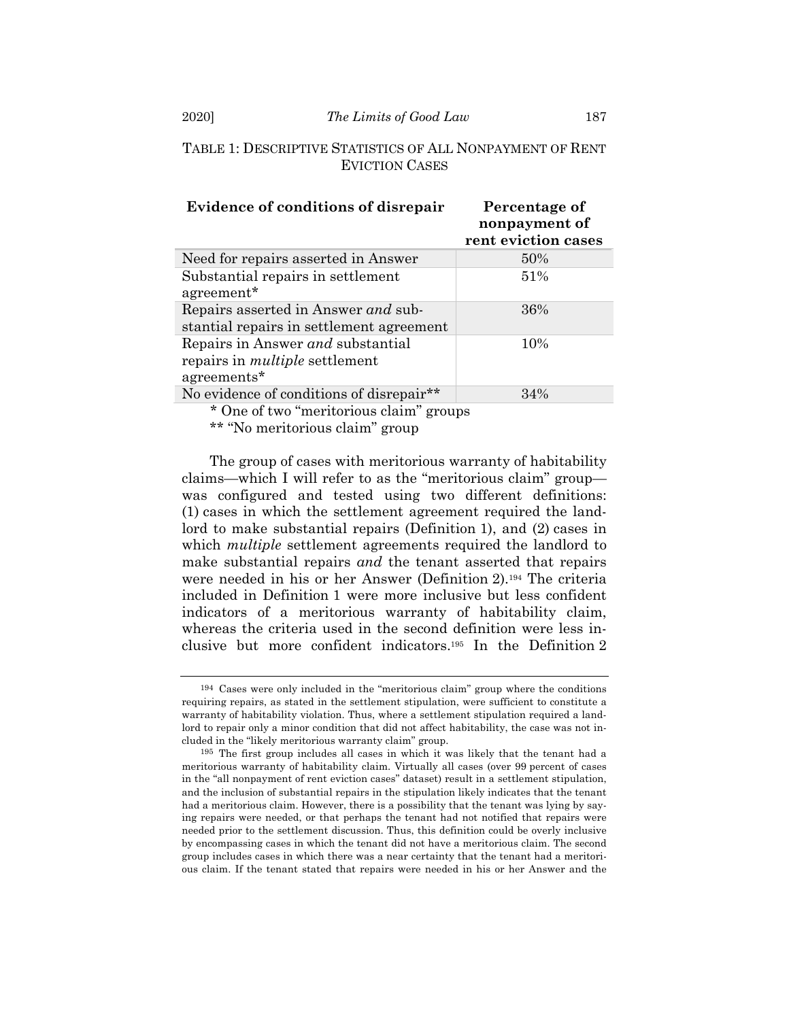#### 2020] *The Limits of Good Law* 187

# TABLE 1: DESCRIPTIVE STATISTICS OF ALL NONPAYMENT OF RENT EVICTION CASES

| <b>Evidence of conditions of disrepair</b>                                                | Percentage of<br>nonpayment of<br>rent eviction cases |
|-------------------------------------------------------------------------------------------|-------------------------------------------------------|
| Need for repairs asserted in Answer                                                       | 50%                                                   |
| Substantial repairs in settlement<br>agreement*                                           | 51%                                                   |
| Repairs asserted in Answer and sub-<br>stantial repairs in settlement agreement           | 36%                                                   |
| Repairs in Answer and substantial<br>repairs in <i>multiple</i> settlement<br>agreements* | 10%                                                   |
| No evidence of conditions of disrepair**                                                  | 34%                                                   |
| $\mathbf{a}$ , the set of $\mathbf{a}$                                                    |                                                       |

\* One of two "meritorious claim" groups

\*\* "No meritorious claim" group

The group of cases with meritorious warranty of habitability claims—which I will refer to as the "meritorious claim" group was configured and tested using two different definitions: (1) cases in which the settlement agreement required the landlord to make substantial repairs (Definition 1), and (2) cases in which *multiple* settlement agreements required the landlord to make substantial repairs *and* the tenant asserted that repairs were needed in his or her Answer (Definition 2).194 The criteria included in Definition 1 were more inclusive but less confident indicators of a meritorious warranty of habitability claim, whereas the criteria used in the second definition were less inclusive but more confident indicators.195 In the Definition 2

<sup>194</sup> Cases were only included in the "meritorious claim" group where the conditions requiring repairs, as stated in the settlement stipulation, were sufficient to constitute a warranty of habitability violation. Thus, where a settlement stipulation required a landlord to repair only a minor condition that did not affect habitability, the case was not included in the "likely meritorious warranty claim" group.

<sup>195</sup> The first group includes all cases in which it was likely that the tenant had a meritorious warranty of habitability claim. Virtually all cases (over 99 percent of cases in the "all nonpayment of rent eviction cases" dataset) result in a settlement stipulation, and the inclusion of substantial repairs in the stipulation likely indicates that the tenant had a meritorious claim. However, there is a possibility that the tenant was lying by saying repairs were needed, or that perhaps the tenant had not notified that repairs were needed prior to the settlement discussion. Thus, this definition could be overly inclusive by encompassing cases in which the tenant did not have a meritorious claim. The second group includes cases in which there was a near certainty that the tenant had a meritorious claim. If the tenant stated that repairs were needed in his or her Answer and the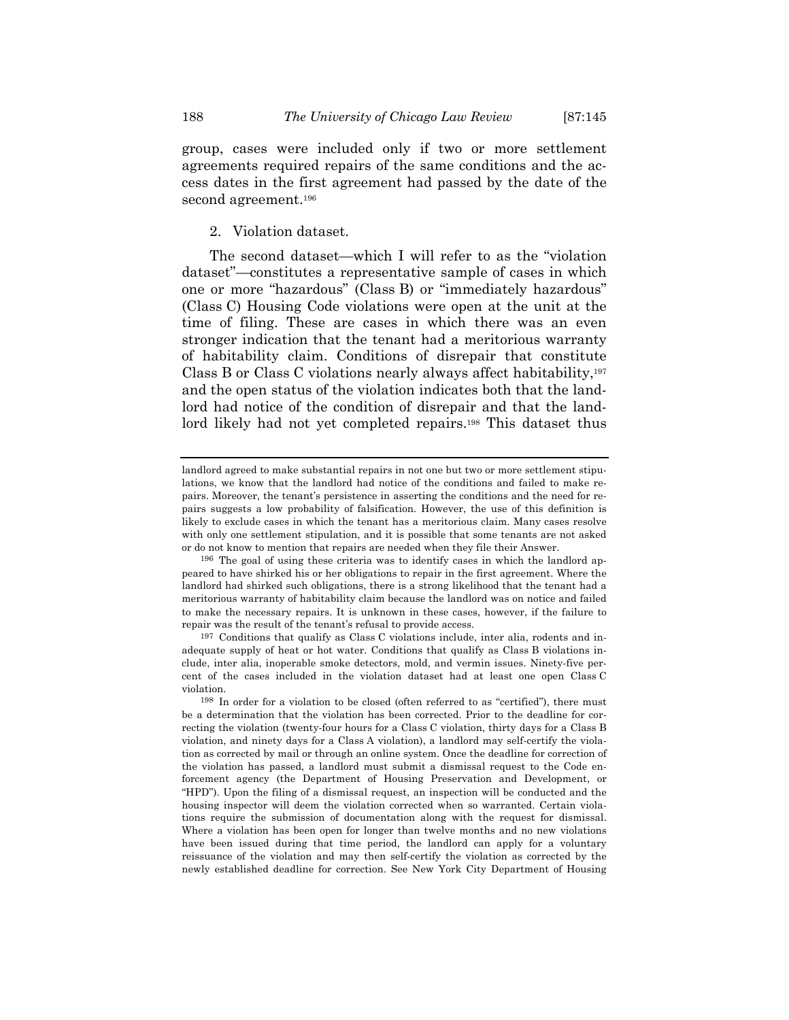group, cases were included only if two or more settlement agreements required repairs of the same conditions and the access dates in the first agreement had passed by the date of the second agreement.196

## 2. Violation dataset.

The second dataset—which I will refer to as the "violation dataset"—constitutes a representative sample of cases in which one or more "hazardous" (Class B) or "immediately hazardous" (Class C) Housing Code violations were open at the unit at the time of filing. These are cases in which there was an even stronger indication that the tenant had a meritorious warranty of habitability claim. Conditions of disrepair that constitute Class B or Class C violations nearly always affect habitability,197 and the open status of the violation indicates both that the landlord had notice of the condition of disrepair and that the landlord likely had not yet completed repairs.<sup>198</sup> This dataset thus

landlord agreed to make substantial repairs in not one but two or more settlement stipulations, we know that the landlord had notice of the conditions and failed to make repairs. Moreover, the tenant's persistence in asserting the conditions and the need for repairs suggests a low probability of falsification. However, the use of this definition is likely to exclude cases in which the tenant has a meritorious claim. Many cases resolve with only one settlement stipulation, and it is possible that some tenants are not asked or do not know to mention that repairs are needed when they file their Answer.

<sup>196</sup> The goal of using these criteria was to identify cases in which the landlord appeared to have shirked his or her obligations to repair in the first agreement. Where the landlord had shirked such obligations, there is a strong likelihood that the tenant had a meritorious warranty of habitability claim because the landlord was on notice and failed to make the necessary repairs. It is unknown in these cases, however, if the failure to repair was the result of the tenant's refusal to provide access.

<sup>197</sup> Conditions that qualify as Class C violations include, inter alia, rodents and inadequate supply of heat or hot water. Conditions that qualify as Class B violations include, inter alia, inoperable smoke detectors, mold, and vermin issues. Ninety-five percent of the cases included in the violation dataset had at least one open Class C violation.

<sup>198</sup> In order for a violation to be closed (often referred to as "certified"), there must be a determination that the violation has been corrected. Prior to the deadline for correcting the violation (twenty-four hours for a Class C violation, thirty days for a Class B violation, and ninety days for a Class A violation), a landlord may self-certify the violation as corrected by mail or through an online system. Once the deadline for correction of the violation has passed, a landlord must submit a dismissal request to the Code enforcement agency (the Department of Housing Preservation and Development, or "HPD"). Upon the filing of a dismissal request, an inspection will be conducted and the housing inspector will deem the violation corrected when so warranted. Certain violations require the submission of documentation along with the request for dismissal. Where a violation has been open for longer than twelve months and no new violations have been issued during that time period, the landlord can apply for a voluntary reissuance of the violation and may then self-certify the violation as corrected by the newly established deadline for correction. See New York City Department of Housing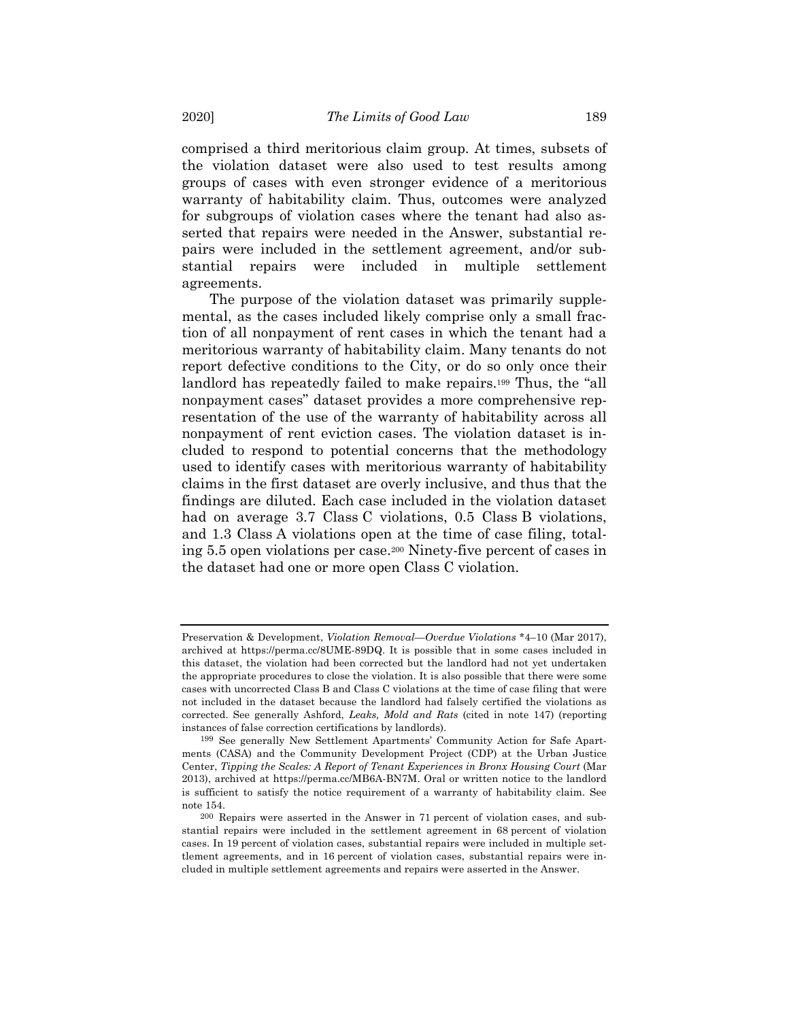comprised a third meritorious claim group. At times, subsets of the violation dataset were also used to test results among groups of cases with even stronger evidence of a meritorious warranty of habitability claim. Thus, outcomes were analyzed for subgroups of violation cases where the tenant had also asserted that repairs were needed in the Answer, substantial repairs were included in the settlement agreement, and/or substantial repairs were included in multiple settlement agreements.

The purpose of the violation dataset was primarily supplemental, as the cases included likely comprise only a small fraction of all nonpayment of rent cases in which the tenant had a meritorious warranty of habitability claim. Many tenants do not report defective conditions to the City, or do so only once their landlord has repeatedly failed to make repairs.199 Thus, the "all nonpayment cases" dataset provides a more comprehensive representation of the use of the warranty of habitability across all nonpayment of rent eviction cases. The violation dataset is included to respond to potential concerns that the methodology used to identify cases with meritorious warranty of habitability claims in the first dataset are overly inclusive, and thus that the findings are diluted. Each case included in the violation dataset had on average 3.7 Class C violations, 0.5 Class B violations, and 1.3 Class A violations open at the time of case filing, totaling 5.5 open violations per case.200 Ninety-five percent of cases in the dataset had one or more open Class C violation.

Preservation & Development, *Violation Removal—Overdue Violations* \*4–10 (Mar 2017), archived at https://perma.cc/8UME-89DQ. It is possible that in some cases included in this dataset, the violation had been corrected but the landlord had not yet undertaken the appropriate procedures to close the violation. It is also possible that there were some cases with uncorrected Class B and Class C violations at the time of case filing that were not included in the dataset because the landlord had falsely certified the violations as corrected. See generally Ashford, *Leaks, Mold and Rats* (cited in note 147) (reporting instances of false correction certifications by landlords).

<sup>199</sup> See generally New Settlement Apartments' Community Action for Safe Apartments (CASA) and the Community Development Project (CDP) at the Urban Justice Center, *Tipping the Scales: A Report of Tenant Experiences in Bronx Housing Court* (Mar 2013), archived at https://perma.cc/MB6A-BN7M. Oral or written notice to the landlord is sufficient to satisfy the notice requirement of a warranty of habitability claim. See note 154.

<sup>200</sup> Repairs were asserted in the Answer in 71 percent of violation cases, and substantial repairs were included in the settlement agreement in 68 percent of violation cases. In 19 percent of violation cases, substantial repairs were included in multiple settlement agreements, and in 16 percent of violation cases, substantial repairs were included in multiple settlement agreements and repairs were asserted in the Answer.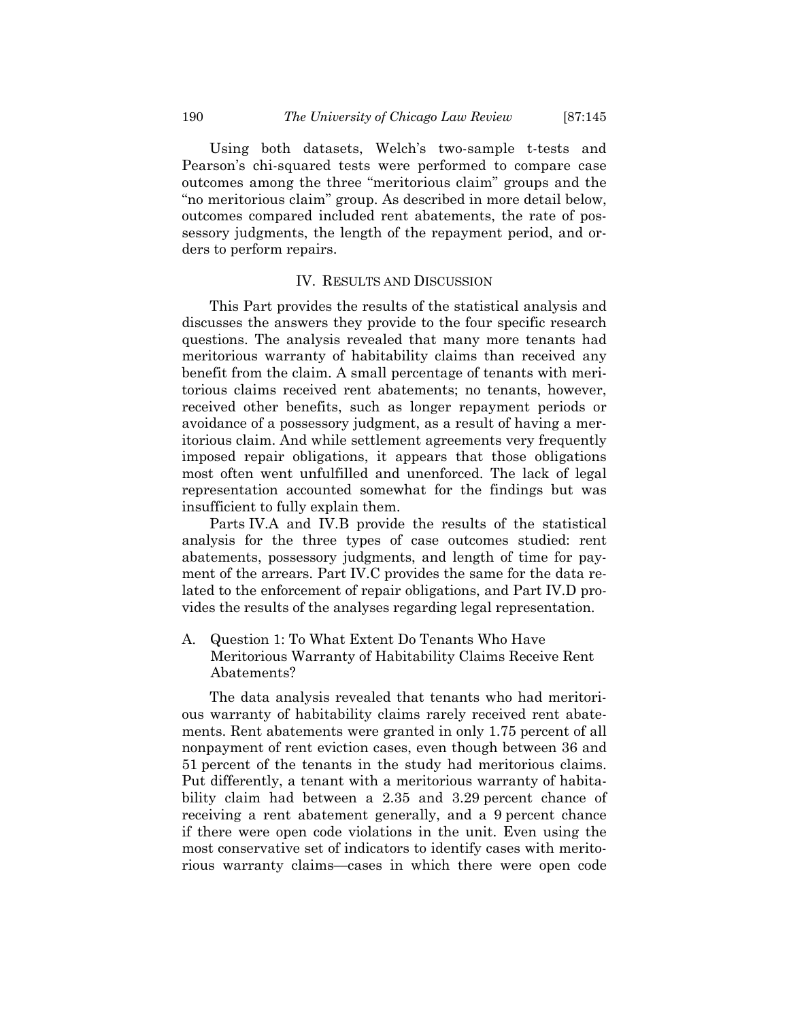Using both datasets, Welch's two-sample t-tests and Pearson's chi-squared tests were performed to compare case outcomes among the three "meritorious claim" groups and the "no meritorious claim" group. As described in more detail below, outcomes compared included rent abatements, the rate of possessory judgments, the length of the repayment period, and orders to perform repairs.

### IV. RESULTS AND DISCUSSION

This Part provides the results of the statistical analysis and discusses the answers they provide to the four specific research questions. The analysis revealed that many more tenants had meritorious warranty of habitability claims than received any benefit from the claim. A small percentage of tenants with meritorious claims received rent abatements; no tenants, however, received other benefits, such as longer repayment periods or avoidance of a possessory judgment, as a result of having a meritorious claim. And while settlement agreements very frequently imposed repair obligations, it appears that those obligations most often went unfulfilled and unenforced. The lack of legal representation accounted somewhat for the findings but was insufficient to fully explain them.

Parts IV.A and IV.B provide the results of the statistical analysis for the three types of case outcomes studied: rent abatements, possessory judgments, and length of time for payment of the arrears. Part IV.C provides the same for the data related to the enforcement of repair obligations, and Part IV.D provides the results of the analyses regarding legal representation.

A. Question 1: To What Extent Do Tenants Who Have Meritorious Warranty of Habitability Claims Receive Rent Abatements?

The data analysis revealed that tenants who had meritorious warranty of habitability claims rarely received rent abatements. Rent abatements were granted in only 1.75 percent of all nonpayment of rent eviction cases, even though between 36 and 51 percent of the tenants in the study had meritorious claims. Put differently, a tenant with a meritorious warranty of habitability claim had between a 2.35 and 3.29 percent chance of receiving a rent abatement generally, and a 9 percent chance if there were open code violations in the unit. Even using the most conservative set of indicators to identify cases with meritorious warranty claims—cases in which there were open code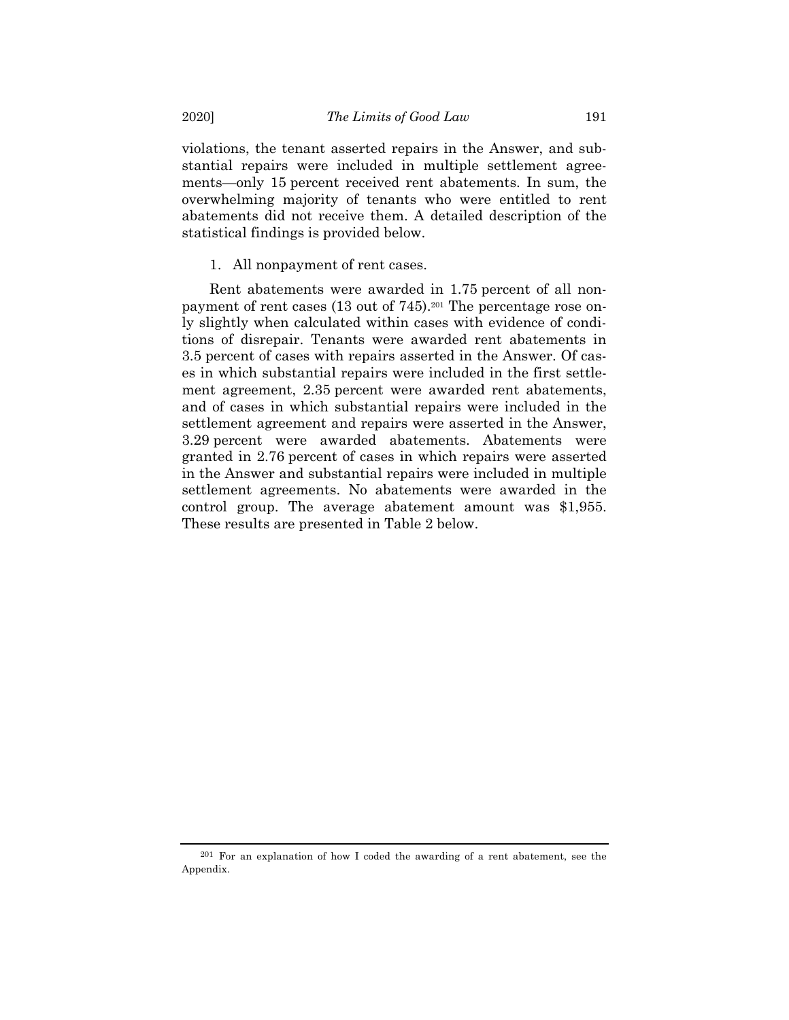violations, the tenant asserted repairs in the Answer, and substantial repairs were included in multiple settlement agreements—only 15 percent received rent abatements. In sum, the overwhelming majority of tenants who were entitled to rent abatements did not receive them. A detailed description of the statistical findings is provided below.

1. All nonpayment of rent cases.

Rent abatements were awarded in 1.75 percent of all nonpayment of rent cases (13 out of 745).201 The percentage rose only slightly when calculated within cases with evidence of conditions of disrepair. Tenants were awarded rent abatements in 3.5 percent of cases with repairs asserted in the Answer. Of cases in which substantial repairs were included in the first settlement agreement, 2.35 percent were awarded rent abatements, and of cases in which substantial repairs were included in the settlement agreement and repairs were asserted in the Answer, 3.29 percent were awarded abatements. Abatements were granted in 2.76 percent of cases in which repairs were asserted in the Answer and substantial repairs were included in multiple settlement agreements. No abatements were awarded in the control group. The average abatement amount was \$1,955. These results are presented in Table 2 below.

<sup>201</sup> For an explanation of how I coded the awarding of a rent abatement, see the Appendix.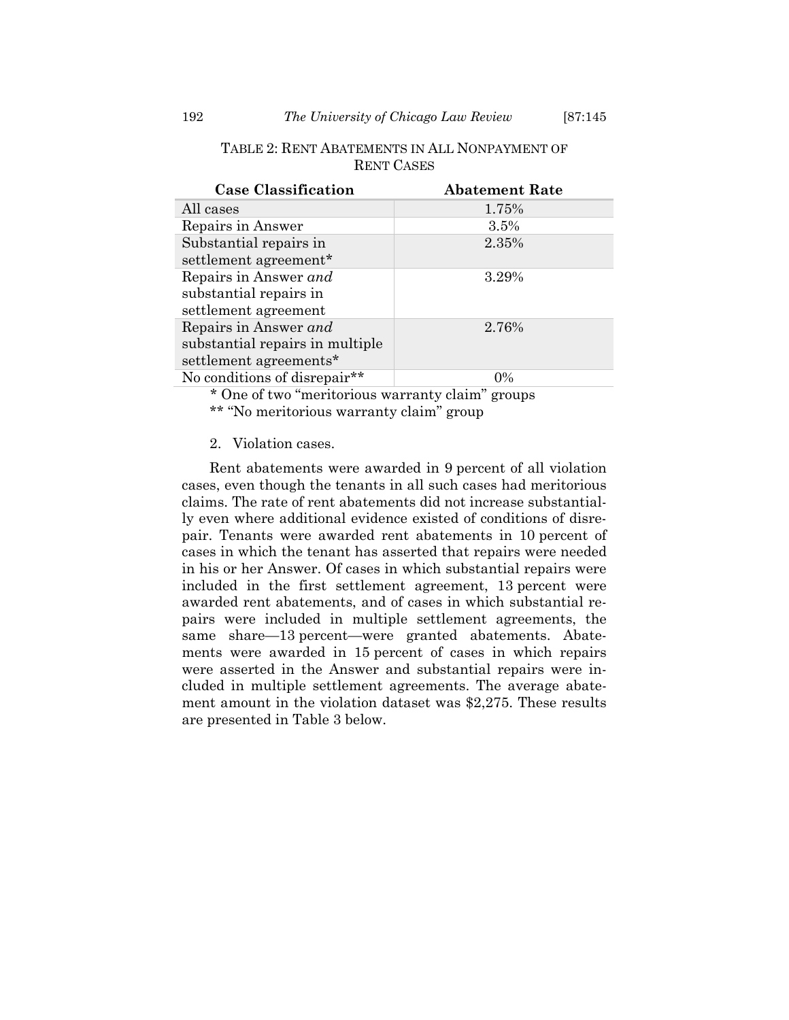| <b>Case Classification</b>      | <b>Abatement Rate</b> |
|---------------------------------|-----------------------|
| All cases                       | 1.75%                 |
| Repairs in Answer               | 3.5%                  |
| Substantial repairs in          | 2.35%                 |
| settlement agreement*           |                       |
| Repairs in Answer and           | 3.29%                 |
| substantial repairs in          |                       |
| settlement agreement            |                       |
| Repairs in Answer and           | 2.76%                 |
| substantial repairs in multiple |                       |
| settlement agreements*          |                       |
| No conditions of disrepair**    | $0\%$                 |

## TABLE 2: RENT ABATEMENTS IN ALL NONPAYMENT OF RENT CASES

\* One of two "meritorious warranty claim" groups \*\* "No meritorious warranty claim" group

## 2. Violation cases.

Rent abatements were awarded in 9 percent of all violation cases, even though the tenants in all such cases had meritorious claims. The rate of rent abatements did not increase substantially even where additional evidence existed of conditions of disrepair. Tenants were awarded rent abatements in 10 percent of cases in which the tenant has asserted that repairs were needed in his or her Answer. Of cases in which substantial repairs were included in the first settlement agreement, 13 percent were awarded rent abatements, and of cases in which substantial repairs were included in multiple settlement agreements, the same share—13 percent—were granted abatements. Abatements were awarded in 15 percent of cases in which repairs were asserted in the Answer and substantial repairs were included in multiple settlement agreements. The average abatement amount in the violation dataset was \$2,275. These results are presented in Table 3 below.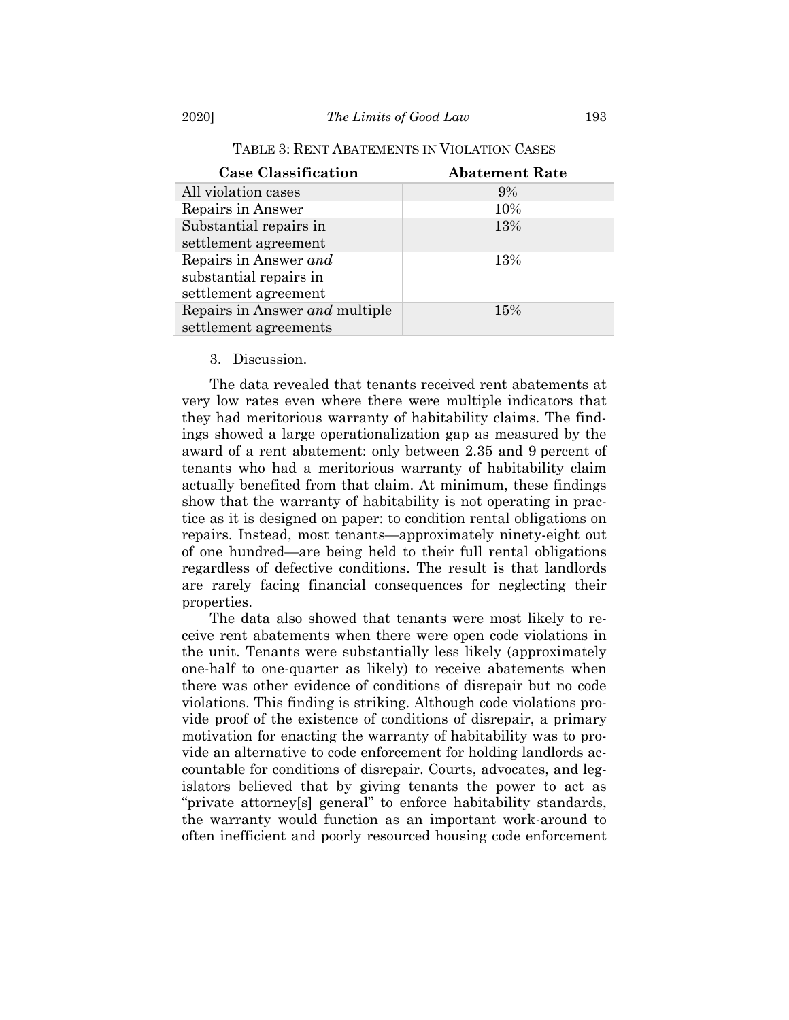| <b>Case Classification</b>     | <b>Abatement Rate</b> |
|--------------------------------|-----------------------|
| All violation cases            | $9\%$                 |
| Repairs in Answer              | 10%                   |
| Substantial repairs in         | 13%                   |
| settlement agreement           |                       |
| Repairs in Answer and          | 13%                   |
| substantial repairs in         |                       |
| settlement agreement           |                       |
| Repairs in Answer and multiple | 15%                   |
| settlement agreements          |                       |

## TABLE 3: RENT ABATEMENTS IN VIOLATION CASES

#### 3. Discussion.

The data revealed that tenants received rent abatements at very low rates even where there were multiple indicators that they had meritorious warranty of habitability claims. The findings showed a large operationalization gap as measured by the award of a rent abatement: only between 2.35 and 9 percent of tenants who had a meritorious warranty of habitability claim actually benefited from that claim. At minimum, these findings show that the warranty of habitability is not operating in practice as it is designed on paper: to condition rental obligations on repairs. Instead, most tenants—approximately ninety-eight out of one hundred—are being held to their full rental obligations regardless of defective conditions. The result is that landlords are rarely facing financial consequences for neglecting their properties.

The data also showed that tenants were most likely to receive rent abatements when there were open code violations in the unit. Tenants were substantially less likely (approximately one-half to one-quarter as likely) to receive abatements when there was other evidence of conditions of disrepair but no code violations. This finding is striking. Although code violations provide proof of the existence of conditions of disrepair, a primary motivation for enacting the warranty of habitability was to provide an alternative to code enforcement for holding landlords accountable for conditions of disrepair. Courts, advocates, and legislators believed that by giving tenants the power to act as "private attorney[s] general" to enforce habitability standards, the warranty would function as an important work-around to often inefficient and poorly resourced housing code enforcement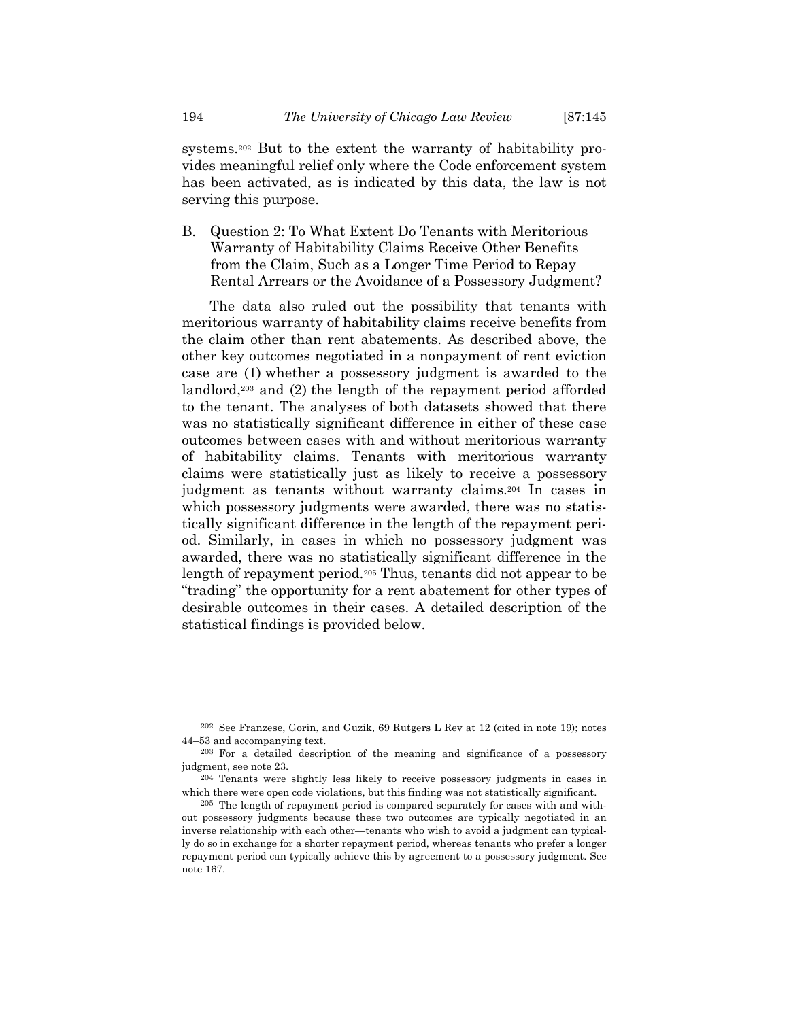systems.202 But to the extent the warranty of habitability provides meaningful relief only where the Code enforcement system has been activated, as is indicated by this data, the law is not serving this purpose.

B. Question 2: To What Extent Do Tenants with Meritorious Warranty of Habitability Claims Receive Other Benefits from the Claim, Such as a Longer Time Period to Repay Rental Arrears or the Avoidance of a Possessory Judgment?

The data also ruled out the possibility that tenants with meritorious warranty of habitability claims receive benefits from the claim other than rent abatements. As described above, the other key outcomes negotiated in a nonpayment of rent eviction case are (1) whether a possessory judgment is awarded to the landlord,203 and (2) the length of the repayment period afforded to the tenant. The analyses of both datasets showed that there was no statistically significant difference in either of these case outcomes between cases with and without meritorious warranty of habitability claims. Tenants with meritorious warranty claims were statistically just as likely to receive a possessory judgment as tenants without warranty claims.204 In cases in which possessory judgments were awarded, there was no statistically significant difference in the length of the repayment period. Similarly, in cases in which no possessory judgment was awarded, there was no statistically significant difference in the length of repayment period.205 Thus, tenants did not appear to be "trading" the opportunity for a rent abatement for other types of desirable outcomes in their cases. A detailed description of the statistical findings is provided below.

<sup>202</sup> See Franzese, Gorin, and Guzik, 69 Rutgers L Rev at 12 (cited in note 19); notes 44–53 and accompanying text.

<sup>203</sup> For a detailed description of the meaning and significance of a possessory judgment, see note 23.

<sup>204</sup> Tenants were slightly less likely to receive possessory judgments in cases in which there were open code violations, but this finding was not statistically significant.

<sup>205</sup> The length of repayment period is compared separately for cases with and without possessory judgments because these two outcomes are typically negotiated in an inverse relationship with each other—tenants who wish to avoid a judgment can typically do so in exchange for a shorter repayment period, whereas tenants who prefer a longer repayment period can typically achieve this by agreement to a possessory judgment. See note 167.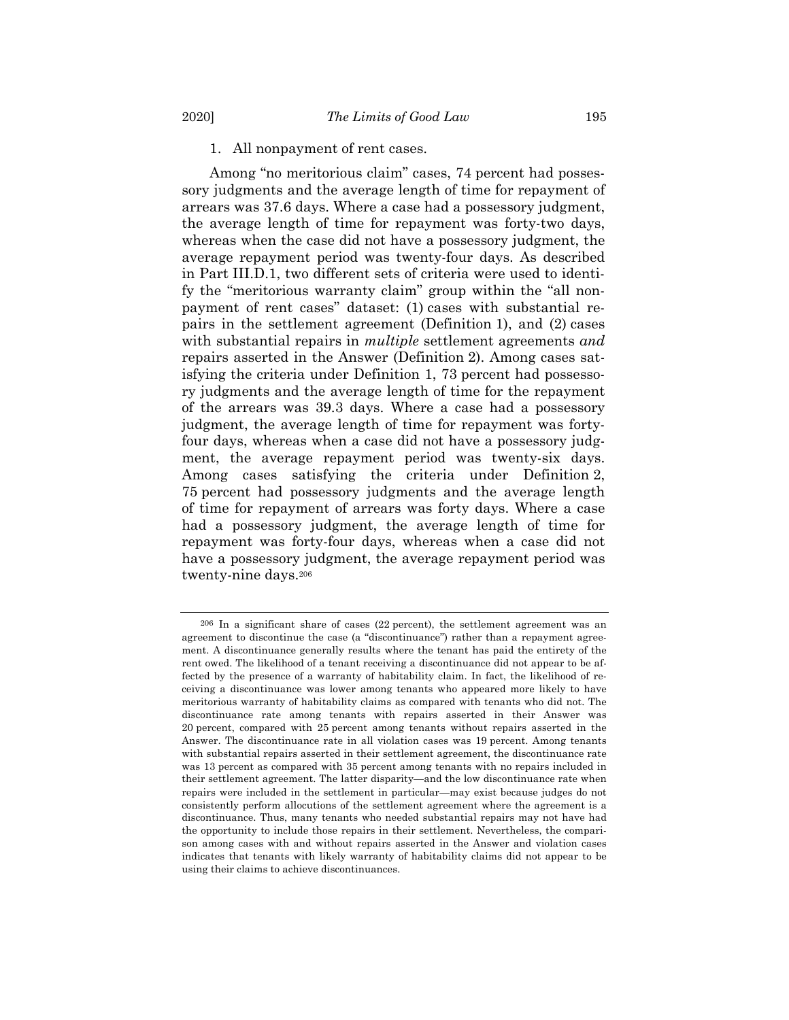Among "no meritorious claim" cases, 74 percent had possessory judgments and the average length of time for repayment of arrears was 37.6 days. Where a case had a possessory judgment, the average length of time for repayment was forty-two days, whereas when the case did not have a possessory judgment, the average repayment period was twenty-four days. As described in Part III.D.1, two different sets of criteria were used to identify the "meritorious warranty claim" group within the "all nonpayment of rent cases" dataset: (1) cases with substantial repairs in the settlement agreement (Definition 1), and (2) cases with substantial repairs in *multiple* settlement agreements *and*  repairs asserted in the Answer (Definition 2). Among cases satisfying the criteria under Definition 1, 73 percent had possessory judgments and the average length of time for the repayment of the arrears was 39.3 days. Where a case had a possessory judgment, the average length of time for repayment was fortyfour days, whereas when a case did not have a possessory judgment, the average repayment period was twenty-six days. Among cases satisfying the criteria under Definition 2, 75 percent had possessory judgments and the average length of time for repayment of arrears was forty days. Where a case had a possessory judgment, the average length of time for repayment was forty-four days, whereas when a case did not have a possessory judgment, the average repayment period was twenty-nine days.206

<sup>206</sup> In a significant share of cases (22 percent), the settlement agreement was an agreement to discontinue the case (a "discontinuance") rather than a repayment agreement. A discontinuance generally results where the tenant has paid the entirety of the rent owed. The likelihood of a tenant receiving a discontinuance did not appear to be affected by the presence of a warranty of habitability claim. In fact, the likelihood of receiving a discontinuance was lower among tenants who appeared more likely to have meritorious warranty of habitability claims as compared with tenants who did not. The discontinuance rate among tenants with repairs asserted in their Answer was 20 percent, compared with 25 percent among tenants without repairs asserted in the Answer. The discontinuance rate in all violation cases was 19 percent. Among tenants with substantial repairs asserted in their settlement agreement, the discontinuance rate was 13 percent as compared with 35 percent among tenants with no repairs included in their settlement agreement. The latter disparity—and the low discontinuance rate when repairs were included in the settlement in particular—may exist because judges do not consistently perform allocutions of the settlement agreement where the agreement is a discontinuance. Thus, many tenants who needed substantial repairs may not have had the opportunity to include those repairs in their settlement. Nevertheless, the comparison among cases with and without repairs asserted in the Answer and violation cases indicates that tenants with likely warranty of habitability claims did not appear to be using their claims to achieve discontinuances.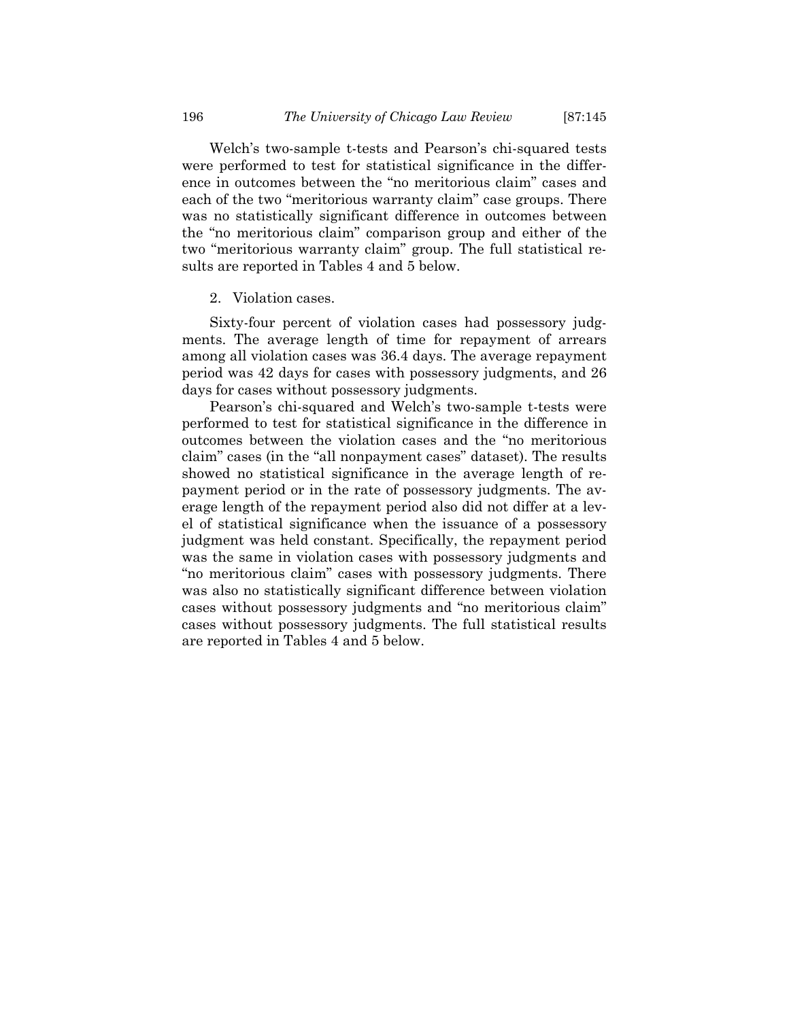Welch's two-sample t-tests and Pearson's chi-squared tests were performed to test for statistical significance in the difference in outcomes between the "no meritorious claim" cases and each of the two "meritorious warranty claim" case groups. There was no statistically significant difference in outcomes between the "no meritorious claim" comparison group and either of the two "meritorious warranty claim" group. The full statistical results are reported in Tables 4 and 5 below.

#### 2. Violation cases.

Sixty-four percent of violation cases had possessory judgments. The average length of time for repayment of arrears among all violation cases was 36.4 days. The average repayment period was 42 days for cases with possessory judgments, and 26 days for cases without possessory judgments.

Pearson's chi-squared and Welch's two-sample t-tests were performed to test for statistical significance in the difference in outcomes between the violation cases and the "no meritorious claim" cases (in the "all nonpayment cases" dataset). The results showed no statistical significance in the average length of repayment period or in the rate of possessory judgments. The average length of the repayment period also did not differ at a level of statistical significance when the issuance of a possessory judgment was held constant. Specifically, the repayment period was the same in violation cases with possessory judgments and "no meritorious claim" cases with possessory judgments. There was also no statistically significant difference between violation cases without possessory judgments and "no meritorious claim" cases without possessory judgments. The full statistical results are reported in Tables 4 and 5 below.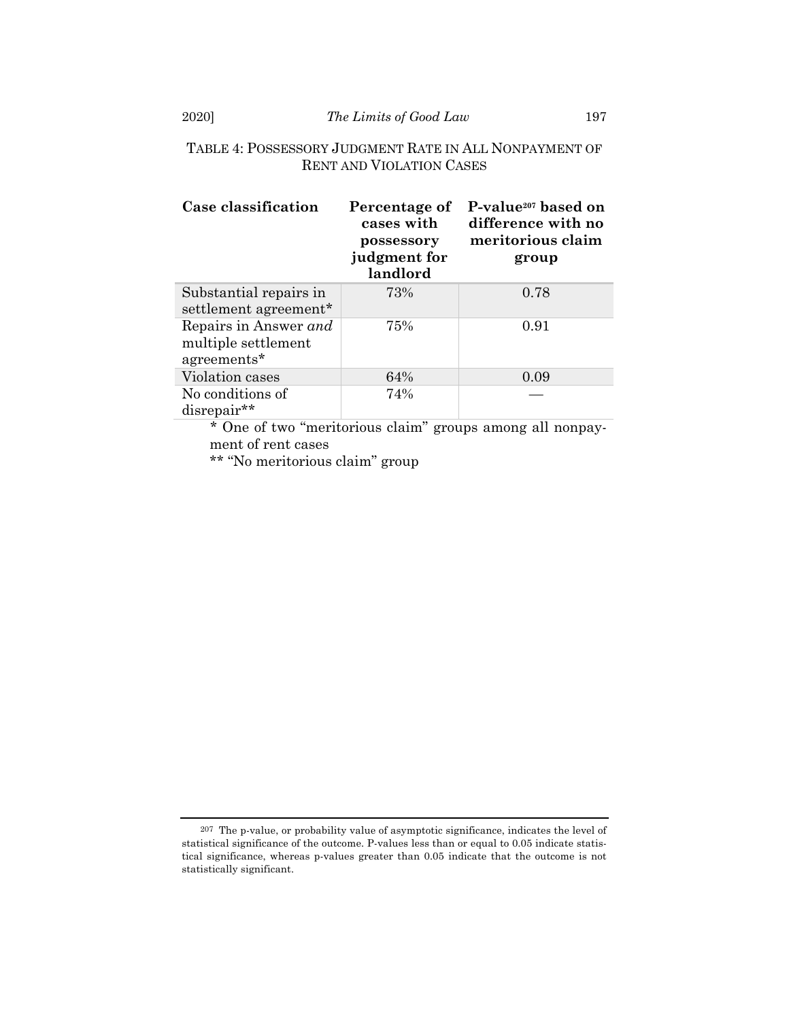# TABLE 4: POSSESSORY JUDGMENT RATE IN ALL NONPAYMENT OF RENT AND VIOLATION CASES

| Case classification                                         | Percentage of<br>cases with<br>possessory<br>judgment for<br>landlord | P-value <sup>207</sup> based on<br>difference with no<br>meritorious claim<br>group |
|-------------------------------------------------------------|-----------------------------------------------------------------------|-------------------------------------------------------------------------------------|
| Substantial repairs in<br>settlement agreement*             | 73%                                                                   | 0.78                                                                                |
| Repairs in Answer and<br>multiple settlement<br>agreements* | 75%                                                                   | 0.91                                                                                |
| Violation cases                                             | 64%                                                                   | 0.09                                                                                |
| No conditions of<br>disrepair**                             | 74%                                                                   |                                                                                     |

\* One of two "meritorious claim" groups among all nonpayment of rent cases

\*\* "No meritorious claim" group

<sup>207</sup> The p-value, or probability value of asymptotic significance, indicates the level of statistical significance of the outcome. P-values less than or equal to 0.05 indicate statistical significance, whereas p-values greater than 0.05 indicate that the outcome is not statistically significant.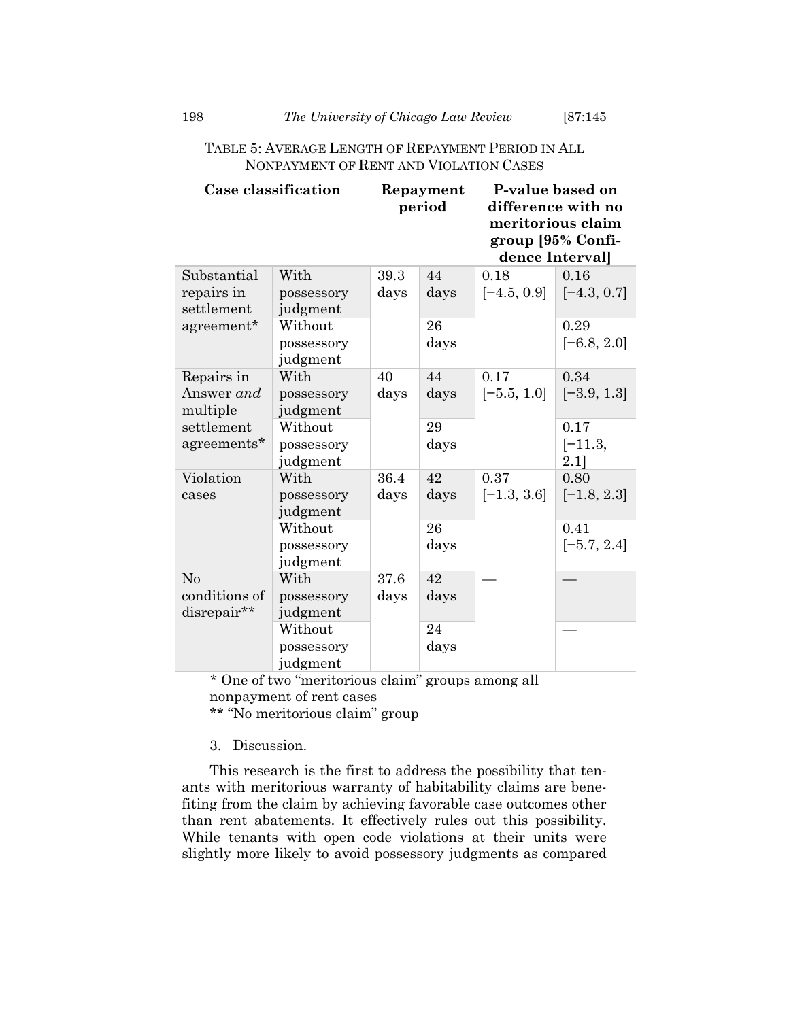# TABLE 5: AVERAGE LENGTH OF REPAYMENT PERIOD IN ALL NONPAYMENT OF RENT AND VIOLATION CASES

|                                         | Case classification               |              | Repayment<br>period |                       | P-value based on<br>difference with no<br>meritorious claim<br>group [95% Confi-<br>dence Interval] |
|-----------------------------------------|-----------------------------------|--------------|---------------------|-----------------------|-----------------------------------------------------------------------------------------------------|
| Substantial<br>repairs in<br>settlement | With<br>possessory<br>judgment    | 39.3<br>days | 44<br>days          | 0.18<br>$[-4.5, 0.9]$ | 0.16<br>$[-4.3, 0.7]$                                                                               |
| agreement*                              | Without<br>possessory<br>judgment |              | 26<br>days          |                       | 0.29<br>$[-6.8, 2.0]$                                                                               |
| Repairs in<br>Answer and<br>multiple    | With<br>possessory<br>judgment    | 40<br>days   | 44<br>days          | 0.17<br>$[-5.5, 1.0]$ | 0.34<br>$[-3.9, 1.3]$                                                                               |
| settlement<br>agreements*               | Without<br>possessory<br>judgment |              | 29<br>days          |                       | 0.17<br>$[-11.3,$<br>$2.1$ ]                                                                        |
| Violation<br>cases                      | With<br>possessory<br>judgment    | 36.4<br>days | 42<br>days          | 0.37<br>$[-1.3, 3.6]$ | 0.80<br>$[-1.8, 2.3]$                                                                               |
|                                         | Without<br>possessory<br>judgment |              | 26<br>days          |                       | 0.41<br>$[-5.7, 2.4]$                                                                               |
| No<br>conditions of<br>disrepair**      | With<br>possessory<br>judgment    | 37.6<br>days | 42<br>days          |                       |                                                                                                     |
|                                         | Without<br>possessory<br>judgment |              | 24<br>days          |                       |                                                                                                     |

\* One of two "meritorious claim" groups among all nonpayment of rent cases

\*\* "No meritorious claim" group

3. Discussion.

This research is the first to address the possibility that tenants with meritorious warranty of habitability claims are benefiting from the claim by achieving favorable case outcomes other than rent abatements. It effectively rules out this possibility. While tenants with open code violations at their units were slightly more likely to avoid possessory judgments as compared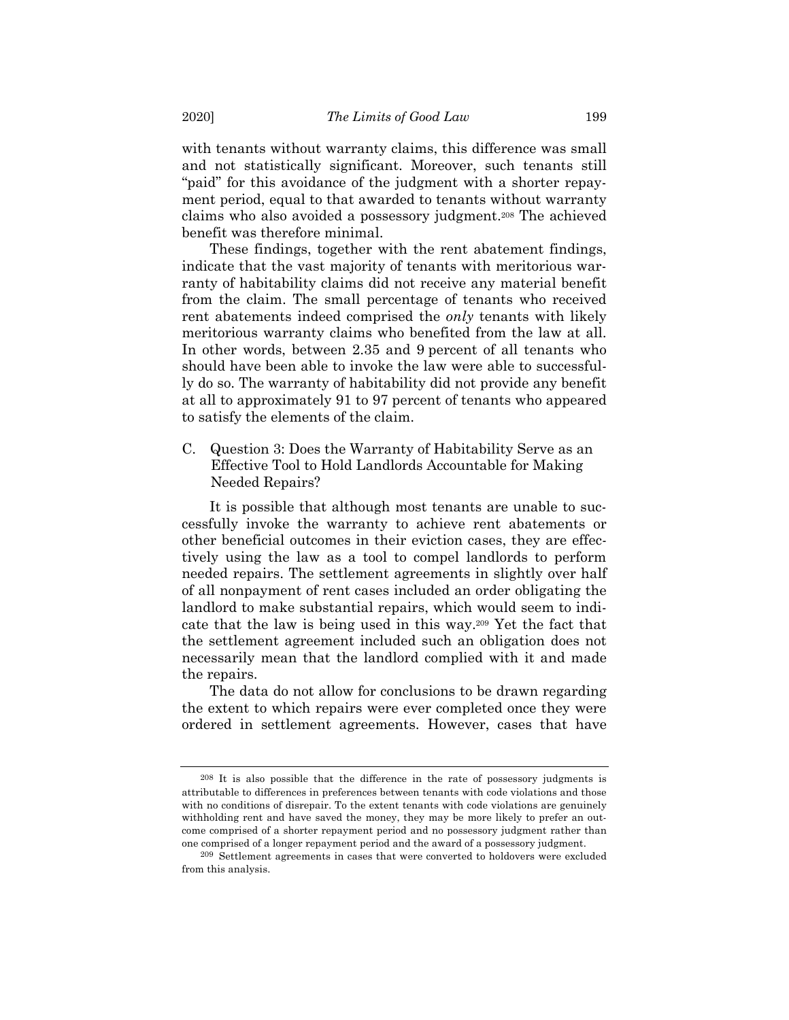with tenants without warranty claims, this difference was small and not statistically significant. Moreover, such tenants still "paid" for this avoidance of the judgment with a shorter repayment period, equal to that awarded to tenants without warranty claims who also avoided a possessory judgment.208 The achieved benefit was therefore minimal.

These findings, together with the rent abatement findings, indicate that the vast majority of tenants with meritorious warranty of habitability claims did not receive any material benefit from the claim. The small percentage of tenants who received rent abatements indeed comprised the *only* tenants with likely meritorious warranty claims who benefited from the law at all. In other words, between 2.35 and 9 percent of all tenants who should have been able to invoke the law were able to successfully do so. The warranty of habitability did not provide any benefit at all to approximately 91 to 97 percent of tenants who appeared to satisfy the elements of the claim.

C. Question 3: Does the Warranty of Habitability Serve as an Effective Tool to Hold Landlords Accountable for Making Needed Repairs?

It is possible that although most tenants are unable to successfully invoke the warranty to achieve rent abatements or other beneficial outcomes in their eviction cases, they are effectively using the law as a tool to compel landlords to perform needed repairs. The settlement agreements in slightly over half of all nonpayment of rent cases included an order obligating the landlord to make substantial repairs, which would seem to indicate that the law is being used in this way.209 Yet the fact that the settlement agreement included such an obligation does not necessarily mean that the landlord complied with it and made the repairs.

The data do not allow for conclusions to be drawn regarding the extent to which repairs were ever completed once they were ordered in settlement agreements. However, cases that have

<sup>208</sup> It is also possible that the difference in the rate of possessory judgments is attributable to differences in preferences between tenants with code violations and those with no conditions of disrepair. To the extent tenants with code violations are genuinely withholding rent and have saved the money, they may be more likely to prefer an outcome comprised of a shorter repayment period and no possessory judgment rather than one comprised of a longer repayment period and the award of a possessory judgment.

<sup>209</sup> Settlement agreements in cases that were converted to holdovers were excluded from this analysis.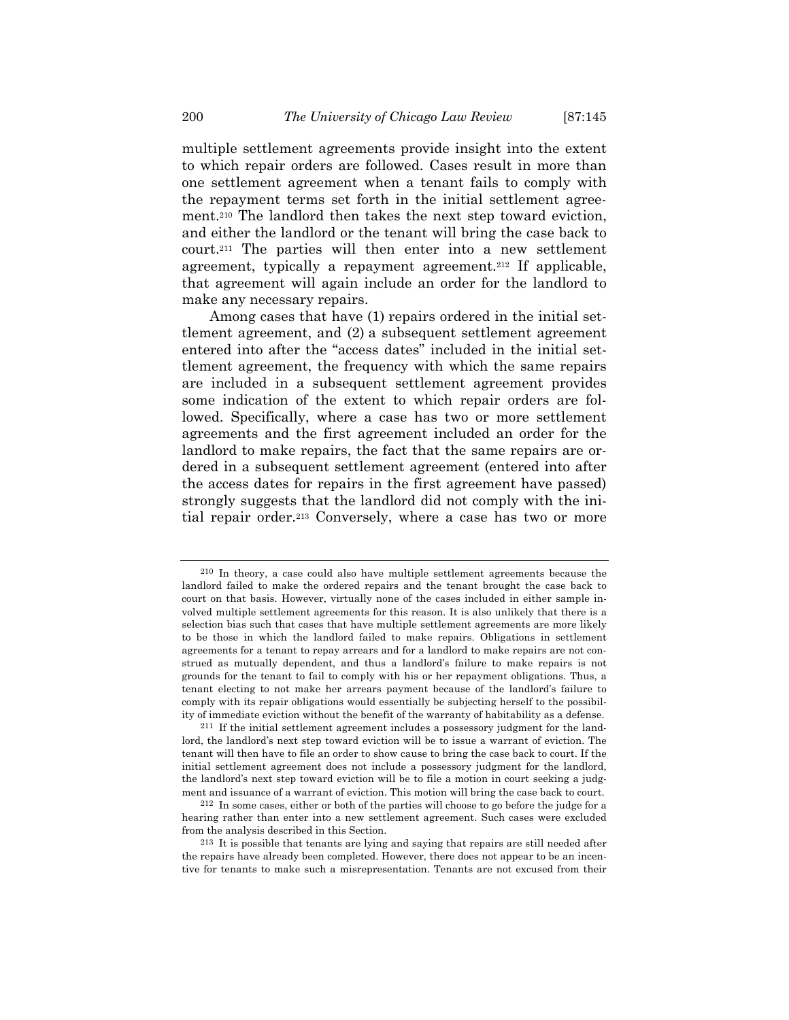multiple settlement agreements provide insight into the extent to which repair orders are followed. Cases result in more than one settlement agreement when a tenant fails to comply with the repayment terms set forth in the initial settlement agreement.210 The landlord then takes the next step toward eviction, and either the landlord or the tenant will bring the case back to court.211 The parties will then enter into a new settlement agreement, typically a repayment agreement.212 If applicable, that agreement will again include an order for the landlord to make any necessary repairs.

Among cases that have (1) repairs ordered in the initial settlement agreement, and (2) a subsequent settlement agreement entered into after the "access dates" included in the initial settlement agreement, the frequency with which the same repairs are included in a subsequent settlement agreement provides some indication of the extent to which repair orders are followed. Specifically, where a case has two or more settlement agreements and the first agreement included an order for the landlord to make repairs, the fact that the same repairs are ordered in a subsequent settlement agreement (entered into after the access dates for repairs in the first agreement have passed) strongly suggests that the landlord did not comply with the initial repair order.213 Conversely, where a case has two or more

<sup>210</sup> In theory, a case could also have multiple settlement agreements because the landlord failed to make the ordered repairs and the tenant brought the case back to court on that basis. However, virtually none of the cases included in either sample involved multiple settlement agreements for this reason. It is also unlikely that there is a selection bias such that cases that have multiple settlement agreements are more likely to be those in which the landlord failed to make repairs. Obligations in settlement agreements for a tenant to repay arrears and for a landlord to make repairs are not construed as mutually dependent, and thus a landlord's failure to make repairs is not grounds for the tenant to fail to comply with his or her repayment obligations. Thus, a tenant electing to not make her arrears payment because of the landlord's failure to comply with its repair obligations would essentially be subjecting herself to the possibility of immediate eviction without the benefit of the warranty of habitability as a defense.

<sup>211</sup> If the initial settlement agreement includes a possessory judgment for the landlord, the landlord's next step toward eviction will be to issue a warrant of eviction. The tenant will then have to file an order to show cause to bring the case back to court. If the initial settlement agreement does not include a possessory judgment for the landlord, the landlord's next step toward eviction will be to file a motion in court seeking a judgment and issuance of a warrant of eviction. This motion will bring the case back to court.

<sup>212</sup> In some cases, either or both of the parties will choose to go before the judge for a hearing rather than enter into a new settlement agreement. Such cases were excluded from the analysis described in this Section.

<sup>213</sup> It is possible that tenants are lying and saying that repairs are still needed after the repairs have already been completed. However, there does not appear to be an incentive for tenants to make such a misrepresentation. Tenants are not excused from their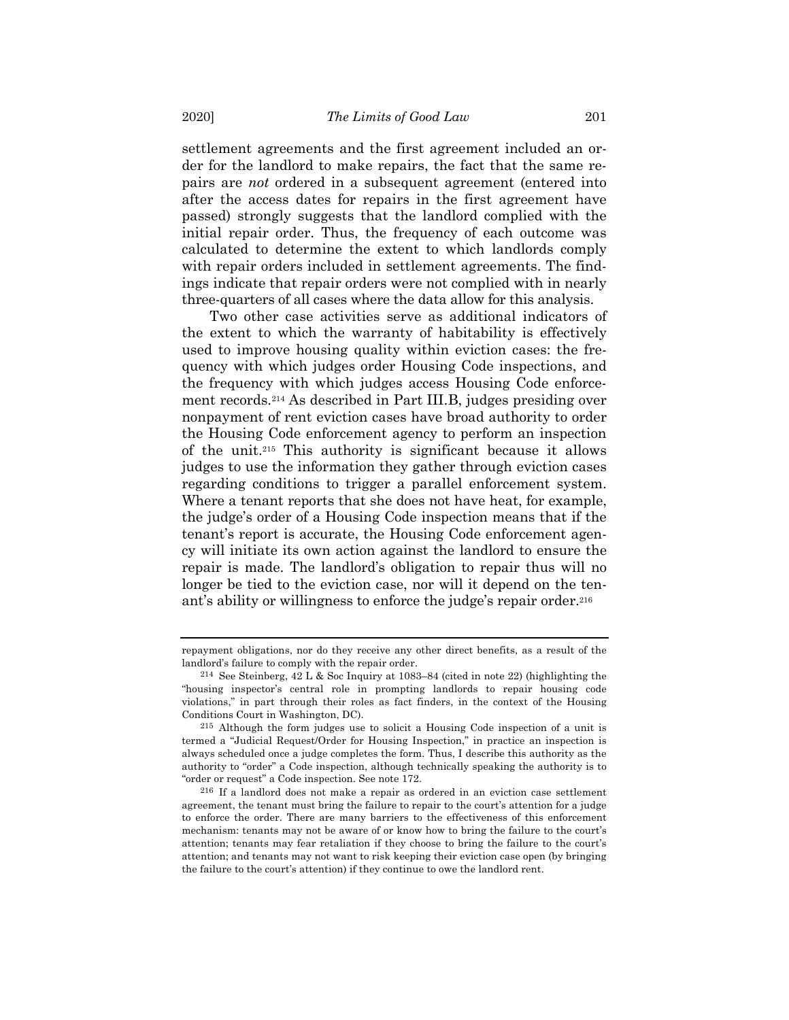settlement agreements and the first agreement included an order for the landlord to make repairs, the fact that the same repairs are *not* ordered in a subsequent agreement (entered into after the access dates for repairs in the first agreement have passed) strongly suggests that the landlord complied with the initial repair order. Thus, the frequency of each outcome was calculated to determine the extent to which landlords comply with repair orders included in settlement agreements. The findings indicate that repair orders were not complied with in nearly three-quarters of all cases where the data allow for this analysis.

Two other case activities serve as additional indicators of the extent to which the warranty of habitability is effectively used to improve housing quality within eviction cases: the frequency with which judges order Housing Code inspections, and the frequency with which judges access Housing Code enforcement records.214 As described in Part III.B, judges presiding over nonpayment of rent eviction cases have broad authority to order the Housing Code enforcement agency to perform an inspection of the unit.215 This authority is significant because it allows judges to use the information they gather through eviction cases regarding conditions to trigger a parallel enforcement system. Where a tenant reports that she does not have heat, for example, the judge's order of a Housing Code inspection means that if the tenant's report is accurate, the Housing Code enforcement agency will initiate its own action against the landlord to ensure the repair is made. The landlord's obligation to repair thus will no longer be tied to the eviction case, nor will it depend on the tenant's ability or willingness to enforce the judge's repair order.216

repayment obligations, nor do they receive any other direct benefits, as a result of the landlord's failure to comply with the repair order.

<sup>214</sup> See Steinberg, 42 L & Soc Inquiry at 1083–84 (cited in note 22) (highlighting the "housing inspector's central role in prompting landlords to repair housing code violations," in part through their roles as fact finders, in the context of the Housing Conditions Court in Washington, DC).

<sup>215</sup> Although the form judges use to solicit a Housing Code inspection of a unit is termed a "Judicial Request/Order for Housing Inspection," in practice an inspection is always scheduled once a judge completes the form. Thus, I describe this authority as the authority to "order" a Code inspection, although technically speaking the authority is to "order or request" a Code inspection. See note 172.

<sup>216</sup> If a landlord does not make a repair as ordered in an eviction case settlement agreement, the tenant must bring the failure to repair to the court's attention for a judge to enforce the order. There are many barriers to the effectiveness of this enforcement mechanism: tenants may not be aware of or know how to bring the failure to the court's attention; tenants may fear retaliation if they choose to bring the failure to the court's attention; and tenants may not want to risk keeping their eviction case open (by bringing the failure to the court's attention) if they continue to owe the landlord rent.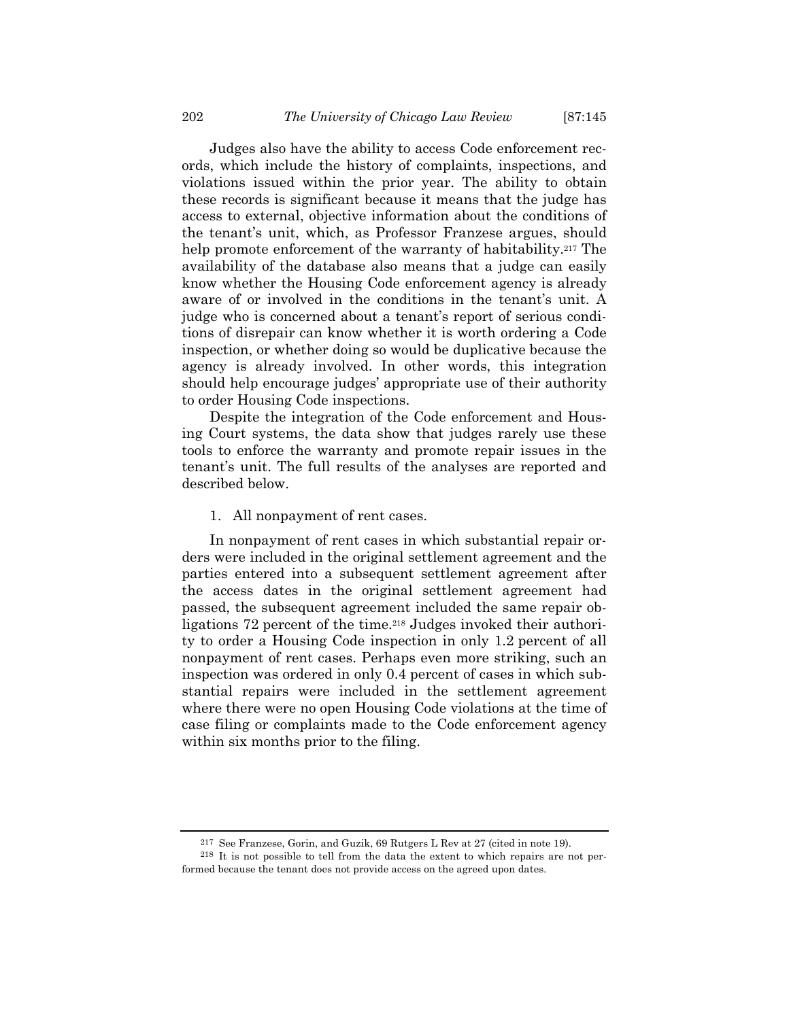Judges also have the ability to access Code enforcement records, which include the history of complaints, inspections, and violations issued within the prior year. The ability to obtain these records is significant because it means that the judge has access to external, objective information about the conditions of the tenant's unit, which, as Professor Franzese argues, should help promote enforcement of the warranty of habitability.<sup>217</sup> The availability of the database also means that a judge can easily know whether the Housing Code enforcement agency is already aware of or involved in the conditions in the tenant's unit. A judge who is concerned about a tenant's report of serious conditions of disrepair can know whether it is worth ordering a Code inspection, or whether doing so would be duplicative because the agency is already involved. In other words, this integration should help encourage judges' appropriate use of their authority to order Housing Code inspections.

Despite the integration of the Code enforcement and Housing Court systems, the data show that judges rarely use these tools to enforce the warranty and promote repair issues in the tenant's unit. The full results of the analyses are reported and described below.

## 1. All nonpayment of rent cases.

In nonpayment of rent cases in which substantial repair orders were included in the original settlement agreement and the parties entered into a subsequent settlement agreement after the access dates in the original settlement agreement had passed, the subsequent agreement included the same repair obligations 72 percent of the time.218 Judges invoked their authority to order a Housing Code inspection in only 1.2 percent of all nonpayment of rent cases. Perhaps even more striking, such an inspection was ordered in only 0.4 percent of cases in which substantial repairs were included in the settlement agreement where there were no open Housing Code violations at the time of case filing or complaints made to the Code enforcement agency within six months prior to the filing.

<sup>217</sup> See Franzese, Gorin, and Guzik, 69 Rutgers L Rev at 27 (cited in note 19).

<sup>218</sup> It is not possible to tell from the data the extent to which repairs are not performed because the tenant does not provide access on the agreed upon dates.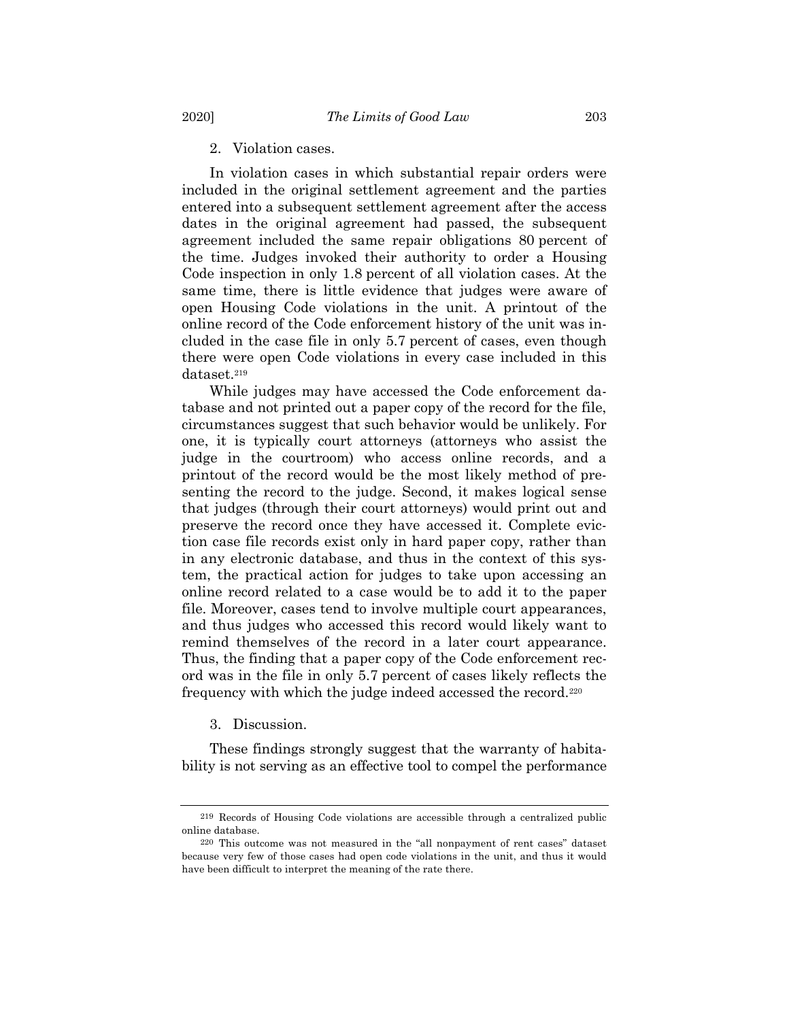2. Violation cases.

In violation cases in which substantial repair orders were included in the original settlement agreement and the parties entered into a subsequent settlement agreement after the access dates in the original agreement had passed, the subsequent agreement included the same repair obligations 80 percent of the time. Judges invoked their authority to order a Housing Code inspection in only 1.8 percent of all violation cases. At the same time, there is little evidence that judges were aware of open Housing Code violations in the unit. A printout of the online record of the Code enforcement history of the unit was included in the case file in only 5.7 percent of cases, even though there were open Code violations in every case included in this dataset.219

While judges may have accessed the Code enforcement database and not printed out a paper copy of the record for the file, circumstances suggest that such behavior would be unlikely. For one, it is typically court attorneys (attorneys who assist the judge in the courtroom) who access online records, and a printout of the record would be the most likely method of presenting the record to the judge. Second, it makes logical sense that judges (through their court attorneys) would print out and preserve the record once they have accessed it. Complete eviction case file records exist only in hard paper copy, rather than in any electronic database, and thus in the context of this system, the practical action for judges to take upon accessing an online record related to a case would be to add it to the paper file. Moreover, cases tend to involve multiple court appearances, and thus judges who accessed this record would likely want to remind themselves of the record in a later court appearance. Thus, the finding that a paper copy of the Code enforcement record was in the file in only 5.7 percent of cases likely reflects the frequency with which the judge indeed accessed the record.220

3. Discussion.

These findings strongly suggest that the warranty of habitability is not serving as an effective tool to compel the performance

<sup>219</sup> Records of Housing Code violations are accessible through a centralized public online database.

<sup>220</sup> This outcome was not measured in the "all nonpayment of rent cases" dataset because very few of those cases had open code violations in the unit, and thus it would have been difficult to interpret the meaning of the rate there.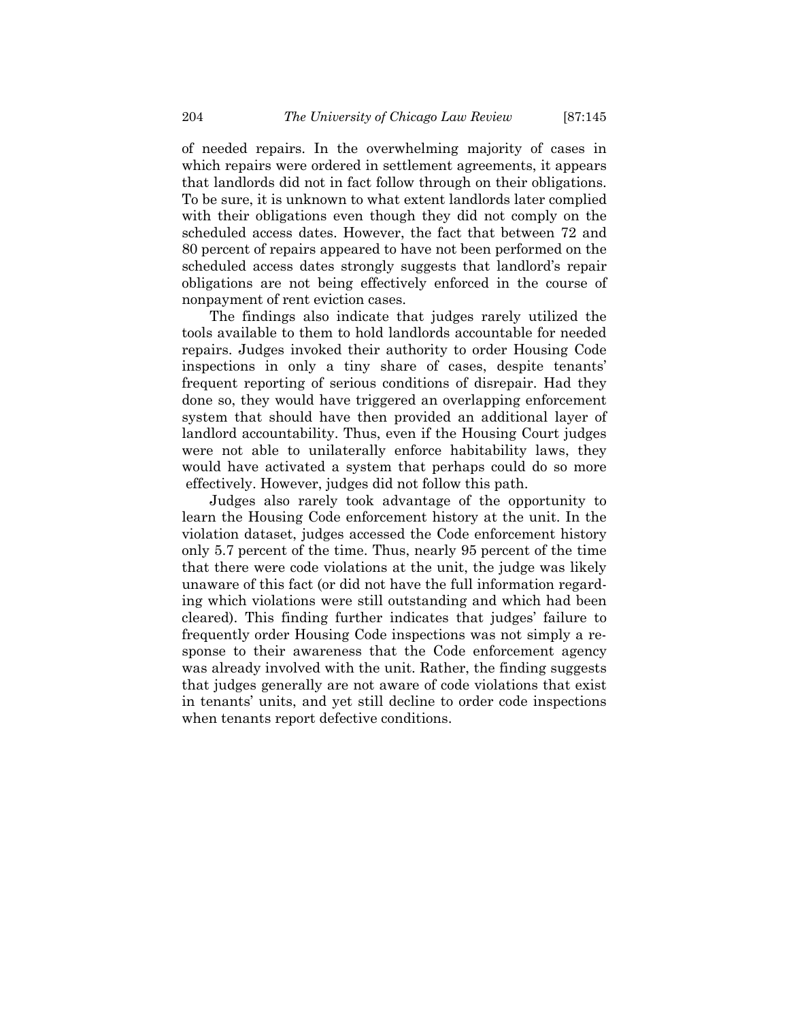of needed repairs. In the overwhelming majority of cases in which repairs were ordered in settlement agreements, it appears that landlords did not in fact follow through on their obligations. To be sure, it is unknown to what extent landlords later complied with their obligations even though they did not comply on the scheduled access dates. However, the fact that between 72 and 80 percent of repairs appeared to have not been performed on the scheduled access dates strongly suggests that landlord's repair obligations are not being effectively enforced in the course of nonpayment of rent eviction cases.

The findings also indicate that judges rarely utilized the tools available to them to hold landlords accountable for needed repairs. Judges invoked their authority to order Housing Code inspections in only a tiny share of cases, despite tenants' frequent reporting of serious conditions of disrepair. Had they done so, they would have triggered an overlapping enforcement system that should have then provided an additional layer of landlord accountability. Thus, even if the Housing Court judges were not able to unilaterally enforce habitability laws, they would have activated a system that perhaps could do so more effectively. However, judges did not follow this path.

Judges also rarely took advantage of the opportunity to learn the Housing Code enforcement history at the unit. In the violation dataset, judges accessed the Code enforcement history only 5.7 percent of the time. Thus, nearly 95 percent of the time that there were code violations at the unit, the judge was likely unaware of this fact (or did not have the full information regarding which violations were still outstanding and which had been cleared). This finding further indicates that judges' failure to frequently order Housing Code inspections was not simply a response to their awareness that the Code enforcement agency was already involved with the unit. Rather, the finding suggests that judges generally are not aware of code violations that exist in tenants' units, and yet still decline to order code inspections when tenants report defective conditions.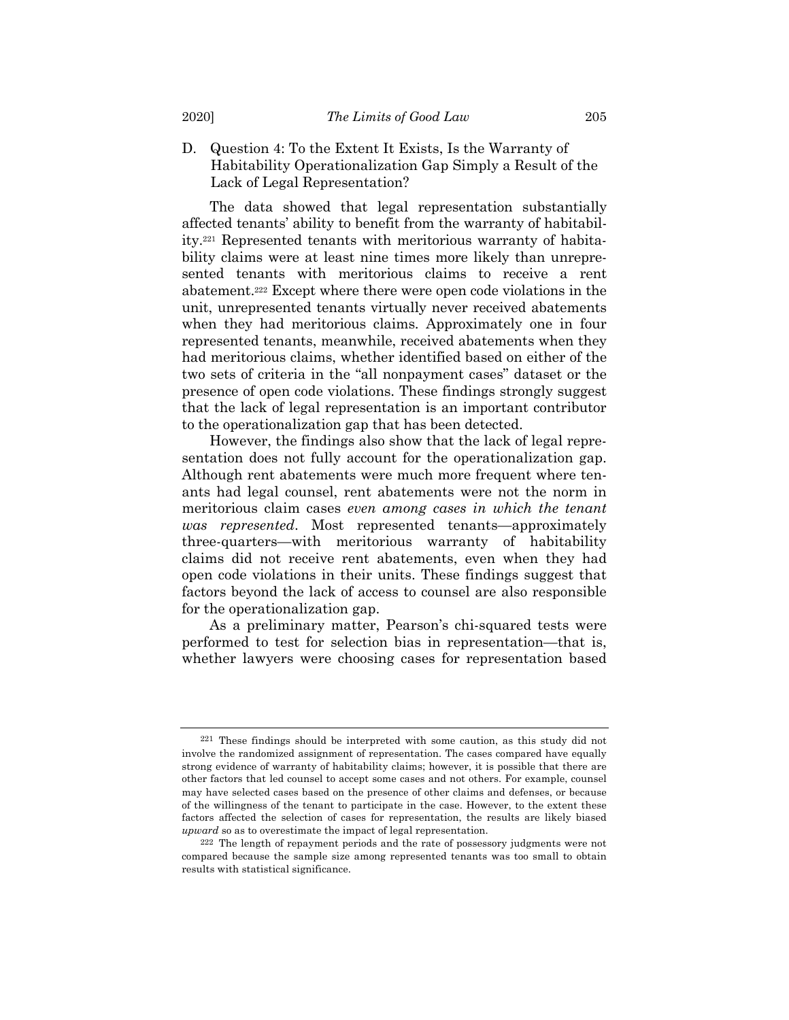D. Question 4: To the Extent It Exists, Is the Warranty of Habitability Operationalization Gap Simply a Result of the Lack of Legal Representation?

The data showed that legal representation substantially affected tenants' ability to benefit from the warranty of habitability.221 Represented tenants with meritorious warranty of habitability claims were at least nine times more likely than unrepresented tenants with meritorious claims to receive a rent abatement.222 Except where there were open code violations in the unit, unrepresented tenants virtually never received abatements when they had meritorious claims. Approximately one in four represented tenants, meanwhile, received abatements when they had meritorious claims, whether identified based on either of the two sets of criteria in the "all nonpayment cases" dataset or the presence of open code violations. These findings strongly suggest that the lack of legal representation is an important contributor to the operationalization gap that has been detected.

However, the findings also show that the lack of legal representation does not fully account for the operationalization gap. Although rent abatements were much more frequent where tenants had legal counsel, rent abatements were not the norm in meritorious claim cases *even among cases in which the tenant was represented*. Most represented tenants—approximately three-quarters—with meritorious warranty of habitability claims did not receive rent abatements, even when they had open code violations in their units. These findings suggest that factors beyond the lack of access to counsel are also responsible for the operationalization gap.

As a preliminary matter, Pearson's chi-squared tests were performed to test for selection bias in representation—that is, whether lawyers were choosing cases for representation based

<sup>221</sup> These findings should be interpreted with some caution, as this study did not involve the randomized assignment of representation. The cases compared have equally strong evidence of warranty of habitability claims; however, it is possible that there are other factors that led counsel to accept some cases and not others. For example, counsel may have selected cases based on the presence of other claims and defenses, or because of the willingness of the tenant to participate in the case. However, to the extent these factors affected the selection of cases for representation, the results are likely biased *upward* so as to overestimate the impact of legal representation.

<sup>222</sup> The length of repayment periods and the rate of possessory judgments were not compared because the sample size among represented tenants was too small to obtain results with statistical significance.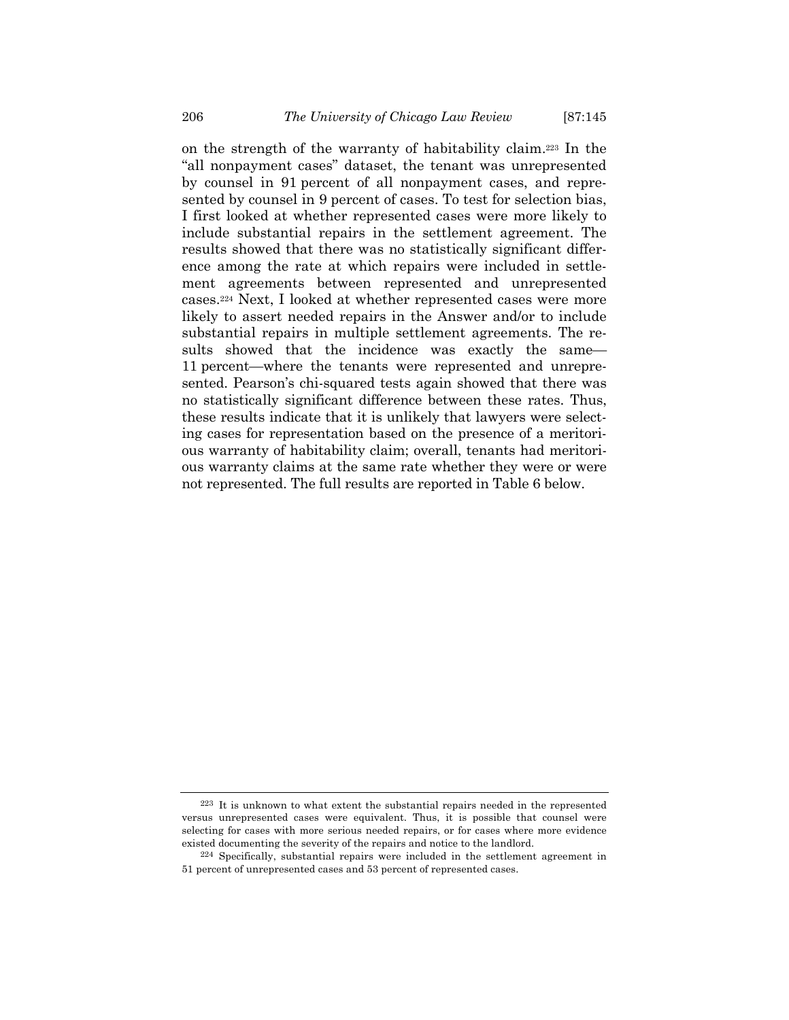on the strength of the warranty of habitability claim.223 In the "all nonpayment cases" dataset, the tenant was unrepresented by counsel in 91 percent of all nonpayment cases, and represented by counsel in 9 percent of cases. To test for selection bias, I first looked at whether represented cases were more likely to include substantial repairs in the settlement agreement. The results showed that there was no statistically significant difference among the rate at which repairs were included in settlement agreements between represented and unrepresented cases.224 Next, I looked at whether represented cases were more likely to assert needed repairs in the Answer and/or to include substantial repairs in multiple settlement agreements. The results showed that the incidence was exactly the same— 11 percent—where the tenants were represented and unrepresented. Pearson's chi-squared tests again showed that there was no statistically significant difference between these rates. Thus, these results indicate that it is unlikely that lawyers were selecting cases for representation based on the presence of a meritorious warranty of habitability claim; overall, tenants had meritorious warranty claims at the same rate whether they were or were not represented. The full results are reported in Table 6 below.

<sup>223</sup> It is unknown to what extent the substantial repairs needed in the represented versus unrepresented cases were equivalent. Thus, it is possible that counsel were selecting for cases with more serious needed repairs, or for cases where more evidence existed documenting the severity of the repairs and notice to the landlord.

<sup>224</sup> Specifically, substantial repairs were included in the settlement agreement in 51 percent of unrepresented cases and 53 percent of represented cases.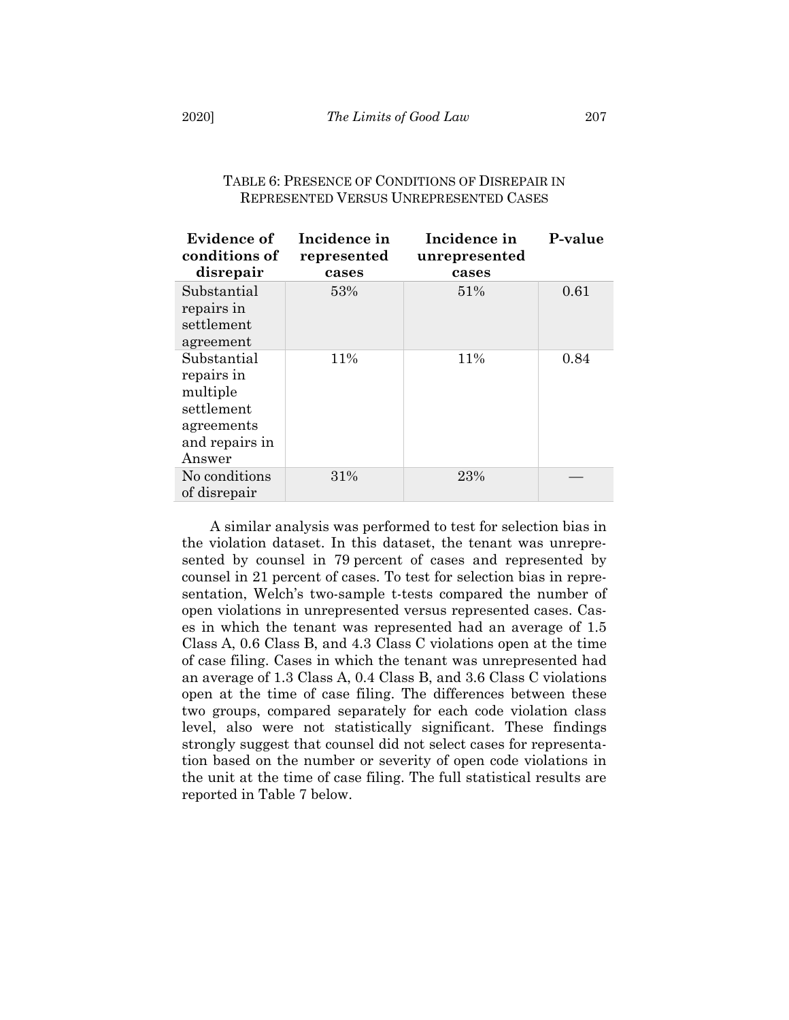| Evidence of<br>conditions of | Incidence in<br>represented | Incidence in<br>unrepresented | P-value |
|------------------------------|-----------------------------|-------------------------------|---------|
| disrepair                    | cases                       | cases                         |         |
| Substantial                  | 53%                         | 51%                           | 0.61    |
| repairs in                   |                             |                               |         |
| settlement                   |                             |                               |         |
| agreement                    |                             |                               |         |
| Substantial                  | 11%                         | 11%                           | 0.84    |
| repairs in                   |                             |                               |         |
| multiple                     |                             |                               |         |
| settlement                   |                             |                               |         |
| agreements                   |                             |                               |         |
| and repairs in               |                             |                               |         |
| Answer                       |                             |                               |         |
| No conditions                | 31%                         | 23%                           |         |
| of disrepair                 |                             |                               |         |

## TABLE 6: PRESENCE OF CONDITIONS OF DISREPAIR IN REPRESENTED VERSUS UNREPRESENTED CASES

A similar analysis was performed to test for selection bias in the violation dataset. In this dataset, the tenant was unrepresented by counsel in 79 percent of cases and represented by counsel in 21 percent of cases. To test for selection bias in representation, Welch's two-sample t-tests compared the number of open violations in unrepresented versus represented cases. Cases in which the tenant was represented had an average of 1.5 Class A, 0.6 Class B, and 4.3 Class C violations open at the time of case filing. Cases in which the tenant was unrepresented had an average of 1.3 Class A, 0.4 Class B, and 3.6 Class C violations open at the time of case filing. The differences between these two groups, compared separately for each code violation class level, also were not statistically significant. These findings strongly suggest that counsel did not select cases for representation based on the number or severity of open code violations in the unit at the time of case filing. The full statistical results are reported in Table 7 below.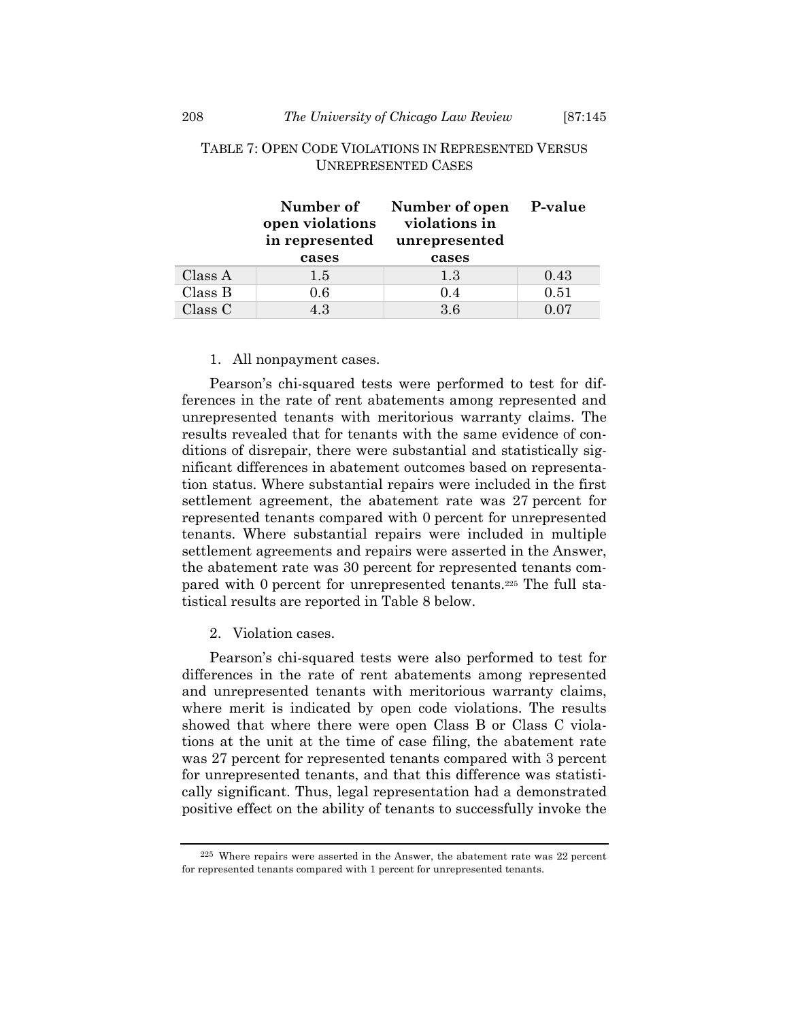|         | Number of<br>open violations<br>in represented<br>cases | Number of open P-value<br>violations in<br>unrepresented<br>cases |      |
|---------|---------------------------------------------------------|-------------------------------------------------------------------|------|
| Class A | $1.5\,$                                                 | 1.3                                                               | 0.43 |
| Class B | 0.6                                                     | 0.4                                                               | 0.51 |
| Class C | 4.3                                                     | 3.6                                                               | 0.07 |

## TABLE 7: OPEN CODE VIOLATIONS IN REPRESENTED VERSUS UNREPRESENTED CASES

## 1. All nonpayment cases.

Pearson's chi-squared tests were performed to test for differences in the rate of rent abatements among represented and unrepresented tenants with meritorious warranty claims. The results revealed that for tenants with the same evidence of conditions of disrepair, there were substantial and statistically significant differences in abatement outcomes based on representation status. Where substantial repairs were included in the first settlement agreement, the abatement rate was 27 percent for represented tenants compared with 0 percent for unrepresented tenants. Where substantial repairs were included in multiple settlement agreements and repairs were asserted in the Answer, the abatement rate was 30 percent for represented tenants compared with 0 percent for unrepresented tenants.225 The full statistical results are reported in Table 8 below.

2. Violation cases.

Pearson's chi-squared tests were also performed to test for differences in the rate of rent abatements among represented and unrepresented tenants with meritorious warranty claims, where merit is indicated by open code violations. The results showed that where there were open Class B or Class C violations at the unit at the time of case filing, the abatement rate was 27 percent for represented tenants compared with 3 percent for unrepresented tenants, and that this difference was statistically significant. Thus, legal representation had a demonstrated positive effect on the ability of tenants to successfully invoke the

<sup>225</sup> Where repairs were asserted in the Answer, the abatement rate was 22 percent for represented tenants compared with 1 percent for unrepresented tenants.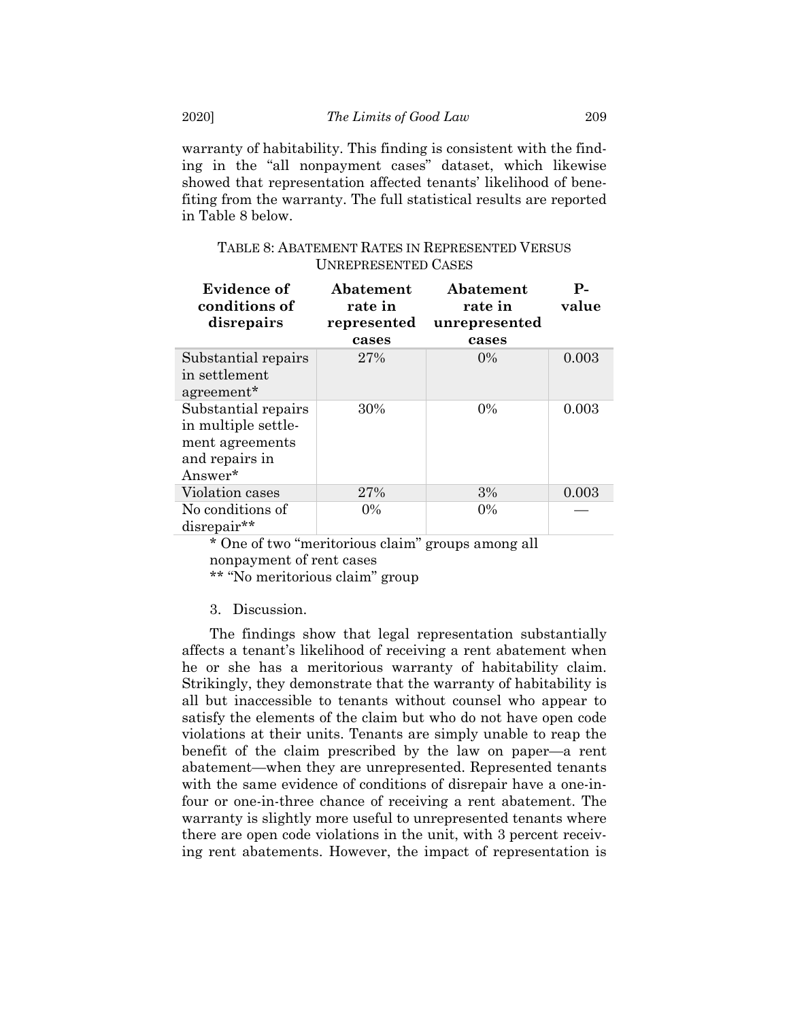warranty of habitability. This finding is consistent with the finding in the "all nonpayment cases" dataset, which likewise showed that representation affected tenants' likelihood of benefiting from the warranty. The full statistical results are reported in Table 8 below.

| Evidence of<br>conditions of<br>disrepairs                                                 | Abatement<br>rate in<br>represented<br>cases | Abatement<br>rate in<br>unrepresented<br>cases | $P-$<br>value |
|--------------------------------------------------------------------------------------------|----------------------------------------------|------------------------------------------------|---------------|
| Substantial repairs<br>in settlement<br>agreement*                                         | 27%                                          | $0\%$                                          | 0.003         |
| Substantial repairs<br>in multiple settle-<br>ment agreements<br>and repairs in<br>Answer* | 30%                                          | $0\%$                                          | 0.003         |
| Violation cases                                                                            | 27%                                          | 3%                                             | 0.003         |
| No conditions of<br>disrepair**                                                            | $0\%$                                        | $0\%$                                          |               |

TABLE 8: ABATEMENT RATES IN REPRESENTED VERSUS UNREPRESENTED CASES

\* One of two "meritorious claim" groups among all nonpayment of rent cases

\*\* "No meritorious claim" group

## 3. Discussion.

The findings show that legal representation substantially affects a tenant's likelihood of receiving a rent abatement when he or she has a meritorious warranty of habitability claim. Strikingly, they demonstrate that the warranty of habitability is all but inaccessible to tenants without counsel who appear to satisfy the elements of the claim but who do not have open code violations at their units. Tenants are simply unable to reap the benefit of the claim prescribed by the law on paper—a rent abatement—when they are unrepresented. Represented tenants with the same evidence of conditions of disrepair have a one-infour or one-in-three chance of receiving a rent abatement. The warranty is slightly more useful to unrepresented tenants where there are open code violations in the unit, with 3 percent receiving rent abatements. However, the impact of representation is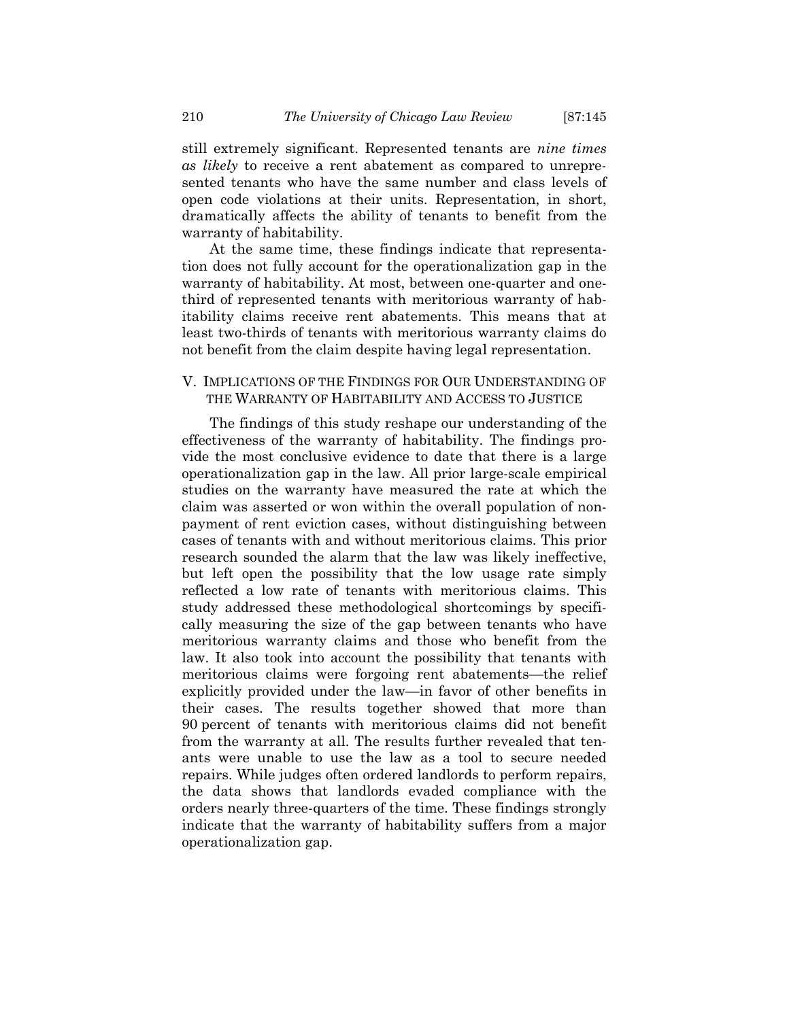still extremely significant. Represented tenants are *nine times as likely* to receive a rent abatement as compared to unrepresented tenants who have the same number and class levels of open code violations at their units. Representation, in short, dramatically affects the ability of tenants to benefit from the warranty of habitability.

At the same time, these findings indicate that representation does not fully account for the operationalization gap in the warranty of habitability. At most, between one-quarter and onethird of represented tenants with meritorious warranty of habitability claims receive rent abatements. This means that at least two-thirds of tenants with meritorious warranty claims do not benefit from the claim despite having legal representation.

# V. IMPLICATIONS OF THE FINDINGS FOR OUR UNDERSTANDING OF THE WARRANTY OF HABITABILITY AND ACCESS TO JUSTICE

The findings of this study reshape our understanding of the effectiveness of the warranty of habitability. The findings provide the most conclusive evidence to date that there is a large operationalization gap in the law. All prior large-scale empirical studies on the warranty have measured the rate at which the claim was asserted or won within the overall population of nonpayment of rent eviction cases, without distinguishing between cases of tenants with and without meritorious claims. This prior research sounded the alarm that the law was likely ineffective, but left open the possibility that the low usage rate simply reflected a low rate of tenants with meritorious claims. This study addressed these methodological shortcomings by specifically measuring the size of the gap between tenants who have meritorious warranty claims and those who benefit from the law. It also took into account the possibility that tenants with meritorious claims were forgoing rent abatements—the relief explicitly provided under the law—in favor of other benefits in their cases. The results together showed that more than 90 percent of tenants with meritorious claims did not benefit from the warranty at all. The results further revealed that tenants were unable to use the law as a tool to secure needed repairs. While judges often ordered landlords to perform repairs, the data shows that landlords evaded compliance with the orders nearly three-quarters of the time. These findings strongly indicate that the warranty of habitability suffers from a major operationalization gap.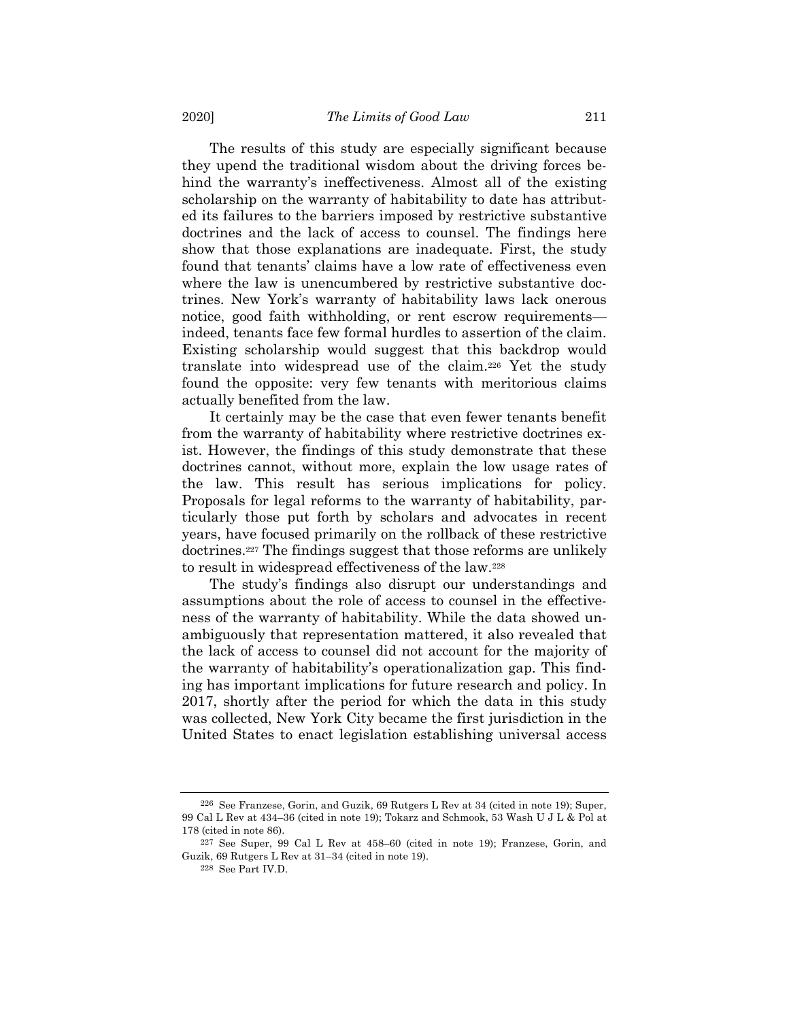The results of this study are especially significant because they upend the traditional wisdom about the driving forces behind the warranty's ineffectiveness. Almost all of the existing scholarship on the warranty of habitability to date has attributed its failures to the barriers imposed by restrictive substantive doctrines and the lack of access to counsel. The findings here show that those explanations are inadequate. First, the study found that tenants' claims have a low rate of effectiveness even where the law is unencumbered by restrictive substantive doctrines. New York's warranty of habitability laws lack onerous notice, good faith withholding, or rent escrow requirements indeed, tenants face few formal hurdles to assertion of the claim. Existing scholarship would suggest that this backdrop would translate into widespread use of the claim.226 Yet the study found the opposite: very few tenants with meritorious claims actually benefited from the law.

It certainly may be the case that even fewer tenants benefit from the warranty of habitability where restrictive doctrines exist. However, the findings of this study demonstrate that these doctrines cannot, without more, explain the low usage rates of the law. This result has serious implications for policy. Proposals for legal reforms to the warranty of habitability, particularly those put forth by scholars and advocates in recent years, have focused primarily on the rollback of these restrictive doctrines.227 The findings suggest that those reforms are unlikely to result in widespread effectiveness of the law.228

The study's findings also disrupt our understandings and assumptions about the role of access to counsel in the effectiveness of the warranty of habitability. While the data showed unambiguously that representation mattered, it also revealed that the lack of access to counsel did not account for the majority of the warranty of habitability's operationalization gap. This finding has important implications for future research and policy. In 2017, shortly after the period for which the data in this study was collected, New York City became the first jurisdiction in the United States to enact legislation establishing universal access

<sup>226</sup> See Franzese, Gorin, and Guzik, 69 Rutgers L Rev at 34 (cited in note 19); Super, 99 Cal L Rev at 434–36 (cited in note 19); Tokarz and Schmook, 53 Wash U J L & Pol at 178 (cited in note 86).

<sup>227</sup> See Super, 99 Cal L Rev at 458–60 (cited in note 19); Franzese, Gorin, and Guzik, 69 Rutgers L Rev at 31–34 (cited in note 19).

<sup>228</sup> See Part IV.D.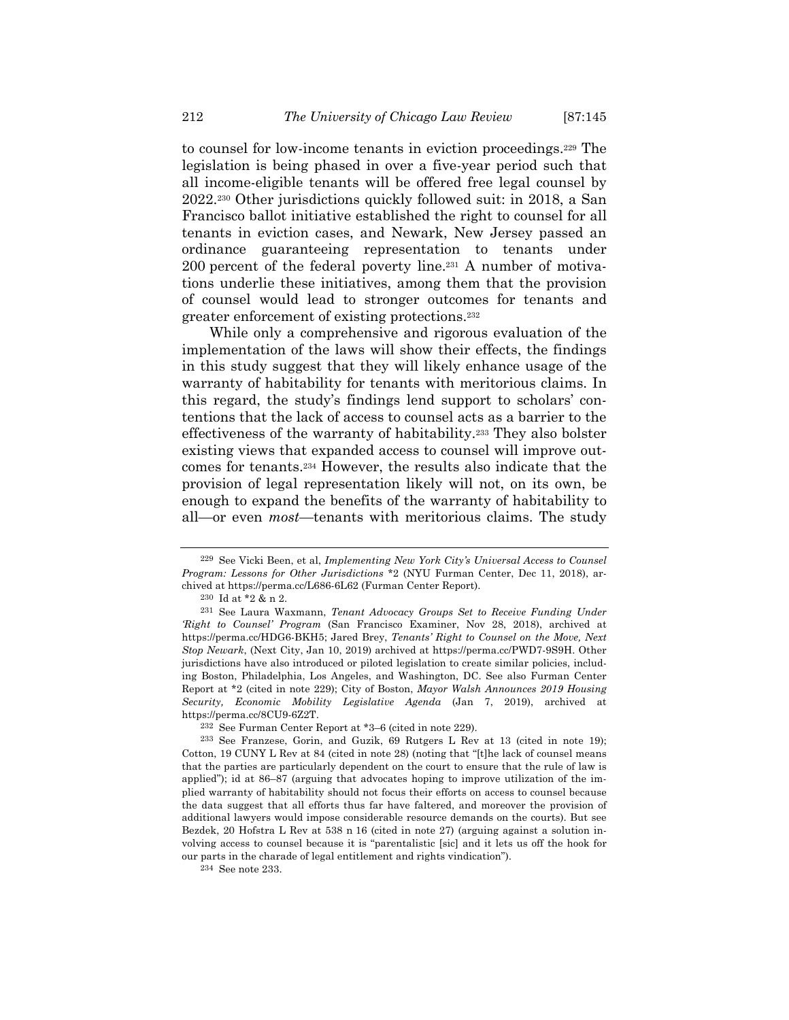to counsel for low-income tenants in eviction proceedings.229 The legislation is being phased in over a five-year period such that all income-eligible tenants will be offered free legal counsel by 2022.230 Other jurisdictions quickly followed suit: in 2018, a San Francisco ballot initiative established the right to counsel for all tenants in eviction cases, and Newark, New Jersey passed an ordinance guaranteeing representation to tenants under 200 percent of the federal poverty line.231 A number of motivations underlie these initiatives, among them that the provision of counsel would lead to stronger outcomes for tenants and greater enforcement of existing protections.232

While only a comprehensive and rigorous evaluation of the implementation of the laws will show their effects, the findings in this study suggest that they will likely enhance usage of the warranty of habitability for tenants with meritorious claims. In this regard, the study's findings lend support to scholars' contentions that the lack of access to counsel acts as a barrier to the effectiveness of the warranty of habitability.233 They also bolster existing views that expanded access to counsel will improve outcomes for tenants.234 However, the results also indicate that the provision of legal representation likely will not, on its own, be enough to expand the benefits of the warranty of habitability to all—or even *most*—tenants with meritorious claims. The study

234 See note 233.

<sup>229</sup> See Vicki Been, et al, *Implementing New York City's Universal Access to Counsel Program: Lessons for Other Jurisdictions* \*2 (NYU Furman Center, Dec 11, 2018), archived at https://perma.cc/L686-6L62 (Furman Center Report).

<sup>230</sup> Id at \*2 & n 2.

<sup>231</sup> See Laura Waxmann, *Tenant Advocacy Groups Set to Receive Funding Under 'Right to Counsel' Program* (San Francisco Examiner, Nov 28, 2018), archived at https://perma.cc/HDG6-BKH5; Jared Brey, *Tenants' Right to Counsel on the Move, Next Stop Newark*, (Next City, Jan 10, 2019) archived at https://perma.cc/PWD7-9S9H. Other jurisdictions have also introduced or piloted legislation to create similar policies, including Boston, Philadelphia, Los Angeles, and Washington, DC. See also Furman Center Report at \*2 (cited in note 229); City of Boston, *Mayor Walsh Announces 2019 Housing Security, Economic Mobility Legislative Agenda* (Jan 7, 2019), archived at https://perma.cc/8CU9-6Z2T.

<sup>232</sup> See Furman Center Report at \*3–6 (cited in note 229).

<sup>233</sup> See Franzese, Gorin, and Guzik, 69 Rutgers L Rev at 13 (cited in note 19); Cotton, 19 CUNY L Rev at 84 (cited in note 28) (noting that "[t]he lack of counsel means that the parties are particularly dependent on the court to ensure that the rule of law is applied"); id at 86-87 (arguing that advocates hoping to improve utilization of the implied warranty of habitability should not focus their efforts on access to counsel because the data suggest that all efforts thus far have faltered, and moreover the provision of additional lawyers would impose considerable resource demands on the courts). But see Bezdek, 20 Hofstra L Rev at 538 n 16 (cited in note 27) (arguing against a solution involving access to counsel because it is "parentalistic [sic] and it lets us off the hook for our parts in the charade of legal entitlement and rights vindication").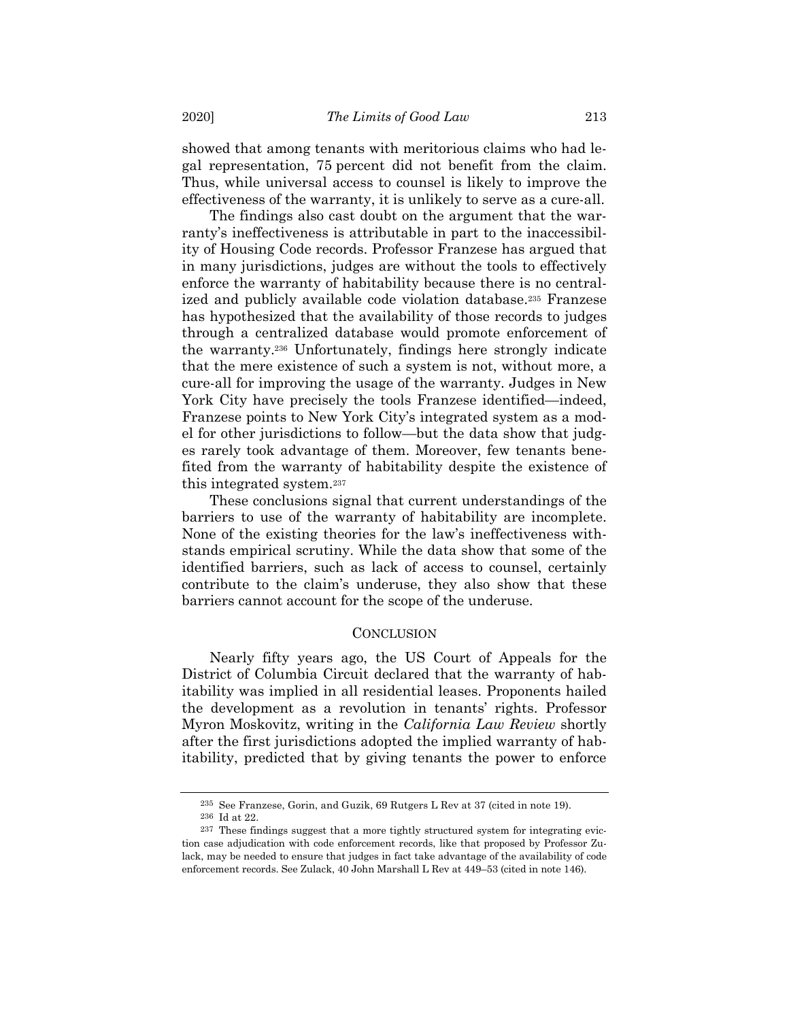showed that among tenants with meritorious claims who had legal representation, 75 percent did not benefit from the claim. Thus, while universal access to counsel is likely to improve the effectiveness of the warranty, it is unlikely to serve as a cure-all.

The findings also cast doubt on the argument that the warranty's ineffectiveness is attributable in part to the inaccessibility of Housing Code records. Professor Franzese has argued that in many jurisdictions, judges are without the tools to effectively enforce the warranty of habitability because there is no centralized and publicly available code violation database.235 Franzese has hypothesized that the availability of those records to judges through a centralized database would promote enforcement of the warranty.236 Unfortunately, findings here strongly indicate that the mere existence of such a system is not, without more, a cure-all for improving the usage of the warranty. Judges in New York City have precisely the tools Franzese identified—indeed, Franzese points to New York City's integrated system as a model for other jurisdictions to follow—but the data show that judges rarely took advantage of them. Moreover, few tenants benefited from the warranty of habitability despite the existence of this integrated system.237

These conclusions signal that current understandings of the barriers to use of the warranty of habitability are incomplete. None of the existing theories for the law's ineffectiveness withstands empirical scrutiny. While the data show that some of the identified barriers, such as lack of access to counsel, certainly contribute to the claim's underuse, they also show that these barriers cannot account for the scope of the underuse.

### **CONCLUSION**

Nearly fifty years ago, the US Court of Appeals for the District of Columbia Circuit declared that the warranty of habitability was implied in all residential leases. Proponents hailed the development as a revolution in tenants' rights. Professor Myron Moskovitz, writing in the *California Law Review* shortly after the first jurisdictions adopted the implied warranty of habitability, predicted that by giving tenants the power to enforce

<sup>235</sup> See Franzese, Gorin, and Guzik, 69 Rutgers L Rev at 37 (cited in note 19).

<sup>236</sup> Id at 22.

<sup>237</sup> These findings suggest that a more tightly structured system for integrating eviction case adjudication with code enforcement records, like that proposed by Professor Zulack, may be needed to ensure that judges in fact take advantage of the availability of code enforcement records. See Zulack, 40 John Marshall L Rev at 449–53 (cited in note 146).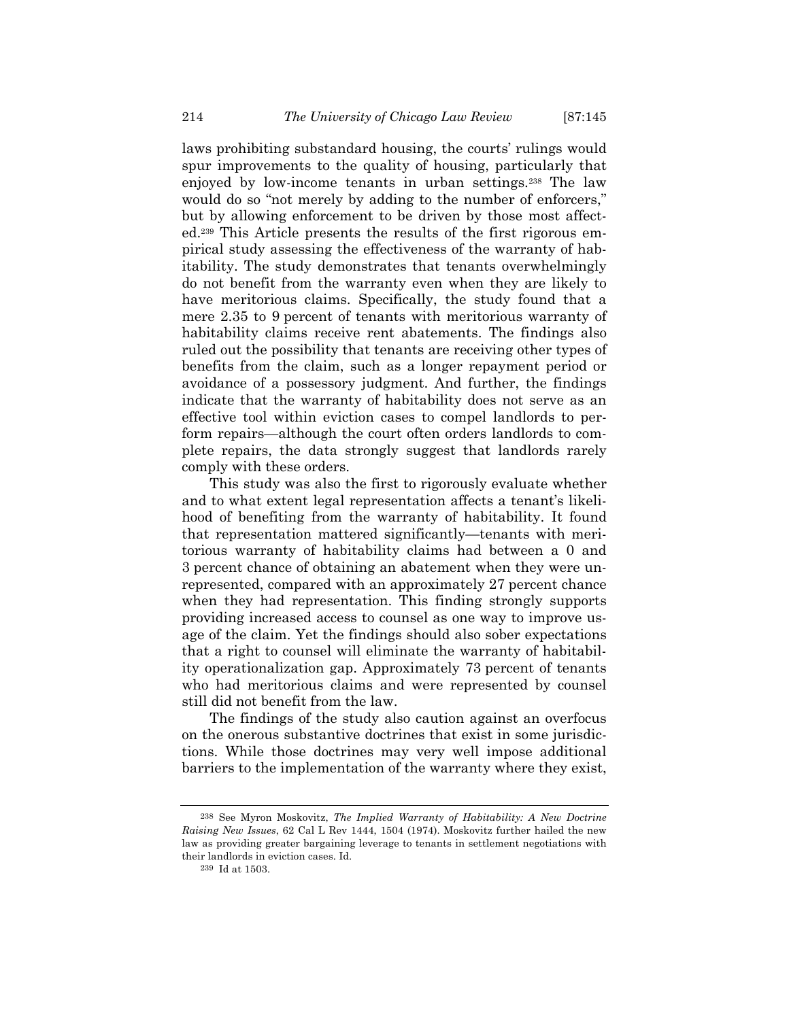laws prohibiting substandard housing, the courts' rulings would spur improvements to the quality of housing, particularly that enjoyed by low-income tenants in urban settings.238 The law would do so "not merely by adding to the number of enforcers," but by allowing enforcement to be driven by those most affected.239 This Article presents the results of the first rigorous empirical study assessing the effectiveness of the warranty of habitability. The study demonstrates that tenants overwhelmingly do not benefit from the warranty even when they are likely to have meritorious claims. Specifically, the study found that a mere 2.35 to 9 percent of tenants with meritorious warranty of habitability claims receive rent abatements. The findings also ruled out the possibility that tenants are receiving other types of benefits from the claim, such as a longer repayment period or avoidance of a possessory judgment. And further, the findings indicate that the warranty of habitability does not serve as an effective tool within eviction cases to compel landlords to perform repairs—although the court often orders landlords to complete repairs, the data strongly suggest that landlords rarely comply with these orders.

This study was also the first to rigorously evaluate whether and to what extent legal representation affects a tenant's likelihood of benefiting from the warranty of habitability. It found that representation mattered significantly—tenants with meritorious warranty of habitability claims had between a 0 and 3 percent chance of obtaining an abatement when they were unrepresented, compared with an approximately 27 percent chance when they had representation. This finding strongly supports providing increased access to counsel as one way to improve usage of the claim. Yet the findings should also sober expectations that a right to counsel will eliminate the warranty of habitability operationalization gap. Approximately 73 percent of tenants who had meritorious claims and were represented by counsel still did not benefit from the law.

The findings of the study also caution against an overfocus on the onerous substantive doctrines that exist in some jurisdictions. While those doctrines may very well impose additional barriers to the implementation of the warranty where they exist,

<sup>238</sup> See Myron Moskovitz, *The Implied Warranty of Habitability: A New Doctrine Raising New Issues*, 62 Cal L Rev 1444, 1504 (1974). Moskovitz further hailed the new law as providing greater bargaining leverage to tenants in settlement negotiations with their landlords in eviction cases. Id.

 $^{\rm 239}$  Id at 1503.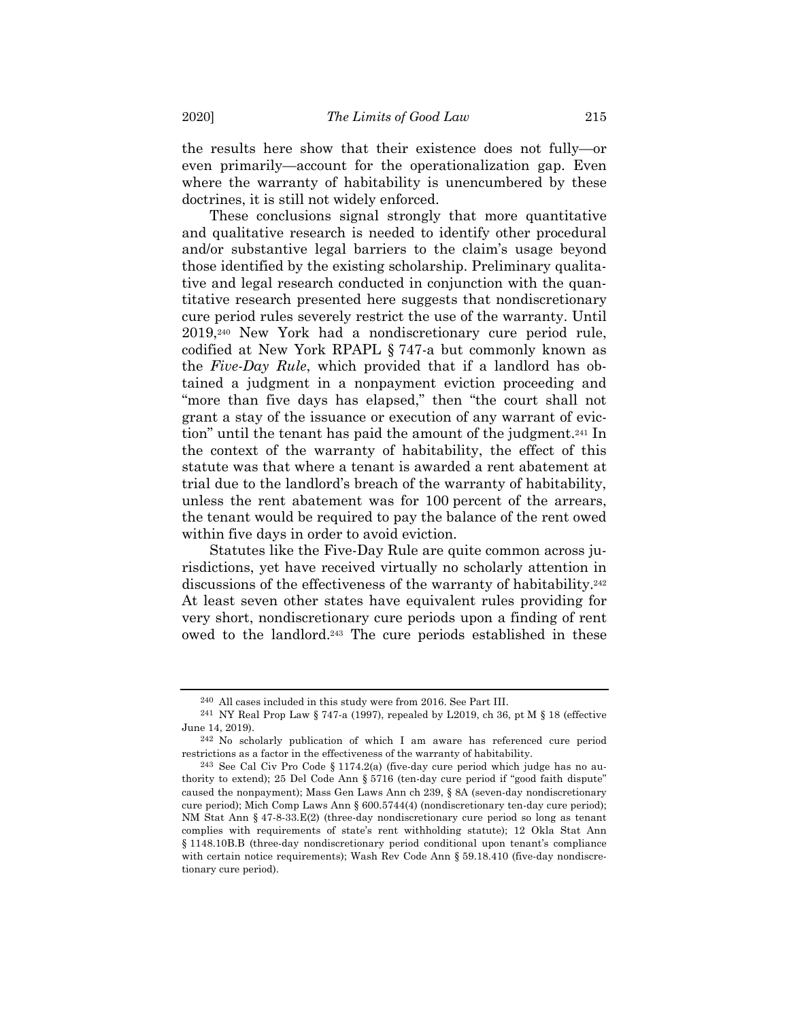the results here show that their existence does not fully—or even primarily—account for the operationalization gap. Even where the warranty of habitability is unencumbered by these doctrines, it is still not widely enforced.

These conclusions signal strongly that more quantitative and qualitative research is needed to identify other procedural and/or substantive legal barriers to the claim's usage beyond those identified by the existing scholarship. Preliminary qualitative and legal research conducted in conjunction with the quantitative research presented here suggests that nondiscretionary cure period rules severely restrict the use of the warranty. Until 2019,240 New York had a nondiscretionary cure period rule, codified at New York RPAPL § 747-a but commonly known as the *Five-Day Rule*, which provided that if a landlord has obtained a judgment in a nonpayment eviction proceeding and "more than five days has elapsed," then "the court shall not grant a stay of the issuance or execution of any warrant of eviction" until the tenant has paid the amount of the judgment.241 In the context of the warranty of habitability, the effect of this statute was that where a tenant is awarded a rent abatement at trial due to the landlord's breach of the warranty of habitability, unless the rent abatement was for 100 percent of the arrears, the tenant would be required to pay the balance of the rent owed within five days in order to avoid eviction.

Statutes like the Five-Day Rule are quite common across jurisdictions, yet have received virtually no scholarly attention in discussions of the effectiveness of the warranty of habitability.242 At least seven other states have equivalent rules providing for very short, nondiscretionary cure periods upon a finding of rent owed to the landlord.243 The cure periods established in these

<sup>240</sup> All cases included in this study were from 2016. See Part III.

<sup>241</sup> NY Real Prop Law § 747-a (1997), repealed by L2019, ch 36, pt M § 18 (effective June 14, 2019).

<sup>242</sup> No scholarly publication of which I am aware has referenced cure period restrictions as a factor in the effectiveness of the warranty of habitability.

<sup>243</sup> See Cal Civ Pro Code § 1174.2(a) (five-day cure period which judge has no authority to extend); 25 Del Code Ann § 5716 (ten-day cure period if "good faith dispute" caused the nonpayment); Mass Gen Laws Ann ch 239, § 8A (seven-day nondiscretionary cure period); Mich Comp Laws Ann § 600.5744(4) (nondiscretionary ten-day cure period); NM Stat Ann § 47-8-33.E(2) (three-day nondiscretionary cure period so long as tenant complies with requirements of state's rent withholding statute); 12 Okla Stat Ann § 1148.10B.B (three-day nondiscretionary period conditional upon tenant's compliance with certain notice requirements); Wash Rev Code Ann § 59.18.410 (five-day nondiscretionary cure period).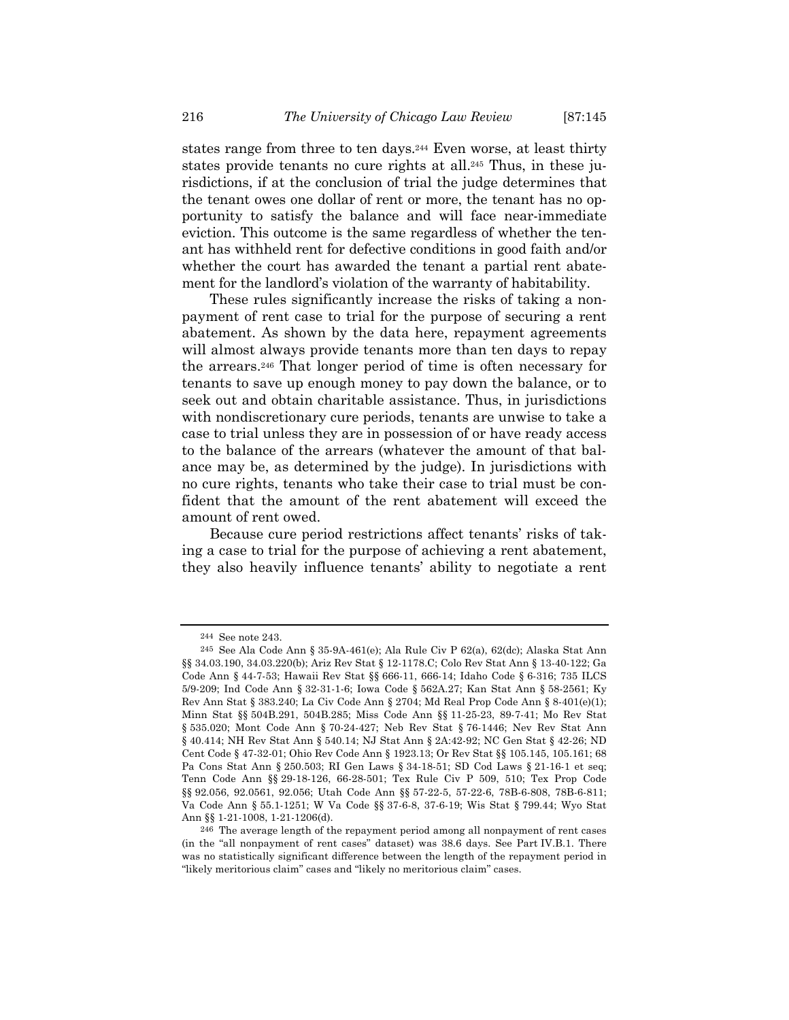states range from three to ten days.244 Even worse, at least thirty states provide tenants no cure rights at all.245 Thus, in these jurisdictions, if at the conclusion of trial the judge determines that the tenant owes one dollar of rent or more, the tenant has no opportunity to satisfy the balance and will face near-immediate eviction. This outcome is the same regardless of whether the tenant has withheld rent for defective conditions in good faith and/or whether the court has awarded the tenant a partial rent abatement for the landlord's violation of the warranty of habitability.

These rules significantly increase the risks of taking a nonpayment of rent case to trial for the purpose of securing a rent abatement. As shown by the data here, repayment agreements will almost always provide tenants more than ten days to repay the arrears.246 That longer period of time is often necessary for tenants to save up enough money to pay down the balance, or to seek out and obtain charitable assistance. Thus, in jurisdictions with nondiscretionary cure periods, tenants are unwise to take a case to trial unless they are in possession of or have ready access to the balance of the arrears (whatever the amount of that balance may be, as determined by the judge). In jurisdictions with no cure rights, tenants who take their case to trial must be confident that the amount of the rent abatement will exceed the amount of rent owed.

Because cure period restrictions affect tenants' risks of taking a case to trial for the purpose of achieving a rent abatement, they also heavily influence tenants' ability to negotiate a rent

<sup>244</sup> See note 243.

<sup>245</sup> See Ala Code Ann § 35-9A-461(e); Ala Rule Civ P 62(a), 62(dc); Alaska Stat Ann §§ 34.03.190, 34.03.220(b); Ariz Rev Stat § 12-1178.C; Colo Rev Stat Ann § 13-40-122; Ga Code Ann § 44-7-53; Hawaii Rev Stat §§ 666-11, 666-14; Idaho Code § 6-316; 735 ILCS 5/9-209; Ind Code Ann § 32-31-1-6; Iowa Code § 562A.27; Kan Stat Ann § 58-2561; Ky Rev Ann Stat § 383.240; La Civ Code Ann § 2704; Md Real Prop Code Ann § 8-401(e)(1); Minn Stat §§ 504B.291, 504B.285; Miss Code Ann §§ 11-25-23, 89-7-41; Mo Rev Stat § 535.020; Mont Code Ann § 70-24-427; Neb Rev Stat § 76-1446; Nev Rev Stat Ann § 40.414; NH Rev Stat Ann § 540.14; NJ Stat Ann § 2A:42-92; NC Gen Stat § 42-26; ND Cent Code § 47-32-01; Ohio Rev Code Ann § 1923.13; Or Rev Stat §§ 105.145, 105.161; 68 Pa Cons Stat Ann § 250.503; RI Gen Laws § 34-18-51; SD Cod Laws § 21-16-1 et seq; Tenn Code Ann §§ 29-18-126, 66-28-501; Tex Rule Civ P 509, 510; Tex Prop Code §§ 92.056, 92.0561, 92.056; Utah Code Ann §§ 57-22-5, 57-22-6, 78B-6-808, 78B-6-811; Va Code Ann § 55.1-1251; W Va Code §§ 37-6-8, 37-6-19; Wis Stat § 799.44; Wyo Stat Ann §§ 1-21-1008, 1-21-1206(d).

<sup>246</sup> The average length of the repayment period among all nonpayment of rent cases (in the "all nonpayment of rent cases" dataset) was 38.6 days. See Part IV.B.1. There was no statistically significant difference between the length of the repayment period in "likely meritorious claim" cases and "likely no meritorious claim" cases.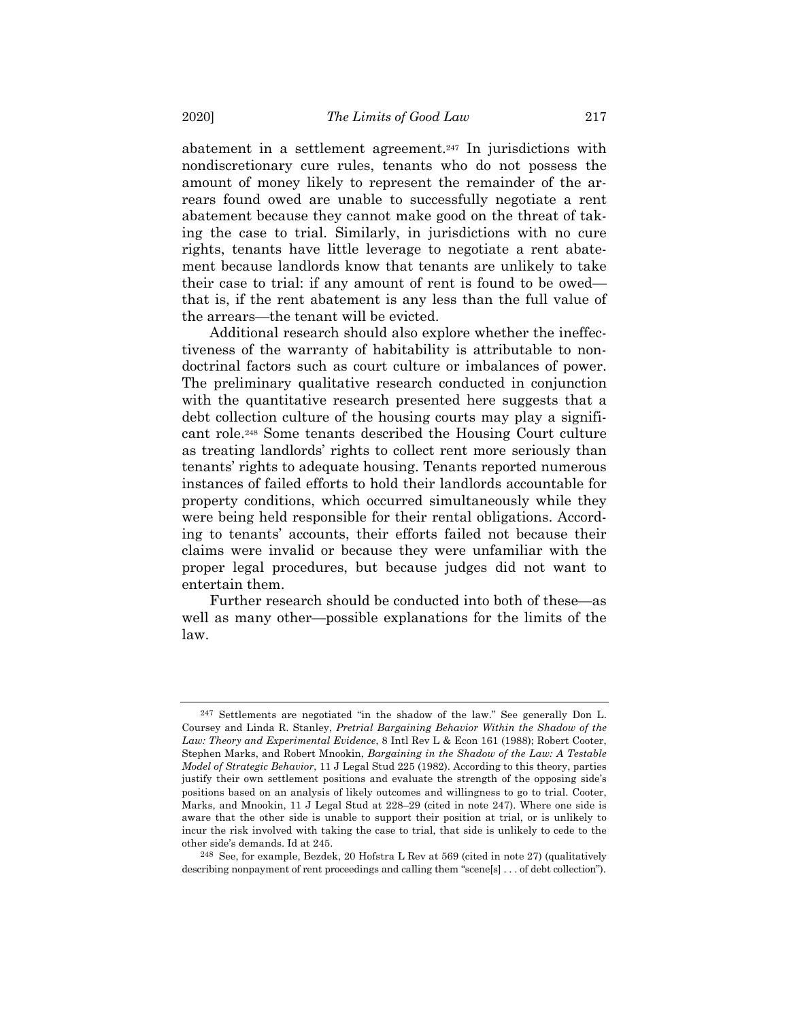abatement in a settlement agreement.247 In jurisdictions with nondiscretionary cure rules, tenants who do not possess the amount of money likely to represent the remainder of the arrears found owed are unable to successfully negotiate a rent abatement because they cannot make good on the threat of taking the case to trial. Similarly, in jurisdictions with no cure rights, tenants have little leverage to negotiate a rent abatement because landlords know that tenants are unlikely to take their case to trial: if any amount of rent is found to be owed that is, if the rent abatement is any less than the full value of the arrears—the tenant will be evicted.

Additional research should also explore whether the ineffectiveness of the warranty of habitability is attributable to nondoctrinal factors such as court culture or imbalances of power. The preliminary qualitative research conducted in conjunction with the quantitative research presented here suggests that a debt collection culture of the housing courts may play a significant role.248 Some tenants described the Housing Court culture as treating landlords' rights to collect rent more seriously than tenants' rights to adequate housing. Tenants reported numerous instances of failed efforts to hold their landlords accountable for property conditions, which occurred simultaneously while they were being held responsible for their rental obligations. According to tenants' accounts, their efforts failed not because their claims were invalid or because they were unfamiliar with the proper legal procedures, but because judges did not want to entertain them.

Further research should be conducted into both of these—as well as many other—possible explanations for the limits of the law.

248 See, for example, Bezdek, 20 Hofstra L Rev at 569 (cited in note 27) (qualitatively describing nonpayment of rent proceedings and calling them "scene[s] . . . of debt collection").

<sup>247</sup> Settlements are negotiated "in the shadow of the law." See generally Don L. Coursey and Linda R. Stanley, *Pretrial Bargaining Behavior Within the Shadow of the Law: Theory and Experimental Evidence*, 8 Intl Rev L & Econ 161 (1988); Robert Cooter, Stephen Marks, and Robert Mnookin, *Bargaining in the Shadow of the Law: A Testable Model of Strategic Behavior*, 11 J Legal Stud 225 (1982). According to this theory, parties justify their own settlement positions and evaluate the strength of the opposing side's positions based on an analysis of likely outcomes and willingness to go to trial. Cooter, Marks, and Mnookin, 11 J Legal Stud at 228–29 (cited in note 247). Where one side is aware that the other side is unable to support their position at trial, or is unlikely to incur the risk involved with taking the case to trial, that side is unlikely to cede to the other side's demands. Id at 245.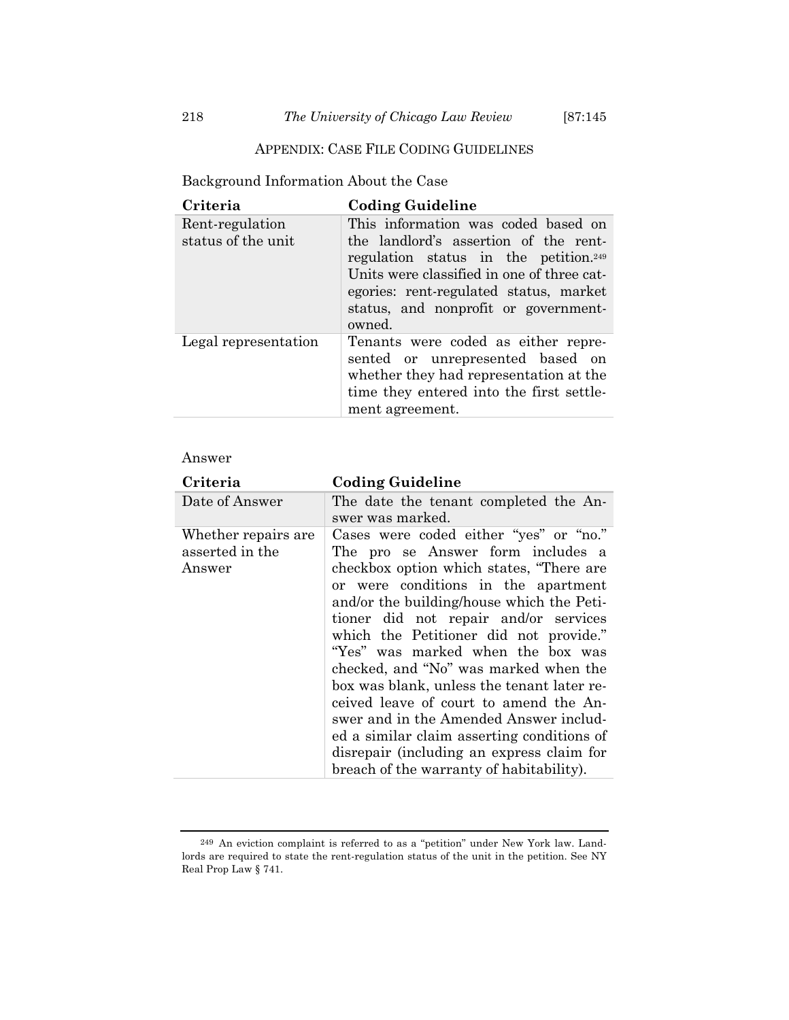Background Information About the Case

| Criteria                              | <b>Coding Guideline</b>                                                                                                                                                                                                                                                     |
|---------------------------------------|-----------------------------------------------------------------------------------------------------------------------------------------------------------------------------------------------------------------------------------------------------------------------------|
| Rent-regulation<br>status of the unit | This information was coded based on<br>the landlord's assertion of the rent-<br>regulation status in the petition. <sup>249</sup><br>Units were classified in one of three cat-<br>egories: rent-regulated status, market<br>status, and nonprofit or government-<br>owned. |
| Legal representation                  | Tenants were coded as either repre-<br>sented or unrepresented based on<br>whether they had representation at the<br>time they entered into the first settle-<br>ment agreement.                                                                                            |

## Answer

| Criteria                                          | <b>Coding Guideline</b>                                                                                                                                                                                                                                                                                                                                                                                                                                                                                                                                                                                                                               |
|---------------------------------------------------|-------------------------------------------------------------------------------------------------------------------------------------------------------------------------------------------------------------------------------------------------------------------------------------------------------------------------------------------------------------------------------------------------------------------------------------------------------------------------------------------------------------------------------------------------------------------------------------------------------------------------------------------------------|
| Date of Answer                                    | The date the tenant completed the An-<br>swer was marked.                                                                                                                                                                                                                                                                                                                                                                                                                                                                                                                                                                                             |
| Whether repairs are.<br>asserted in the<br>Answer | Cases were coded either "yes" or "no."<br>The pro se Answer form includes a<br>checkbox option which states, "There are<br>or were conditions in the apartment<br>and/or the building/house which the Peti-<br>tioner did not repair and/or services<br>which the Petitioner did not provide."<br>"Yes" was marked when the box was<br>checked, and "No" was marked when the<br>box was blank, unless the tenant later re-<br>ceived leave of court to amend the An-<br>swer and in the Amended Answer includ-<br>ed a similar claim asserting conditions of<br>disrepair (including an express claim for<br>breach of the warranty of habitability). |

<sup>249</sup> An eviction complaint is referred to as a "petition" under New York law. Landlords are required to state the rent-regulation status of the unit in the petition. See NY Real Prop Law § 741.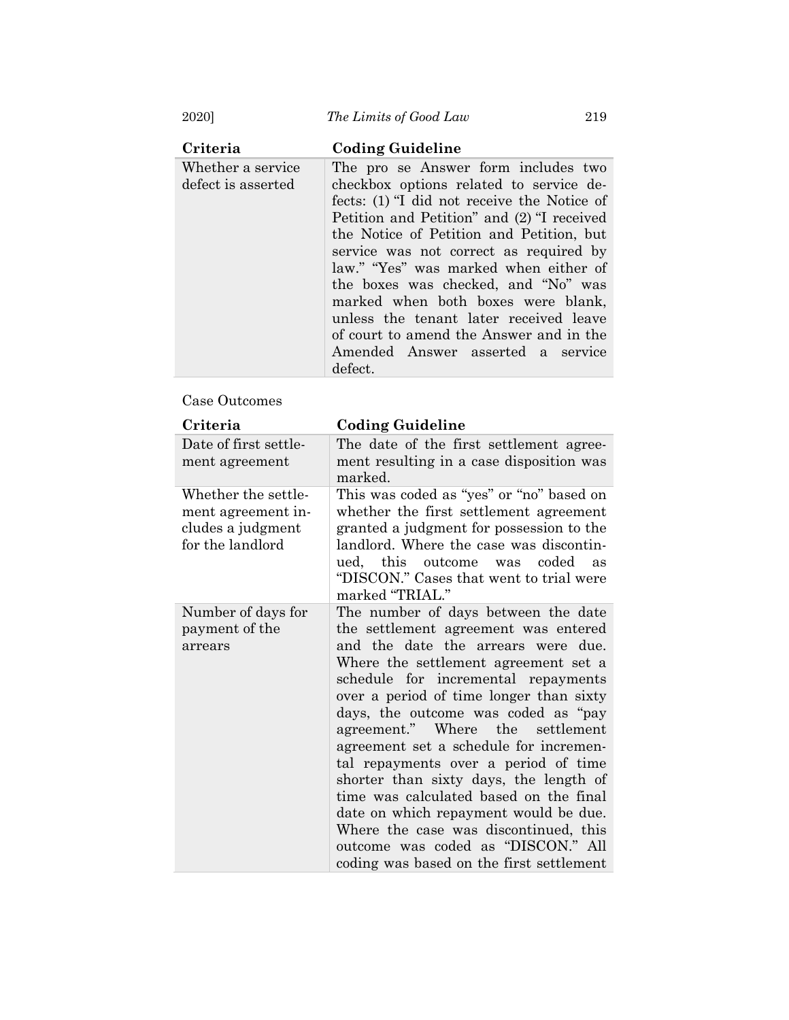2020] *The Limits of Good Law* 219

| Criteria                                | <b>Coding Guideline</b>                                                                                                                                                                                                                                                                                                                                                                                                                                                                                           |
|-----------------------------------------|-------------------------------------------------------------------------------------------------------------------------------------------------------------------------------------------------------------------------------------------------------------------------------------------------------------------------------------------------------------------------------------------------------------------------------------------------------------------------------------------------------------------|
| Whether a service<br>defect is asserted | The pro se Answer form includes two<br>checkbox options related to service de-<br>fects: (1) "I did not receive the Notice of<br>Petition and Petition" and (2) "I received<br>the Notice of Petition and Petition, but<br>service was not correct as required by<br>law." "Yes" was marked when either of<br>the boxes was checked, and "No" was<br>marked when both boxes were blank,<br>unless the tenant later received leave<br>of court to amend the Answer and in the<br>Amended Answer asserted a service |
|                                         | defect.                                                                                                                                                                                                                                                                                                                                                                                                                                                                                                           |

## Case Outcomes

| Criteria                                                                           | <b>Coding Guideline</b>                                                                                                                                                                                                                                                                                                                                                                                                                                                                                                                                                                                                                                             |
|------------------------------------------------------------------------------------|---------------------------------------------------------------------------------------------------------------------------------------------------------------------------------------------------------------------------------------------------------------------------------------------------------------------------------------------------------------------------------------------------------------------------------------------------------------------------------------------------------------------------------------------------------------------------------------------------------------------------------------------------------------------|
| Date of first settle-<br>ment agreement                                            | The date of the first settlement agree-<br>ment resulting in a case disposition was<br>marked.                                                                                                                                                                                                                                                                                                                                                                                                                                                                                                                                                                      |
| Whether the settle-<br>ment agreement in-<br>cludes a judgment<br>for the landlord | This was coded as "yes" or "no" based on<br>whether the first settlement agreement<br>granted a judgment for possession to the<br>landlord. Where the case was discontin-<br>ued, this outcome was coded<br>as<br>"DISCON." Cases that went to trial were<br>marked "TRIAL."                                                                                                                                                                                                                                                                                                                                                                                        |
| Number of days for<br>payment of the<br>arrears                                    | The number of days between the date<br>the settlement agreement was entered<br>and the date the arrears were due.<br>Where the settlement agreement set a<br>schedule for incremental repayments<br>over a period of time longer than sixty<br>days, the outcome was coded as "pay<br>agreement." Where the<br>settlement<br>agreement set a schedule for incremen-<br>tal repayments over a period of time<br>shorter than sixty days, the length of<br>time was calculated based on the final<br>date on which repayment would be due.<br>Where the case was discontinued, this<br>outcome was coded as "DISCON." All<br>coding was based on the first settlement |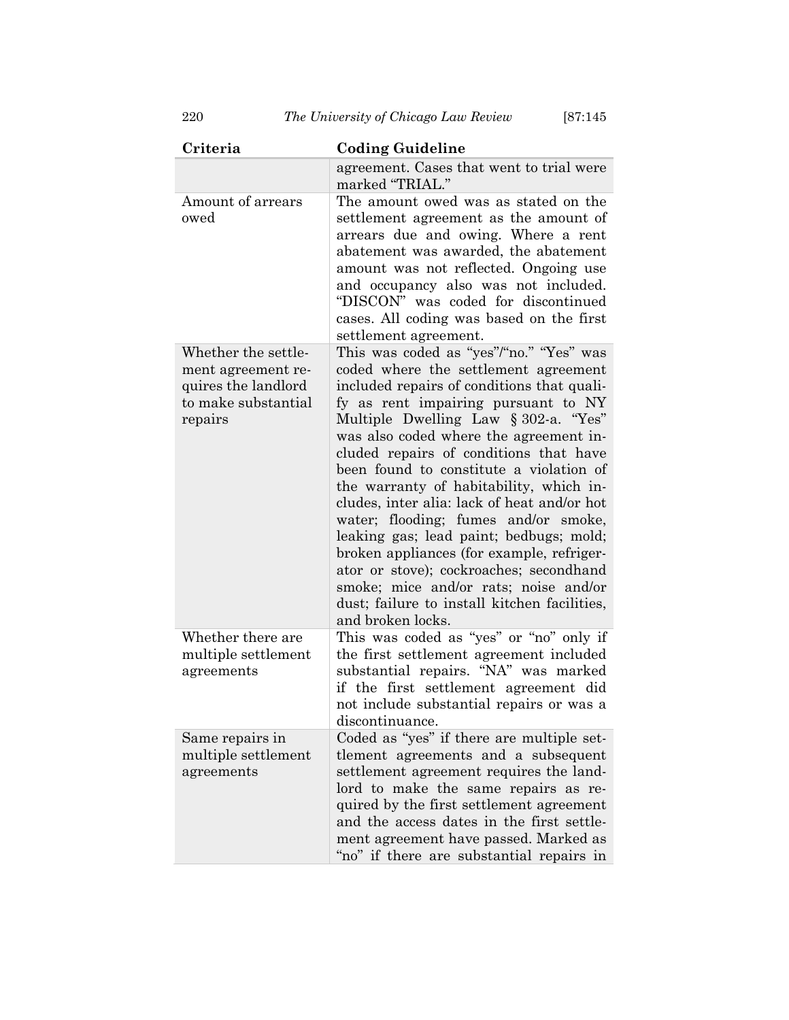| Criteria                                                                                           | <b>Coding Guideline</b>                                                                                                                                                                                                                                                                                                                                                                                                                                                                                                                                                                                                                                                                                                        |
|----------------------------------------------------------------------------------------------------|--------------------------------------------------------------------------------------------------------------------------------------------------------------------------------------------------------------------------------------------------------------------------------------------------------------------------------------------------------------------------------------------------------------------------------------------------------------------------------------------------------------------------------------------------------------------------------------------------------------------------------------------------------------------------------------------------------------------------------|
|                                                                                                    | agreement. Cases that went to trial were<br>marked "TRIAL."                                                                                                                                                                                                                                                                                                                                                                                                                                                                                                                                                                                                                                                                    |
| Amount of arrears<br>owed                                                                          | The amount owed was as stated on the<br>settlement agreement as the amount of<br>arrears due and owing. Where a rent<br>abatement was awarded, the abatement<br>amount was not reflected. Ongoing use<br>and occupancy also was not included.<br>"DISCON" was coded for discontinued<br>cases. All coding was based on the first<br>settlement agreement.                                                                                                                                                                                                                                                                                                                                                                      |
| Whether the settle-<br>ment agreement re-<br>quires the landlord<br>to make substantial<br>repairs | This was coded as "yes"/"no." "Yes" was<br>coded where the settlement agreement<br>included repairs of conditions that quali-<br>fy as rent impairing pursuant to NY<br>Multiple Dwelling Law § 302-a. "Yes"<br>was also coded where the agreement in-<br>cluded repairs of conditions that have<br>been found to constitute a violation of<br>the warranty of habitability, which in-<br>cludes, inter alia: lack of heat and/or hot<br>water; flooding; fumes and/or smoke,<br>leaking gas; lead paint; bedbugs; mold;<br>broken appliances (for example, refriger-<br>ator or stove); cockroaches; secondhand<br>smoke; mice and/or rats; noise and/or<br>dust; failure to install kitchen facilities,<br>and broken locks. |
| Whether there are<br>multiple settlement<br>agreements                                             | This was coded as "yes" or "no" only if<br>the first settlement agreement included<br>substantial repairs. "NA" was marked<br>if the first settlement agreement did<br>not include substantial repairs or was a<br>discontinuance.                                                                                                                                                                                                                                                                                                                                                                                                                                                                                             |
| Same repairs in<br>multiple settlement<br>agreements                                               | Coded as "yes" if there are multiple set-<br>tlement agreements and a subsequent<br>settlement agreement requires the land-<br>lord to make the same repairs as re-<br>quired by the first settlement agreement<br>and the access dates in the first settle-<br>ment agreement have passed. Marked as<br>"no" if there are substantial repairs in                                                                                                                                                                                                                                                                                                                                                                              |